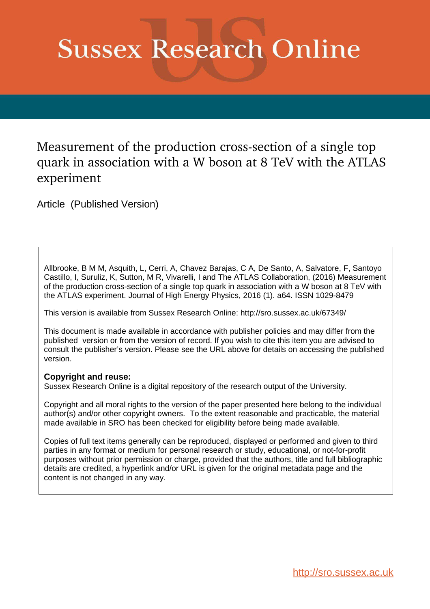# **Sussex Research Online**

## Measurement of the production cross-section of a single top quark in association with a W boson at 8 TeV with the ATLAS experiment

Article (Published Version)

Allbrooke, B M M, Asquith, L, Cerri, A, Chavez Barajas, C A, De Santo, A, Salvatore, F, Santoyo Castillo, I, Suruliz, K, Sutton, M R, Vivarelli, I and The ATLAS Collaboration, (2016) Measurement of the production cross-section of a single top quark in association with a W boson at 8 TeV with the ATLAS experiment. Journal of High Energy Physics, 2016 (1). a64. ISSN 1029-8479

This version is available from Sussex Research Online: http://sro.sussex.ac.uk/67349/

This document is made available in accordance with publisher policies and may differ from the published version or from the version of record. If you wish to cite this item you are advised to consult the publisher's version. Please see the URL above for details on accessing the published version.

### **Copyright and reuse:**

Sussex Research Online is a digital repository of the research output of the University.

Copyright and all moral rights to the version of the paper presented here belong to the individual author(s) and/or other copyright owners. To the extent reasonable and practicable, the material made available in SRO has been checked for eligibility before being made available.

Copies of full text items generally can be reproduced, displayed or performed and given to third parties in any format or medium for personal research or study, educational, or not-for-profit purposes without prior permission or charge, provided that the authors, title and full bibliographic details are credited, a hyperlink and/or URL is given for the original metadata page and the content is not changed in any way.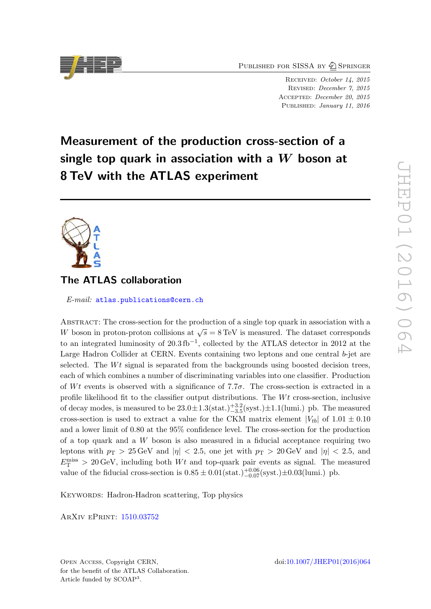PUBLISHED FOR SISSA BY 2 SPRINGER

RECEIVED: October 14, 2015 Revised : December 7, 2015 Accepted : December 20, 2015 PUBLISHED: January 11, 2016

# Measurement of the production cross-section of a single top quark in association with a  $\boldsymbol{W}$  boson at 8 TeV with the ATLAS experiment

## The ATLAS collaboration

E-mail: [atlas.publications@cern.ch](mailto:atlas.publications@cern.ch)

<span id="page-1-0"></span>Abstract: The cross-section for the production of a single top quark in association with a W boson in proton-proton collisions at  $\sqrt{s} = 8 \,\text{TeV}$  is measured. The dataset corresponds to an integrated luminosity of  $20.3 \text{ fb}^{-1}$ , collected by the ATLAS detector in 2012 at the Large Hadron Collider at CERN. Events containing two leptons and one central *b*-jet are selected. The  $Wt$  signal is separated from the backgrounds using boosted decision trees, each of which combines a number of discriminating variables into one classifier. Production of  $Wt$  events is observed with a significance of 7.7 $\sigma$ . The cross-section is extracted in a profile likelihood fit to the classifier output distributions. The  $Wt$  cross-section, inclusive of decay modes, is measured to be  $23.0 \pm 1.3 \text{(stat.)}^{+3.2}_{-3.5} \text{(syst.)} \pm 1.1 \text{(lumi.)}$  pb. The measured cross-section is used to extract a value for the CKM matrix element  $|V_{tb}|$  of  $1.01 \pm 0.10$ and a lower limit of 0.80 at the 95% confidence level. The cross-section for the production of a top quark and a W boson is also measured in a fiducial acceptance requiring two leptons with  $p_T > 25 \,\text{GeV}$  and  $|\eta| < 2.5$ , one jet with  $p_T > 20 \,\text{GeV}$  and  $|\eta| < 2.5$ , and  $E_{\rm T}^{\rm miss} > 20 \,\text{GeV}$ , including both Wt and top-quark pair events as signal. The measured value of the fiducial cross-section is  $0.85 \pm 0.01(\text{stat.})_{-0.07}^{+0.06}(\text{syst.}) \pm 0.03(\text{lumi.})$  pb.

KEYWORDS: Hadron-Hadron scattering, Top physics

ArXiv ePrint: [1510.03752](http://arxiv.org/abs/1510.03752)



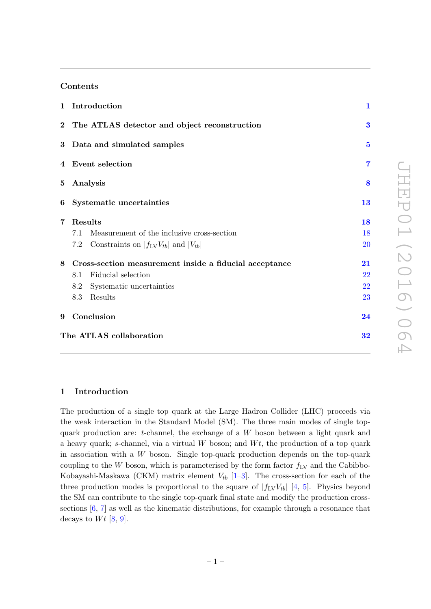#### Contents

<span id="page-2-0"></span>

|                         | 1 Introduction                                            | $\mathbf{1}$    |
|-------------------------|-----------------------------------------------------------|-----------------|
|                         | 2 The ATLAS detector and object reconstruction            | 3               |
|                         | 3 Data and simulated samples                              | $\overline{5}$  |
|                         | 4 Event selection                                         | $\overline{7}$  |
|                         | 5 Analysis                                                | 8               |
| 6                       | Systematic uncertainties                                  | 13              |
| 7.                      | Results                                                   | 18              |
|                         | Measurement of the inclusive cross-section<br>7.1         | 18              |
|                         | 7.2 Constraints on $ f_{\text{LV}}V_{tb} $ and $ V_{tb} $ | 20              |
| 8                       | Cross-section measurement inside a fiducial acceptance    | $\overline{21}$ |
|                         | Fiducial selection<br>8.1                                 | 22              |
|                         | Systematic uncertainties<br>8.2                           | 22              |
|                         | 8.3<br>Results                                            | 23              |
| 9                       | Conclusion                                                | 24              |
| The ATLAS collaboration |                                                           |                 |

#### 1 Introduction

The production of a single top quark at the Large Hadron Collider (LHC) proceeds via the weak interaction in the Standard Model (SM). The three main modes of single topquark production are:  $t$ -channel, the exchange of a  $W$  boson between a light quark and a heavy quark; s-channel, via a virtual  $W$  boson; and  $Wt$ , the production of a top quark in association with a W boson. Single top-quark production depends on the top-quark coupling to the W boson, which is parameterised by the form factor  $f_{\text{LV}}$  and the Cabibbo-Kobayashi-Maskawa (CKM) matrix element  $V_{tb}$  [\[1](#page-26-0)[–3\]](#page-26-1). The cross-section for each of the three production modes is proportional to the square of  $|f_{LV}V_{tb}|$  [[4](#page-26-2), [5\]](#page-26-3). Physics beyond the SM can contribute to the single top-quark final state and modify the production crosssections [\[6,](#page-26-4) [7\]](#page-26-5) as well as the kinematic distributions, for example through a resonance that decays to  $Wt$  [[8](#page-26-6), [9\]](#page-26-7).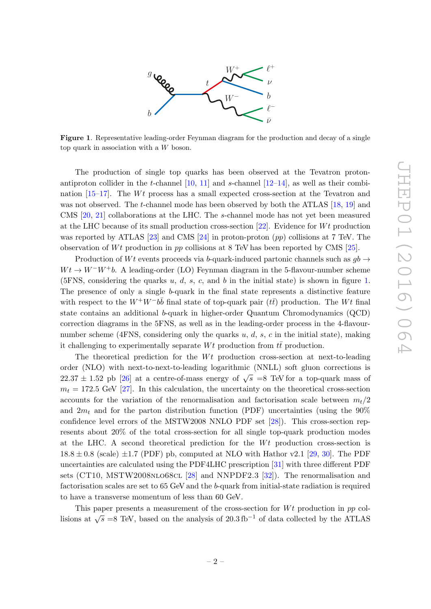

Figure 1. Representative leading-order Feynman diagram for the production and decay of a single top quark in association with a W boson.

The production of single top quarks has been observed at the Tevatron protonantiproton collider in the t-channel  $[10, 11]$  $[10, 11]$  and s-channel  $[12-14]$ , as well as their combination  $[15-17]$ . The Wt process has a small expected cross-section at the Tevatron and was not observed. The *t*-channel mode has been observed by both the ATLAS [\[18](#page-26-14), [19\]](#page-27-0) and CMS  $[20, 21]$  $[20, 21]$  collaborations at the LHC. The s-channel mode has not yet been measured at the LHC because of its small production cross-section  $[22]$ . Evidence for Wt production was reported by ATLAS [\[23\]](#page-27-4) and CMS [\[24\]](#page-27-5) in proton-proton  $(pp)$  collisions at 7 TeV. The observation of Wt production in pp collisions at 8 TeV has been reported by CMS [\[25\]](#page-27-6).

Production of  $Wt$  events proceeds via b-quark-induced partonic channels such as  $gb \rightarrow$  $Wt \to W^-W^+b$ . A leading-order (LO) Feynman diagram in the 5-flavour-number scheme (5FNS, considering the quarks  $u, d, s, c$ , and  $b$  in the initial state) is shown in figure [1](#page-2-0). The presence of only a single b-quark in the final state represents a distinctive feature with respect to the  $W^+W^-b\bar{b}$  final state of top-quark pair  $(t\bar{t})$  production. The Wt final state contains an additional b-quark in higher-order Quantum Chromodynamics (QCD) correction diagrams in the 5FNS, as well as in the leading-order process in the 4-flavournumber scheme (4FNS, considering only the quarks  $u, d, s, c$  in the initial state), making it challenging to experimentally separate  $Wt$  production from  $t\bar{t}$  production.

The theoretical prediction for the  $Wt$  production cross-section at next-to-leading order (NLO) with next-to-next-to-leading logarithmic (NNLL) soft gluon corrections is  $22.37 \pm 1.52$  pb [\[26\]](#page-27-7) at a centre-of-mass energy of  $\sqrt{s}$  =8 TeV for a top-quark mass of  $m_t = 172.5$  GeV [\[27\]](#page-27-8). In this calculation, the uncertainty on the theoretical cross-section accounts for the variation of the renormalisation and factorisation scale between  $m_t/2$ and  $2m_t$  and for the parton distribution function (PDF) uncertainties (using the  $90\%$ confidence level errors of the MSTW2008 NNLO PDF set [\[28\]](#page-27-9)). This cross-section represents about 20% of the total cross-section for all single top-quark production modes at the LHC. A second theoretical prediction for the  $Wt$  production cross-section is  $18.8 \pm 0.8$  (scale)  $\pm 1.7$  (PDF) pb, computed at NLO with Hathor v2.1 [\[29](#page-27-10), [30\]](#page-27-11). The PDF uncertainties are calculated using the PDF4LHC prescription [\[31\]](#page-27-12) with three different PDF sets (CT10, MSTW2008NLO68CL [\[28\]](#page-27-9) and NNPDF2.3 [\[32\]](#page-27-13)). The renormalisation and factorisation scales are set to 65 GeV and the b-quark from initial-state radiation is required to have a transverse momentum of less than 60 GeV.

<span id="page-3-1"></span><span id="page-3-0"></span>This paper presents a measurement of the cross-section for  $Wt$  production in pp collisions at  $\sqrt{s}$  =8 TeV, based on the analysis of 20.3 fb<sup>-1</sup> of data collected by the ATLAS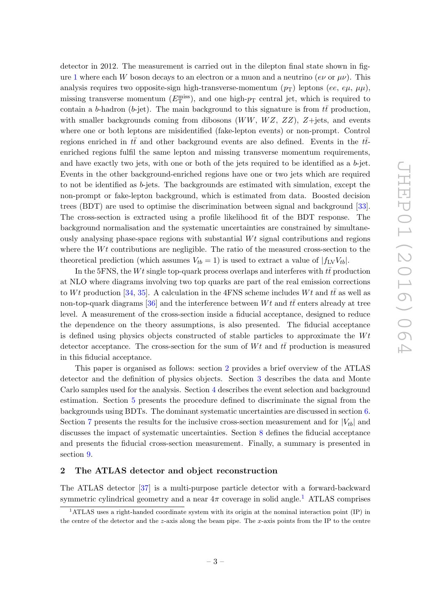detector in 2012. The measurement is carried out in the dilepton final state shown in fig-ure [1](#page-2-0) where each W boson decays to an electron or a muon and a neutrino ( $e\nu$  or  $\mu\nu$ ). This analysis requires two opposite-sign high-transverse-momentum  $(p_T)$  leptons  $(ee, e\mu, \mu\mu)$ , missing transverse momentum  $(E_{\text{T}}^{\text{miss}})$ , and one high- $p_{\text{T}}$  central jet, which is required to contain a b-hadron (b-jet). The main background to this signature is from  $t\bar{t}$  production, with smaller backgrounds coming from dibosons  $(WW, WZ, ZZ)$ ,  $Z + \text{jets}$ , and events where one or both leptons are misidentified (fake-lepton events) or non-prompt. Control regions enriched in  $t\bar{t}$  and other background events are also defined. Events in the  $t\bar{t}$ enriched regions fulfil the same lepton and missing transverse momentum requirements, and have exactly two jets, with one or both of the jets required to be identified as a b-jet. Events in the other background-enriched regions have one or two jets which are required to not be identified as b-jets. The backgrounds are estimated with simulation, except the non-prompt or fake-lepton background, which is estimated from data. Boosted decision trees (BDT) are used to optimise the discrimination between signal and background [\[33\]](#page-27-14). The cross-section is extracted using a profile likelihood fit of the BDT response. The background normalisation and the systematic uncertainties are constrained by simultaneously analysing phase-space regions with substantial  $Wt$  signal contributions and regions where the  $Wt$  contributions are negligible. The ratio of the measured cross-section to the theoretical prediction (which assumes  $V_{tb} = 1$ ) is used to extract a value of  $|f_{\text{LV}}V_{tb}|$ .

In the 5FNS, the  $Wt$  single top-quark process overlaps and interferes with  $t\bar{t}$  production at NLO where diagrams involving two top quarks are part of the real emission corrections to Wt production [\[34](#page-27-15), [35\]](#page-27-16). A calculation in the 4FNS scheme includes  $Wt$  and  $t\bar{t}$  as well as non-top-quark diagrams [\[36\]](#page-27-17) and the interference between  $Wt$  and  $t\bar{t}$  enters already at tree level. A measurement of the cross-section inside a fiducial acceptance, designed to reduce the dependence on the theory assumptions, is also presented. The fiducial acceptance is defined using physics objects constructed of stable particles to approximate the  $Wt$ detector acceptance. The cross-section for the sum of  $Wt$  and  $t\bar{t}$  production is measured in this fiducial acceptance.

This paper is organised as follows: section [2](#page-3-0) provides a brief overview of the ATLAS detector and the definition of physics objects. Section [3](#page-5-0) describes the data and Monte Carlo samples used for the analysis. Section [4](#page-7-0) describes the event selection and background estimation. Section [5](#page-8-0) presents the procedure defined to discriminate the signal from the backgrounds using BDTs. The dominant systematic uncertainties are discussed in section [6](#page-13-0) . Section [7](#page-18-0) presents the results for the inclusive cross-section measurement and for  $|V_{tb}|$  and discusses the impact of systematic uncertainties. Section [8](#page-21-0) defines the fiducial acceptance and presents the fiducial cross-section measurement. Finally, a summary is presented in section [9](#page-24-0) .

#### 2 The ATLAS detector and object reconstruction

The ATLAS detector [\[37\]](#page-28-0) is a multi-purpose particle detector with a forward-backward symmetric cylindrical geometry and a near  $4\pi$  coverage in solid angle.<sup>[1](#page-3-1)</sup> ATLAS comprises

 $1$ ATLAS uses a right-handed coordinate system with its origin at the nominal interaction point (IP) in the centre of the detector and the z-axis along the beam pipe. The x-axis points from the IP to the centre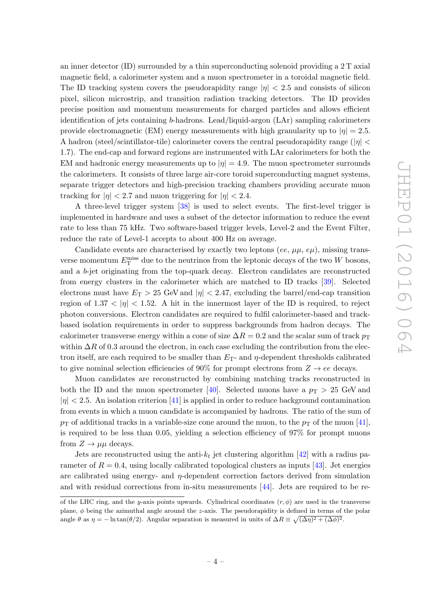an inner detector (ID) surrounded by a thin superconducting solenoid providing a 2 T axial magnetic field, a calorimeter system and a muon spectrometer in a toroidal magnetic field. The ID tracking system covers the pseudorapidity range  $|\eta| < 2.5$  and consists of silicon pixel, silicon microstrip, and transition radiation tracking detectors. The ID provides precise position and momentum measurements for charged particles and allows efficient identification of jets containing b-hadrons. Lead/liquid-argon (LAr) sampling calorimeters provide electromagnetic (EM) energy measurements with high granularity up to  $|\eta| = 2.5$ . A hadron (steel/scintillator-tile) calorimeter covers the central pseudorapidity range ( $|\eta|$ 1.7). The end-cap and forward regions are instrumented with LAr calorimeters for both the EM and hadronic energy measurements up to  $|\eta| = 4.9$ . The muon spectrometer surrounds the calorimeters. It consists of three large air-core toroid superconducting magnet systems, separate trigger detectors and high-precision tracking chambers providing accurate muon tracking for  $|\eta| < 2.7$  and muon triggering for  $|\eta| < 2.4$ .

A three-level trigger system [\[38\]](#page-28-1) is used to select events. The first-level trigger is implemented in hardware and uses a subset of the detector information to reduce the event rate to less than 75 kHz. Two software-based trigger levels, Level-2 and the Event Filter, reduce the rate of Level-1 accepts to about 400 Hz on average.

<span id="page-5-0"></span>Candidate events are characterised by exactly two leptons  $(ee, \mu\mu, e\mu)$ , missing transverse momentum  $E_{\rm T}^{\rm miss}$  due to the neutrinos from the leptonic decays of the two W bosons, and a b-jet originating from the top-quark decay. Electron candidates are reconstructed from energy clusters in the calorimeter which are matched to ID tracks [\[39\]](#page-28-2). Selected electrons must have  $E_T > 25$  GeV and  $|\eta| < 2.47$ , excluding the barrel/end-cap transition region of  $1.37 < |\eta| < 1.52$ . A hit in the innermost layer of the ID is required, to reject photon conversions. Electron candidates are required to fulfil calorimeter-based and trackbased isolation requirements in order to suppress backgrounds from hadron decays. The calorimeter transverse energy within a cone of size  $\Delta R = 0.2$  and the scalar sum of track  $p_{\rm T}$ within  $\Delta R$  of 0.3 around the electron, in each case excluding the contribution from the electron itself, are each required to be smaller than  $E_T$ - and  $\eta$ -dependent thresholds calibrated to give nominal selection efficiencies of 90% for prompt electrons from  $Z \to ee$  decays.

Muon candidates are reconstructed by combining matching tracks reconstructed in both the ID and the muon spectrometer [\[40\]](#page-28-3). Selected muons have a  $p_T > 25$  GeV and  $|\eta|$   $\lt$  2.5. An isolation criterion [\[41\]](#page-28-4) is applied in order to reduce background contamination from events in which a muon candidate is accompanied by hadrons. The ratio of the sum of  $p<sub>T</sub>$  of additional tracks in a variable-size cone around the muon, to the  $p<sub>T</sub>$  of the muon [\[41\]](#page-28-4), is required to be less than 0.05, yielding a selection efficiency of 97% for prompt muons from  $Z \to \mu\mu$  decays.

Jets are reconstructed using the anti- $k_t$  jet clustering algorithm [\[42\]](#page-28-5) with a radius parameter of  $R = 0.4$ , using locally calibrated topological clusters as inputs [\[43\]](#page-28-6). Jet energies are calibrated using energy- and  $\eta$ -dependent correction factors derived from simulation and with residual corrections from in-situ measurements [\[44\]](#page-28-7). Jets are required to be re-

of the LHC ring, and the y-axis points upwards. Cylindrical coordinates  $(r, \phi)$  are used in the transverse plane, φ being the azimuthal angle around the z-axis. The pseudorapidity is defined in terms of the polar angle  $\theta$  as  $\eta = -\ln \tan(\theta/2)$ . Angular separation is measured in units of  $\Delta R \equiv \sqrt{(\Delta \eta)^2 + (\Delta \phi)^2}$ .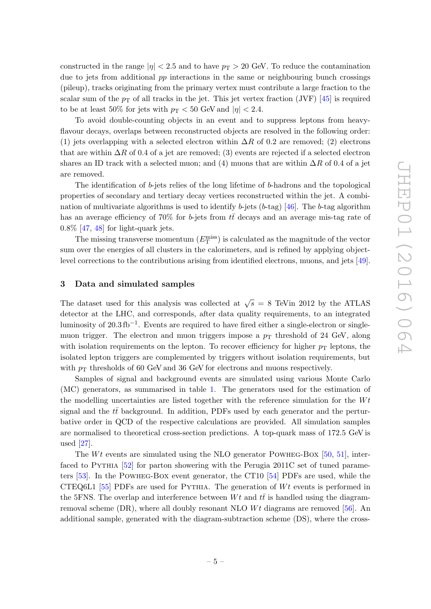constructed in the range  $|\eta| < 2.5$  and to have  $p_T > 20$  GeV. To reduce the contamination due to jets from additional  $pp$  interactions in the same or neighbouring bunch crossings (pileup), tracks originating from the primary vertex must contribute a large fraction to the scalar sum of the  $p<sub>T</sub>$  of all tracks in the jet. This jet vertex fraction (JVF) [\[45\]](#page-28-8) is required to be at least 50% for jets with  $p_T < 50$  GeV and  $|\eta| < 2.4$ .

To avoid double-counting objects in an event and to suppress leptons from heavyflavour decays, overlaps between reconstructed objects are resolved in the following order: (1) jets overlapping with a selected electron within  $\Delta R$  of 0.2 are removed; (2) electrons that are within  $\Delta R$  of 0.4 of a jet are removed; (3) events are rejected if a selected electron shares an ID track with a selected muon; and  $(4)$  muons that are within  $\Delta R$  of 0.4 of a jet are removed.

The identification of b-jets relies of the long lifetime of b-hadrons and the topological properties of secondary and tertiary decay vertices reconstructed within the jet. A combination of multivariate algorithms is used to identify b-jets  $(b$ -tag) [\[46\]](#page-28-9). The b-tag algorithm has an average efficiency of 70% for b-jets from  $t\bar{t}$  decays and an average mis-tag rate of 0 .8% [\[47](#page-28-10) , [48\]](#page-28-11) for light-quark jets.

The missing transverse momentum  $(E_{\text{T}}^{\text{miss}})$  is calculated as the magnitude of the vector sum over the energies of all clusters in the calorimeters, and is refined by applying objectlevel corrections to the contributions arising from identified electrons, muons, and jets [\[49\]](#page-28-12).

#### 3 Data and simulated samples

<span id="page-6-0"></span>The dataset used for this analysis was collected at  $\sqrt{s} = 8$  TeVin 2012 by the ATLAS detector at the LHC, and corresponds, after data quality requirements, to an integrated luminosity of 20.3 fb<sup>-1</sup>. Events are required to have fired either a single-electron or singlemuon trigger. The electron and muon triggers impose a  $p_T$  threshold of 24 GeV, along with isolation requirements on the lepton. To recover efficiency for higher  $p<sub>T</sub>$  leptons, the isolated lepton triggers are complemented by triggers without isolation requirements, but with  $p<sub>T</sub>$  thresholds of 60 GeV and 36 GeV for electrons and muons respectively.

Samples of signal and background events are simulated using various Monte Carlo (MC) generators, as summarised in table [1.](#page-6-0) The generators used for the estimation of the modelling uncertainties are listed together with the reference simulation for the  $Wt$ signal and the  $t\bar{t}$  background. In addition, PDFs used by each generator and the perturbative order in QCD of the respective calculations are provided. All simulation samples are normalised to theoretical cross-section predictions. A top-quark mass of 172.5 GeV is used [\[27\]](#page-27-8).

The  $Wt$  events are simulated using the NLO generator POWHEG-BOX  $[50, 51]$  $[50, 51]$  $[50, 51]$ , interfaced to Pythia [\[52\]](#page-28-15) for parton showering with the Perugia 2011C set of tuned parameters [\[53\]](#page-28-16). In the Powheg-Box event generator, the CT10 [\[54\]](#page-28-17) PDFs are used, while the CTEQ6L1 [\[55\]](#page-29-0) PDFs are used for PYTHIA. The generation of  $Wt$  events is performed in the 5FNS. The overlap and interference between  $Wt$  and  $t\bar{t}$  is handled using the diagramremoval scheme  $(DR)$ , where all doubly resonant NLO  $Wt$  diagrams are removed [\[56\]](#page-29-1). An additional sample, generated with the diagram-subtraction scheme (DS), where the cross-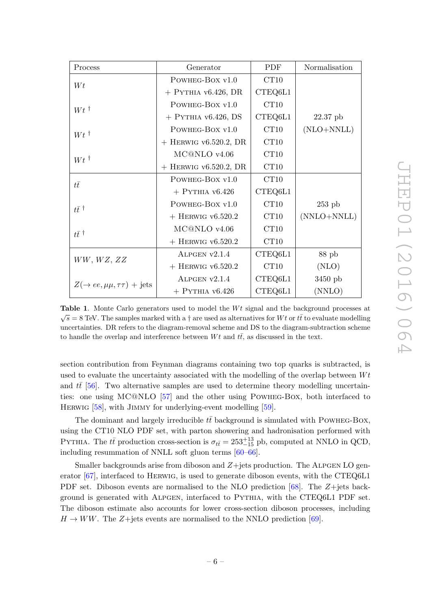| Process                                      | Generator               | PDF     | Normalisation |
|----------------------------------------------|-------------------------|---------|---------------|
| Wt                                           | POWHEG-BOX v1.0         | CT10    |               |
|                                              | $+$ PYTHIA v6.426, DR   | CTEQ6L1 |               |
| $Wt$ <sup>†</sup>                            | POWHEG-BOX v1.0         | CT10    |               |
|                                              | $+$ PYTHIA v6.426, DS   | CTEQ6L1 | $22.37$ pb    |
| $Wt$ <sup>†</sup>                            | POWHEG-BOX v1.0         | CT10    | $(NLO+NNLL)$  |
|                                              | $+$ HERWIG v6.520.2, DR | CT10    |               |
| $Wt$ <sup>†</sup>                            | MC@NLO v4.06            | CT10    |               |
|                                              | $+$ HERWIG v6.520.2, DR | CT10    |               |
| $t\bar{t}$                                   | POWHEG-BOX v1.0         | CT10    |               |
|                                              | $+$ PYTHIA v6.426       | CTEQ6L1 |               |
| $t\bar{t}$ †                                 | POWHEG-BOX v1.0         | CT10    | $253$ pb      |
|                                              | $+$ HERWIG v6.520.2     | CT10    | $(NNLO+NNLL)$ |
| $t\bar{t}$ <sup>†</sup>                      | $MC@NLO$ v4.06          | CT10    |               |
|                                              | $+$ HERWIG v6.520.2     | CT10    |               |
|                                              | ALPGEN $v2.1.4$         | CTEQ6L1 | $88$ pb       |
| WW, WZ, ZZ                                   | $+$ HERWIG v6.520.2     | CT10    | (NLO)         |
|                                              | ALPGEN $v2.1.4$         | CTEQ6L1 | $3450$ pb     |
| $Z(\rightarrow ee, \mu\mu, \tau\tau)$ + jets | $+$ PYTHIA v6.426       | CTEQ6L1 | (NNLO)        |

<span id="page-7-0"></span>**Table 1.** Monte Carlo generators used to model the Wt signal and the background processes at  $\sqrt{s} = 8$  TeV. The samples marked with a † are used as alternatives for Wt or tt $\bar{t}$  to evaluate modelling uncertainties. DR refers to the diagram-removal scheme and DS to the diagram-subtraction scheme to handle the overlap and interference between  $Wt$  and  $t\bar{t}$ , as discussed in the text.

section contribution from Feynman diagrams containing two top quarks is subtracted, is used to evaluate the uncertainty associated with the modelling of the overlap between  $Wt$ and  $t\bar{t}$  [\[56\]](#page-29-1). Two alternative samples are used to determine theory modelling uncertainties: one using MC@NLO [\[57\]](#page-29-2) and the other using Powheg-Box, both interfaced to HERWIG [\[58\]](#page-29-3), with JIMMY for underlying-event modelling [\[59\]](#page-29-4).

The dominant and largely irreducible  $t\bar{t}$  background is simulated with POWHEG-BOX, using the CT10 NLO PDF set, with parton showering and hadronisation performed with PYTHIA. The  $t\bar{t}$  production cross-section is  $\sigma_{t\bar{t}} = 253^{+13}_{-15}$  pb, computed at NNLO in QCD, including resummation of NNLL soft gluon terms [\[60](#page-29-5) [–66\]](#page-29-6).

Smaller backgrounds arise from diboson and  $Z +$ jets production. The ALPGEN LO generator [\[67\]](#page-29-7), interfaced to Herwig, is used to generate diboson events, with the CTEQ6L1 PDF set. Diboson events are normalised to the NLO prediction [\[68\]](#page-29-8). The Z+jets background is generated with Alpgen, interfaced to Pythia, with the CTEQ6L1 PDF set. The diboson estimate also accounts for lower cross-section diboson processes, including  $H \to WW$ . The Z+jets events are normalised to the NNLO prediction [\[69\]](#page-29-9).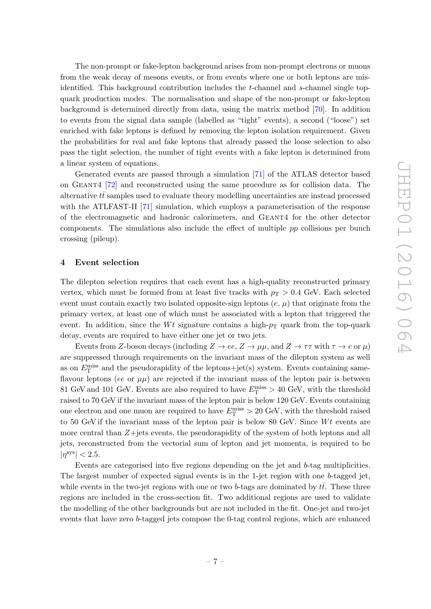The non-prompt or fake-lepton background arises from non-prompt electrons or muons from the weak decay of mesons events, or from events where one or both leptons are misidentified. This background contribution includes the t-channel and s-channel single topquark production modes. The normalisation and shape of the non-prompt or fake-lepton background is determined directly from data, using the matrix method [\[70\]](#page-29-10). In addition to events from the signal data sample (labelled as "tight" events), a second ("loose") set enriched with fake leptons is defined by removing the lepton isolation requirement. Given the probabilities for real and fake leptons that already passed the loose selection to also pass the tight selection, the number of tight events with a fake lepton is determined from a linear system of equations.

<span id="page-8-1"></span>Generated events are passed through a simulation [\[71\]](#page-29-11) of the ATLAS detector based on Geant4 [\[72\]](#page-29-12) and reconstructed using the same procedure as for collision data. The alternative  $t\bar{t}$  samples used to evaluate theory modelling uncertainties are instead processed with the ATLFAST-II [\[71\]](#page-29-11) simulation, which employs a parameterisation of the response of the electromagnetic and hadronic calorimeters, and Geant4 for the other detector components. The simulations also include the effect of multiple  $pp$  collisions per bunch crossing (pileup).

#### 4 Event selection

The dilepton selection requires that each event has a high-quality reconstructed primary vertex, which must be formed from at least five tracks with  $p_T > 0.4$  GeV. Each selected event must contain exactly two isolated opposite-sign leptons  $(e, \mu)$  that originate from the primary vertex, at least one of which must be associated with a lepton that triggered the event. In addition, since the  $Wt$  signature contains a high- $p_T$  quark from the top-quark decay, events are required to have either one jet or two jets.

Events from Z-boson decays (including  $Z \to ee, Z \to \mu\mu$ , and  $Z \to \tau\tau$  with  $\tau \to e$  or  $\mu$ ) are suppressed through requirements on the invariant mass of the dilepton system as well as on  $E_{\rm T}^{\rm miss}$  and the pseudorapidity of the leptons+jet(s) system. Events containing sameflavour leptons (ee or  $\mu\mu$ ) are rejected if the invariant mass of the lepton pair is between 81 GeV and 101 GeV. Events are also required to have  $E_{\rm T}^{\rm miss} > 40$  GeV, with the threshold raised to 70 GeV if the invariant mass of the lepton pair is below 120 GeV. Events containing one electron and one muon are required to have  $E_{\rm T}^{\rm miss} > 20$  GeV, with the threshold raised to 50 GeV if the invariant mass of the lepton pair is below 80 GeV. Since  $Wt$  events are more central than Z+jets events, the pseudorapidity of the system of both leptons and all jets, reconstructed from the vectorial sum of lepton and jet momenta, is required to be  $|\eta^{\rm sys}| < 2.5$ .

<span id="page-8-0"></span>Events are categorised into five regions depending on the jet and b-tag multiplicities. The largest number of expected signal events is in the 1-jet region with one b-tagged jet, while events in the two-jet regions with one or two b-tags are dominated by  $t\bar{t}$ . These three regions are included in the cross-section fit. Two additional regions are used to validate the modelling of the other backgrounds but are not included in the fit. One-jet and two-jet events that have zero b-tagged jets compose the 0-tag control regions, which are enhanced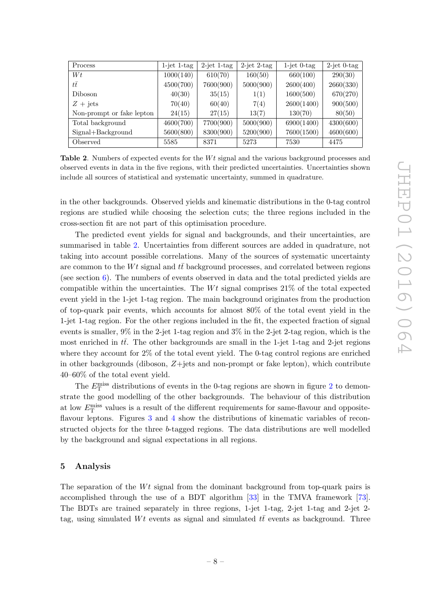| Process                   | $1$ -jet $1$ -tag | $2$ -jet 1-tag | $2$ -jet $2$ -tag | $1$ -jet $0$ -tag | $2$ -jet $0$ -tag |
|---------------------------|-------------------|----------------|-------------------|-------------------|-------------------|
| Wt                        | 1000(140)         | 610(70)        | 160(50)           | 660(100)          | 290(30)           |
| $t\bar{t}$                | 4500(700)         | 7600(900)      | 5000(900)         | 2600(400)         | 2660(330)         |
| Diboson                   | 40(30)            | 35(15)         | 1(1)              | 1600(500)         | 670(270)          |
| $Z + \text{jets}$         | 70(40)            | 60(40)         | 7(4)              | 2600(1400)        | 900(500)          |
| Non-prompt or fake lepton | 24(15)            | 27(15)         | 13(7)             | 130(70)           | 80(50)            |
| Total background          | 4600(700)         | 7700(900)      | 5000(900)         | 6900(1400)        | 4300(600)         |
| Signal+Background         | 5600(800)         | 8300(900)      | 5200(900)         | 7600(1500)        | 4600(600)         |
| Observed                  | 5585              | 8371           | 5273              | 7530              | 4475              |

**Table 2.** Numbers of expected events for the Wt signal and the various background processes and observed events in data in the five regions, with their predicted uncertainties. Uncertainties shown include all sources of statistical and systematic uncertainty, summed in quadrature.

<span id="page-9-0"></span>in the other backgrounds. Observed yields and kinematic distributions in the 0-tag control regions are studied while choosing the selection cuts; the three regions included in the cross-section fit are not part of this optimisation procedure.

The predicted event yields for signal and backgrounds, and their uncertainties, are summarised in table [2.](#page-8-1) Uncertainties from different sources are added in quadrature, not taking into account possible correlations. Many of the sources of systematic uncertainty are common to the  $Wt$  signal and  $t\bar{t}$  background processes, and correlated between regions (see section [6\)](#page-13-0). The numbers of events observed in data and the total predicted yields are compatible within the uncertainties. The  $Wt$  signal comprises 21% of the total expected event yield in the 1-jet 1-tag region. The main background originates from the production of top-quark pair events, which accounts for almost 80% of the total event yield in the 1-jet 1-tag region. For the other regions included in the fit, the expected fraction of signal events is smaller, 9% in the 2-jet 1-tag region and 3% in the 2-jet 2-tag region, which is the most enriched in  $t\bar{t}$ . The other backgrounds are small in the 1-jet 1-tag and 2-jet regions where they account for 2% of the total event yield. The 0-tag control regions are enriched in other backgrounds (diboson, Z+jets and non-prompt or fake lepton), which contribute 40–60% of the total event yield.

The  $E_{\rm T}^{\rm miss}$  distributions of events in the 0-tag regions are shown in figure [2](#page-9-0) to demonstrate the good modelling of the other backgrounds. The behaviour of this distribution at low  $E_{\rm T}^{\rm miss}$  values is a result of the different requirements for same-flavour and opposite-flavour leptons. Figures [3](#page-9-1) and [4](#page-10-0) show the distributions of kinematic variables of reconstructed objects for the three b-tagged regions. The data distributions are well modelled by the background and signal expectations in all regions.

#### 5 Analysis

<span id="page-9-1"></span>The separation of the  $Wt$  signal from the dominant background from top-quark pairs is accomplished through the use of a BDT algorithm [\[33\]](#page-27-14) in the TMVA framework [\[73\]](#page-30-0). The BDTs are trained separately in three regions, 1-jet 1-tag, 2-jet 1-tag and 2-jet 2 tag, using simulated  $Wt$  events as signal and simulated  $t\bar{t}$  events as background. Three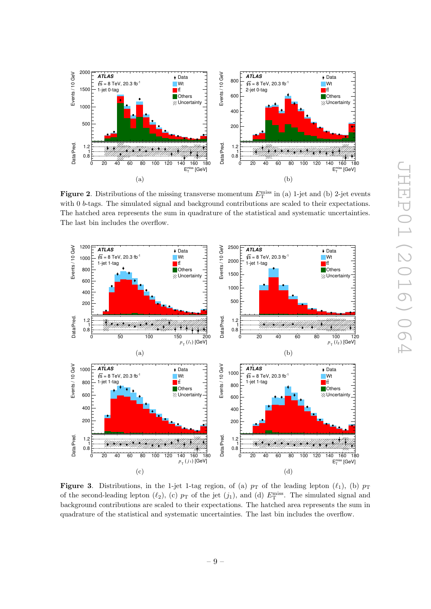

**Figure 2.** Distributions of the missing transverse momentum  $E_T^{\text{miss}}$  in (a) 1-jet and (b) 2-jet events with 0 *b*-tags. The simulated signal and background contributions are scaled to their expectations. The hatched area represents the sum in quadrature of the statistical and systematic uncertainties. The last bin includes the overflow.

<span id="page-10-0"></span>

**Figure 3.** Distributions, in the 1-jet 1-tag region, of (a)  $p_T$  of the leading lepton  $(\ell_1)$ , (b)  $p_T$ of the second-leading lepton  $(\ell_2)$ , (c)  $p_T$  of the jet  $(j_1)$ , and (d)  $E_T^{\text{miss}}$ . The simulated signal and background contributions are scaled to their expectations. The hatched area represents the sum in quadrature of the statistical and systematic uncertainties. The last bin includes the overflow.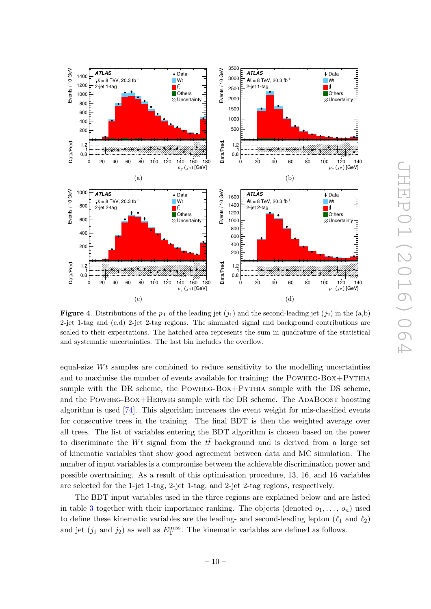

**Figure 4.** Distributions of the  $p<sub>T</sub>$  of the leading jet  $(j<sub>1</sub>)$  and the second-leading jet  $(j<sub>2</sub>)$  in the  $(a,b)$ 2-jet 1-tag and  $(c,d)$  2-jet 2-tag regions. The simulated signal and background contributions are scaled to their expectations. The hatched area represents the sum in quadrature of the statistical and systematic uncertainties. The last bin includes the overflow.

equal-size  $Wt$  samples are combined to reduce sensitivity to the modelling uncertainties and to maximise the number of events available for training: the POWHEG-BOX+PYTHIA sample with the DR scheme, the POWHEG-BOX+PYTHIA sample with the DS scheme, and the POWHEG-BOX+HERWIG sample with the DR scheme. The ADABOOST boosting algorithm is used [\[74\]](#page-30-1). This algorithm increases the event weight for mis-classified events for consecutive trees in the training. The final BDT is then the weighted average over all trees. The list of variables entering the BDT algorithm is chosen based on the power to discriminate the  $Wt$  signal from the  $t\bar{t}$  background and is derived from a large set of kinematic variables that show good agreement between data and MC simulation. The number of input variables is a compromise between the achievable discrimination power and possible overtraining. As a result of this optimisation procedure, 13, 16, and 16 variables are selected for the 1-jet 1-tag, 2-jet 1-tag, and 2-jet 2-tag regions, respectively.

The BDT input variables used in the three regions are explained below and are listed in table [3](#page-12-0) together with their importance ranking. The objects (denoted  $o_1, \ldots, o_n$ ) used to define these kinematic variables are the leading- and second-leading lepton  $(\ell_1 \text{ and } \ell_2)$ and jet  $(j_1 \text{ and } j_2)$  as well as  $E_{\text{T}}^{\text{miss}}$ . The kinematic variables are defined as follows.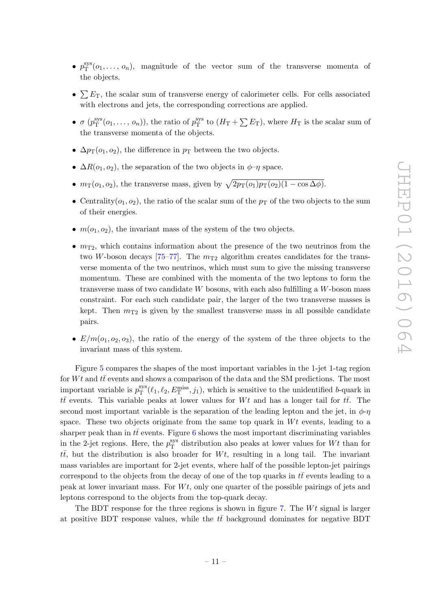- $\bullet$   $p_T^{\rm sys}$  $T<sup>sys</sup>(o_1, \ldots, o_n)$ , magnitude of the vector sum of the transverse momenta of the objects.
- $\sum E_{\text{T}}$ , the scalar sum of transverse energy of calorimeter cells. For cells associated with electrons and jets, the corresponding corrections are applied.
- $\bullet$   $\sigma$  ( $p_T^{\rm sys}$  $T<sup>sys</sup>(o_1, ..., o_n)$ , the ratio of  $p_T<sup>sys</sup>$  $T<sup>sys</sup>$  to  $(H<sub>T</sub> + \sum E<sub>T</sub>)$ , where  $H<sub>T</sub>$  is the scalar sum of the transverse momenta of the objects.
- $\Delta p_{\rm T}(o_1, o_2)$ , the difference in  $p_{\rm T}$  between the two objects.
- $\Delta R(o_1, o_2)$ , the separation of the two objects in  $\phi$ - $\eta$  space.
- $m_T(o_1, o_2)$ , the transverse mass, given by  $\sqrt{2p_T(o_1)p_T(o_2)(1 \cos \Delta \phi)}$ .
- Centrality  $(o_1, o_2)$ , the ratio of the scalar sum of the  $p_T$  of the two objects to the sum of their energies.
- $m(o_1, o_2)$ , the invariant mass of the system of the two objects.
- $\bullet$   $m_{\text{T2}}$ , which contains information about the presence of the two neutrinos from the two W-boson decays [\[75](#page-30-2)[–77\]](#page-30-3). The  $m_{T2}$  algorithm creates candidates for the transverse momenta of the two neutrinos, which must sum to give the missing transverse momentum. These are combined with the momenta of the two leptons to form the transverse mass of two candidate W bosons, with each also fulfilling a W-boson mass constraint. For each such candidate pair, the larger of the two transverse masses is kept. Then  $m_{T2}$  is given by the smallest transverse mass in all possible candidate pairs.
- $E/m(o_1, o_2, o_3)$ , the ratio of the energy of the system of the three objects to the invariant mass of this system.

Figure [5](#page-13-1) compares the shapes of the most important variables in the 1-jet 1-tag region for  $Wt$  and  $t\bar{t}$  events and shows a comparison of the data and the SM predictions. The most important variable is  $p_T^{\rm sys}$  $T<sup>sys</sup>(\ell_1, \ell_2, E<sup>miss</sup>_T, j_1)$ , which is sensitive to the unidentified b-quark in  $t\bar{t}$  events. This variable peaks at lower values for  $Wt$  and has a longer tail for  $t\bar{t}$ . The second most important variable is the separation of the leading lepton and the jet, in  $\phi$ - $\eta$ space. These two objects originate from the same top quark in  $Wt$  events, leading to a sharper peak than in  $t\bar{t}$  events. Figure [6](#page-14-0) shows the most important discriminating variables in the 2-jet regions. Here, the  $p_T^{\rm sys}$  $_{\rm T}^{\rm sys}$  distribution also peaks at lower values for  $Wt$  than for  $t\bar{t}$ , but the distribution is also broader for  $Wt$ , resulting in a long tail. The invariant mass variables are important for 2-jet events, where half of the possible lepton-jet pairings correspond to the objects from the decay of one of the top quarks in  $t\bar{t}$  events leading to a peak at lower invariant mass. For  $Wt$ , only one quarter of the possible pairings of jets and leptons correspond to the objects from the top-quark decay.

<span id="page-12-0"></span>The BDT response for the three regions is shown in figure [7.](#page-15-0) The  $Wt$  signal is larger at positive BDT response values, while the  $t\bar{t}$  background dominates for negative BDT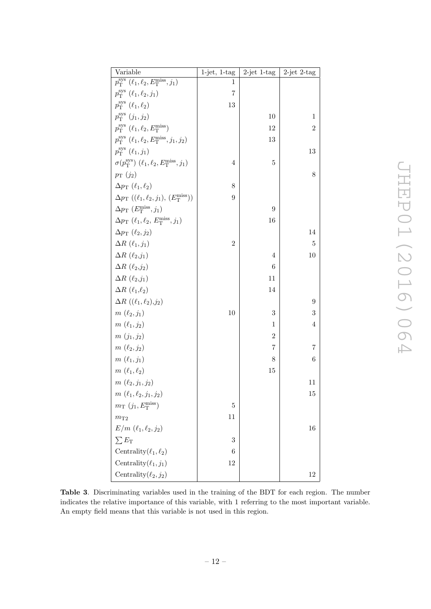| Variable                                                                             | $1$ -jet, $1$ -tag | 2-jet 1-tag   2-jet 2-tag |                |
|--------------------------------------------------------------------------------------|--------------------|---------------------------|----------------|
| $p_{\rm T}^{\rm sys}$ $(\ell_1, \ell_2, E_{\rm T}^{\rm miss}, j_1)$                  | 1                  |                           |                |
| $p_{\rm T}^{\rm sys}$ $(\ell_1, \ell_2, j_1)$                                        | 7                  |                           |                |
| $p_{\rm T}^{\rm sys}$ $(\ell_1, \ell_2)$                                             | 13                 |                           |                |
| $p_{\rm T}^{\rm sys} (j_1, j_2)$                                                     |                    | 10                        | 1              |
| $p_{\rm T}^{\rm sys}$ $(\ell_1, \ell_2, E_{\rm T}^{\rm miss})$                       |                    | 12                        | $\overline{2}$ |
| $p_{\rm T}^{\rm sys}$ ( $\ell_1, \ell_2, E_{\rm T}^{\rm miss}, j_1, j_2$ )           |                    | 13                        |                |
| $p_T^{\rm sys} (\ell_1, j_1)$                                                        |                    |                           | 13             |
| $\sigma(p_T^{\rm sys})$ $(\ell_1, \ell_2, E_T^{\rm miss}, j_1)$                      | $\overline{4}$     | 5                         |                |
| $p_{\rm T}$ $(j_2)$                                                                  |                    |                           | 8              |
| $\Delta p_{\rm T}$ ( $\ell_1, \ell_2$ )                                              | 8                  |                           |                |
| $\Delta p_{\rm T} ((\ell_1, \ell_2, j_1), (E_{\rm T}^{\rm miss}))$                   | 9                  |                           |                |
| $\Delta p_{\rm T}$ ( <i>E</i> <sub>T</sub> <sup>miss</sup> , <i>j</i> <sub>1</sub> ) |                    | 9                         |                |
| $\Delta p_{\rm T}$ ( $\ell_1, \ell_2, E_{\rm T}^{\rm miss}, j_1$ )                   |                    | 16                        |                |
| $\Delta p_{\rm T}$ ( $\ell_2, j_2$ )                                                 |                    |                           | 14             |
| $\Delta R$ $(\ell_1, j_1)$                                                           | $\overline{2}$     |                           | 5              |
| $\Delta R$ ( $\ell_2, j_1$ )                                                         |                    | $\overline{4}$            | 10             |
| $\Delta R$ ( $\ell_2, j_2$ )                                                         |                    | 6                         |                |
| $\Delta R$ ( $\ell_2, j_1$ )                                                         |                    | 11                        |                |
| $\Delta R$ ( $\ell_1,\ell_2$ )                                                       |                    | 14                        |                |
| $\Delta R ((\ell_1, \ell_2), j_2)$                                                   |                    |                           | 9              |
| $m(\ell_2, j_1)$                                                                     | 10                 | 3                         | 3              |
| $m(\ell_1, j_2)$                                                                     |                    | $\mathbf{1}$              | 4              |
| $m(j_1, j_2)$                                                                        |                    | $\overline{2}$            |                |
| $m(\ell_2, j_2)$                                                                     |                    | 7                         | 7              |
| $m(\ell_1,j_1)$                                                                      |                    | 8                         | 6              |
| $m(\ell_1,\ell_2)$                                                                   |                    | 15                        |                |
| $m(\ell_2, j_1, j_2)$                                                                |                    |                           | $11\,$         |
| $m(\ell_1, \ell_2, j_1, j_2)$                                                        |                    |                           | 15             |
| $m_{\rm T}$ $(j_1, E_{\rm T}^{\rm miss})$                                            | $\overline{5}$     |                           |                |
| $m_{\rm T2}$                                                                         | $11\,$             |                           |                |
| $E/m (\ell_1, \ell_2, j_2)$                                                          |                    |                           | 16             |
| $\sum E_{\rm T}$                                                                     | 3                  |                           |                |
| Centrality $(\ell_1, \ell_2)$                                                        | 6                  |                           |                |
| Centrality $(\ell_1, j_1)$                                                           | 12                 |                           |                |
| Centrality $(\ell_2, j_2)$                                                           |                    |                           | 12             |

<span id="page-13-1"></span><span id="page-13-0"></span>Table 3. Discriminating variables used in the training of the BDT for each region. The number indicates the relative importance of this variable, with 1 referring to the most important variable. An empty field means that this variable is not used in this region.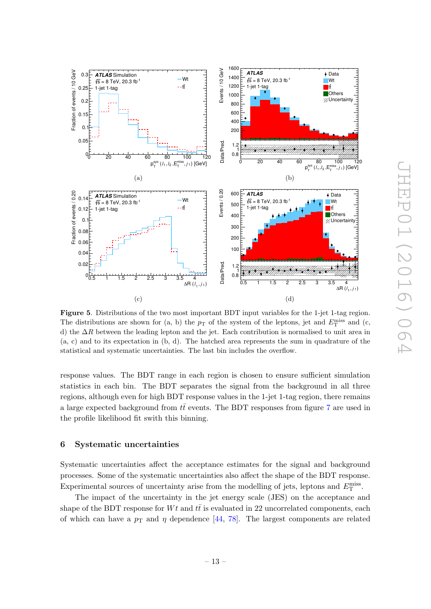

<span id="page-14-0"></span>Figure 5. Distributions of the two most important BDT input variables for the 1-jet 1-tag region. The distributions are shown for (a, b) the  $p_T$  of the system of the leptons, jet and  $E_T^{\text{miss}}$  and (c, d) the  $\Delta R$  between the leading lepton and the jet. Each contribution is normalised to unit area in (a, c) and to its expectation in (b, d). The hatched area represents the sum in quadrature of the statistical and systematic uncertainties. The last bin includes the overflow.

response values. The BDT range in each region is chosen to ensure sufficient simulation statistics in each bin. The BDT separates the signal from the background in all three regions, although even for high BDT response values in the 1-jet 1-tag region, there remains a large expected background from  $t\bar{t}$  events. The BDT responses from figure [7](#page-15-0) are used in the profile likelihood fit swith this binning.

#### 6 Systematic uncertainties

Systematic uncertainties affect the acceptance estimates for the signal and background processes. Some of the systematic uncertainties also affect the shape of the BDT response. Experimental sources of uncertainty arise from the modelling of jets, leptons and  $E_{\rm T}^{\rm miss}$ .

The impact of the uncertainty in the jet energy scale (JES) on the acceptance and shape of the BDT response for  $Wt$  and  $t\bar{t}$  is evaluated in 22 uncorrelated components, each of which can have a  $p_T$  and  $\eta$  dependence [\[44](#page-28-7), [78\]](#page-30-4). The largest components are related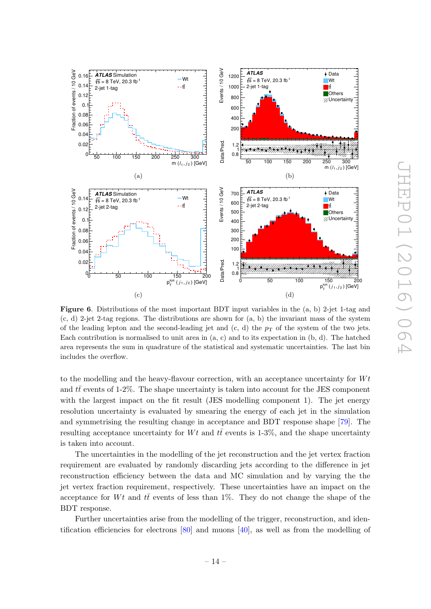

Figure 6. Distributions of the most important BDT input variables in the (a, b) 2-jet 1-tag and  $(c, d)$  2-jet 2-tag regions. The distributions are shown for  $(a, b)$  the invariant mass of the system of the leading lepton and the second-leading jet and  $(c, d)$  the  $p<sub>T</sub>$  of the system of the two jets. Each contribution is normalised to unit area in (a, c) and to its expectation in (b, d). The hatched area represents the sum in quadrature of the statistical and systematic uncertainties. The last bin includes the overflow.

to the modelling and the heavy-flavour correction, with an acceptance uncertainty for  $Wt$ and  $t\bar{t}$  events of 1-2%. The shape uncertainty is taken into account for the JES component with the largest impact on the fit result (JES modelling component 1). The jet energy resolution uncertainty is evaluated by smearing the energy of each jet in the simulation and symmetrising the resulting change in acceptance and BDT response shape [\[79\]](#page-30-5). The resulting acceptance uncertainty for  $Wt$  and  $t\bar{t}$  events is 1-3%, and the shape uncertainty is taken into account.

<span id="page-15-0"></span>The uncertainties in the modelling of the jet reconstruction and the jet vertex fraction requirement are evaluated by randomly discarding jets according to the difference in jet reconstruction efficiency between the data and MC simulation and by varying the the jet vertex fraction requirement, respectively. These uncertainties have an impact on the acceptance for  $Wt$  and  $t\bar{t}$  events of less than 1%. They do not change the shape of the BDT response.

Further uncertainties arise from the modelling of the trigger, reconstruction, and identification efficiencies for electrons  $[80]$  and muons  $[40]$ , as well as from the modelling of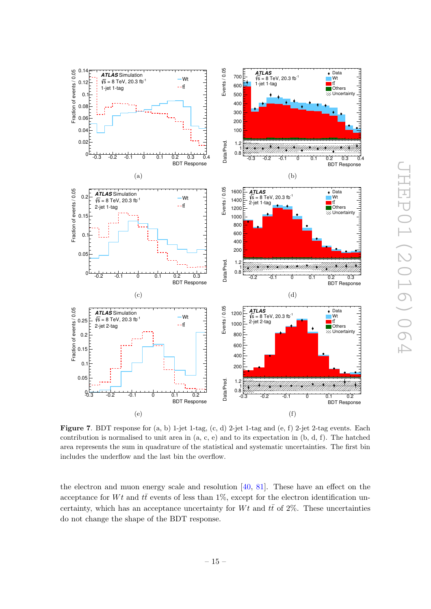



**Figure 7.** BDT response for  $(a, b)$  1-jet 1-tag,  $(c, d)$  2-jet 1-tag and  $(e, f)$  2-jet 2-tag events. Each contribution is normalised to unit area in  $(a, c, e)$  and to its expectation in  $(b, d, f)$ . The hatched area represents the sum in quadrature of the statistical and systematic uncertainties. The first bin includes the underflow and the last bin the overflow.

the electron and muon energy scale and resolution [\[40](#page-28-3) , [81\]](#page-30-7). These have an effect on the acceptance for  $Wt$  and  $t\bar{t}$  events of less than 1%, except for the electron identification uncertainty, which has an acceptance uncertainty for  $Wt$  and  $t\bar{t}$  of 2%. These uncertainties do not change the shape of the BDT response.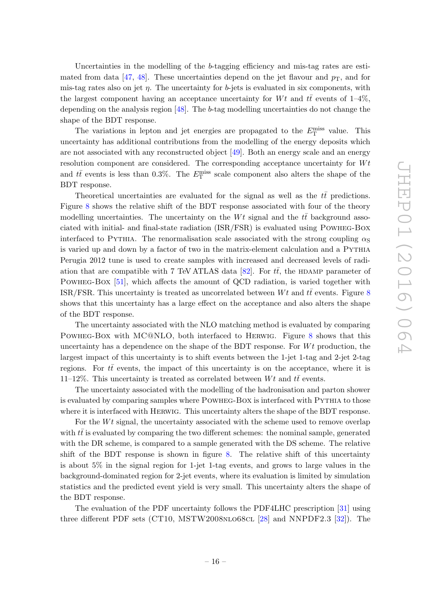Uncertainties in the modelling of the b-tagging efficiency and mis-tag rates are esti-mated from data [\[47,](#page-28-10) [48\]](#page-28-11). These uncertainties depend on the jet flavour and  $p_T$ , and for mis-tag rates also on jet  $\eta$ . The uncertainty for b-jets is evaluated in six components, with the largest component having an acceptance uncertainty for  $Wt$  and  $t\bar{t}$  events of 1–4%, depending on the analysis region [\[48\]](#page-28-11). The b-tag modelling uncertainties do not change the shape of the BDT response.

The variations in lepton and jet energies are propagated to the  $E_{\rm T}^{\rm miss}$  value. This uncertainty has additional contributions from the modelling of the energy deposits which are not associated with any reconstructed object [\[49\]](#page-28-12). Both an energy scale and an energy resolution component are considered. The corresponding acceptance uncertainty for  $Wt$ and  $t\bar{t}$  events is less than 0.3%. The  $E_{\rm T}^{\rm miss}$  scale component also alters the shape of the BDT response.

Theoretical uncertainties are evaluated for the signal as well as the  $t\bar{t}$  predictions. Figure [8](#page-17-0) shows the relative shift of the BDT response associated with four of the theory modelling uncertainties. The uncertainty on the  $Wt$  signal and the  $t\bar{t}$  background associated with initial- and final-state radiation (ISR/FSR) is evaluated using Powheg-Box interfaced to PYTHIA. The renormalisation scale associated with the strong coupling  $\alpha_{\rm S}$ is varied up and down by a factor of two in the matrix-element calculation and a Pythia Perugia 2012 tune is used to create samples with increased and decreased levels of radi-ation that are compatible with 7 TeV ATLAS data [\[82\]](#page-30-8). For  $t\bar{t}$ , the HDAMP parameter of POWHEG-BOX [\[51\]](#page-28-14), which affects the amount of QCD radiation, is varied together with ISR/FSR. This uncertainty is treated as uncorrelated between  $Wt$  and  $t\bar{t}$  events. Figure [8](#page-17-0) shows that this uncertainty has a large effect on the acceptance and also alters the shape of the BDT response.

<span id="page-17-0"></span>The uncertainty associated with the NLO matching method is evaluated by comparing POWHEG-BOX with MC@NLO, both interfaced to HERWIG. Figure [8](#page-17-0) shows that this uncertainty has a dependence on the shape of the BDT response. For  $Wt$  production, the largest impact of this uncertainty is to shift events between the 1-jet 1-tag and 2-jet 2-tag regions. For  $t\bar{t}$  events, the impact of this uncertainty is on the acceptance, where it is 11–12%. This uncertainty is treated as correlated between  $Wt$  and  $t\bar{t}$  events.

The uncertainty associated with the modelling of the hadronisation and parton shower is evaluated by comparing samples where Powheg-Box is interfaced with Pythia to those where it is interfaced with Herwig. This uncertainty alters the shape of the BDT response.

For the  $Wt$  signal, the uncertainty associated with the scheme used to remove overlap with  $t\bar{t}$  is evaluated by comparing the two different schemes: the nominal sample, generated with the DR scheme, is compared to a sample generated with the DS scheme. The relative shift of the BDT response is shown in figure [8.](#page-17-0) The relative shift of this uncertainty is about 5% in the signal region for 1-jet 1-tag events, and grows to large values in the background-dominated region for 2-jet events, where its evaluation is limited by simulation statistics and the predicted event yield is very small. This uncertainty alters the shape of the BDT response.

The evaluation of the PDF uncertainty follows the PDF4LHC prescription [\[31\]](#page-27-12) using three different PDF sets (CT10, MSTW2008NLO68CL [\[28\]](#page-27-9) and NNPDF2.3 [\[32\]](#page-27-13)). The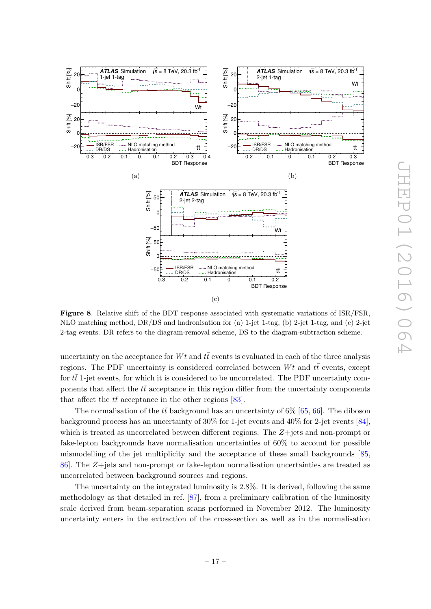<span id="page-18-1"></span><span id="page-18-0"></span>

Figure 8. Relative shift of the BDT response associated with systematic variations of ISR/FSR, NLO matching method, DR/DS and hadronisation for (a) 1-jet 1-tag, (b) 2-jet 1-tag, and (c) 2-jet 2-tag events. DR refers to the diagram-removal scheme, DS to the diagram-subtraction scheme.

uncertainty on the acceptance for  $Wt$  and  $t\bar{t}$  events is evaluated in each of the three analysis regions. The PDF uncertainty is considered correlated between  $Wt$  and  $t\bar{t}$  events, except for  $t\bar{t}$  1-jet events, for which it is considered to be uncorrelated. The PDF uncertainty components that affect the  $t\bar{t}$  acceptance in this region differ from the uncertainty components that affect the  $t\bar{t}$  acceptance in the other regions [\[83\]](#page-30-9).

The normalisation of the  $t\bar{t}$  background has an uncertainty of 6% [\[65](#page-29-13), [66\]](#page-29-6). The diboson background process has an uncertainty of 30% for 1-jet events and 40% for 2-jet events [\[84\]](#page-30-10), which is treated as uncorrelated between different regions. The Z+jets and non-prompt or fake-lepton backgrounds have normalisation uncertainties of 60% to account for possible mismodelling of the jet multiplicity and the acceptance of these small backgrounds [\[85](#page-30-11) , [86\]](#page-30-12). The Z+jets and non-prompt or fake-lepton normalisation uncertainties are treated as uncorrelated between background sources and regions.

The uncertainty on the integrated luminosity is 2.8%. It is derived, following the same methodology as that detailed in ref. [\[87\]](#page-30-13), from a preliminary calibration of the luminosity scale derived from beam-separation scans performed in November 2012. The luminosity uncertainty enters in the extraction of the cross-section as well as in the normalisation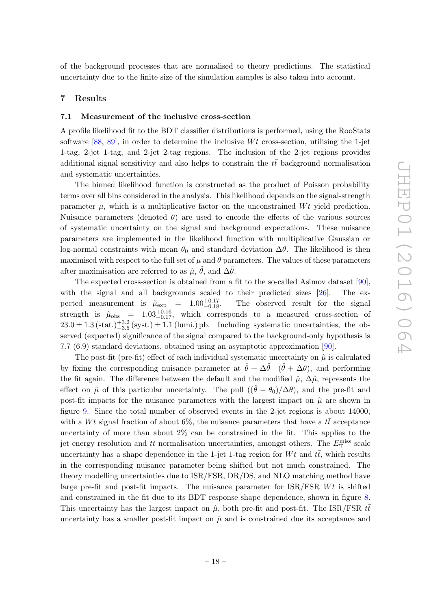of the background processes that are normalised to theory predictions. The statistical uncertainty due to the finite size of the simulation samples is also taken into account.

#### 7 Results

#### 7.1 Measurement of the inclusive cross-section

A profile likelihood fit to the BDT classifier distributions is performed, using the RooStats software  $[88, 89]$  $[88, 89]$ , in order to determine the inclusive  $Wt$  cross-section, utilising the 1-jet 1-tag, 2-jet 1-tag, and 2-jet 2-tag regions. The inclusion of the 2-jet regions provides additional signal sensitivity and also helps to constrain the  $t\bar{t}$  background normalisation and systematic uncertainties.

The binned likelihood function is constructed as the product of Poisson probability terms over all bins considered in the analysis. This likelihood depends on the signal-strength parameter  $\mu$ , which is a multiplicative factor on the unconstrained  $Wt$  yield prediction. Nuisance parameters (denoted  $\theta$ ) are used to encode the effects of the various sources of systematic uncertainty on the signal and background expectations. These nuisance parameters are implemented in the likelihood function with multiplicative Gaussian or log-normal constraints with mean  $\theta_0$  and standard deviation  $\Delta\theta$ . The likelihood is then maximised with respect to the full set of  $\mu$  and  $\theta$  parameters. The values of these parameters after maximisation are referred to as  $\hat{\mu}$ ,  $\hat{\theta}$ , and  $\Delta\hat{\theta}$ .

The expected cross-section is obtained from a fit to the so-called Asimov dataset [\[90\]](#page-30-16), with the signal and all backgrounds scaled to their predicted sizes [\[26\]](#page-27-7). The expected measurement is  $\hat{\mu}_{exp}$  = 1.00<sup>+0.17</sup>. The observed result for the signal strength is  $\hat{\mu}_{obs}$  = 1.03<sup>+0.16</sup>, which corresponds to a measured cross-section of  $23.0 \pm 1.3$  (stat.) $^{+3.2}_{-3.5}$  (syst.)  $\pm 1.1$  (lumi.) pb. Including systematic uncertainties, the observed (expected) significance of the signal compared to the background-only hypothesis is 7.7 (6.9) standard deviations, obtained using an asymptotic approximation [\[90\]](#page-30-16).

<span id="page-19-0"></span>The post-fit (pre-fit) effect of each individual systematic uncertainty on  $\hat{\mu}$  is calculated by fixing the corresponding nuisance parameter at  $\hat{\theta} + \Delta \hat{\theta}$  ( $\hat{\theta} + \Delta \theta$ ), and performing the fit again. The difference between the default and the modified  $\hat{\mu}$ ,  $\Delta \hat{\mu}$ , represents the effect on  $\hat{\mu}$  of this particular uncertainty. The pull  $((\hat{\theta} - \theta_0)/\Delta\theta)$ , and the pre-fit and post-fit impacts for the nuisance parameters with the largest impact on  $\hat{\mu}$  are shown in figure [9.](#page-19-0) Since the total number of observed events in the 2-jet regions is about 14000, with a Wt signal fraction of about 6%, the nuisance parameters that have a  $t\bar{t}$  acceptance uncertainty of more than about 2% can be constrained in the fit. This applies to the jet energy resolution and  $t\bar{t}$  normalisation uncertainties, amongst others. The  $E_{\rm T}^{\rm miss}$  scale uncertainty has a shape dependence in the 1-jet 1-tag region for  $Wt$  and  $t\bar{t}$ , which results in the corresponding nuisance parameter being shifted but not much constrained. The theory modelling uncertainties due to ISR/FSR, DR/DS, and NLO matching method have large pre-fit and post-fit impacts. The nuisance parameter for  $\text{ISR}/\text{FSR}$  Wt is shifted and constrained in the fit due to its BDT response shape dependence, shown in figure [8](#page-17-0) . This uncertainty has the largest impact on  $\hat{\mu}$ , both pre-fit and post-fit. The ISR/FSR  $t\bar{t}$ uncertainty has a smaller post-fit impact on  $\hat{\mu}$  and is constrained due its acceptance and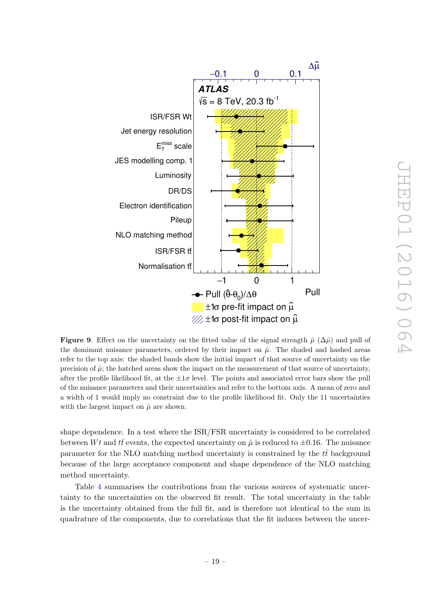

<span id="page-20-1"></span><span id="page-20-0"></span>**Figure 9.** Effect on the uncertainty on the fitted value of the signal strength  $\hat{\mu}$  ( $\Delta \hat{\mu}$ ) and pull of the dominant nuisance parameters, ordered by their impact on  $\hat{\mu}$ . The shaded and hashed areas refer to the top axis: the shaded bands show the initial impact of that source of uncertainty on the precision of  $\hat{\mu}$ ; the hatched areas show the impact on the measurement of that source of uncertainty, after the profile likelihood fit, at the  $\pm 1\sigma$  level. The points and associated error bars show the pull of the nuisance parameters and their uncertainties and refer to the bottom axis. A mean of zero and a width of 1 would imply no constraint due to the profile likelihood fit. Only the 11 uncertainties with the largest impact on  $\hat{\mu}$  are shown.

shape dependence. In a test where the ISR/FSR uncertainty is considered to be correlated between  $Wt$  and  $t\bar{t}$  events, the expected uncertainty on  $\hat{\mu}$  is reduced to  $\pm 0.16$ . The nuisance parameter for the NLO matching method uncertainty is constrained by the  $t\bar{t}$  background because of the large acceptance component and shape dependence of the NLO matching method uncertainty.

Table [4](#page-20-1) summarises the contributions from the various sources of systematic uncertainty to the uncertainties on the observed fit result. The total uncertainty in the table is the uncertainty obtained from the full fit, and is therefore not identical to the sum in quadrature of the components, due to correlations that the fit induces between the uncer-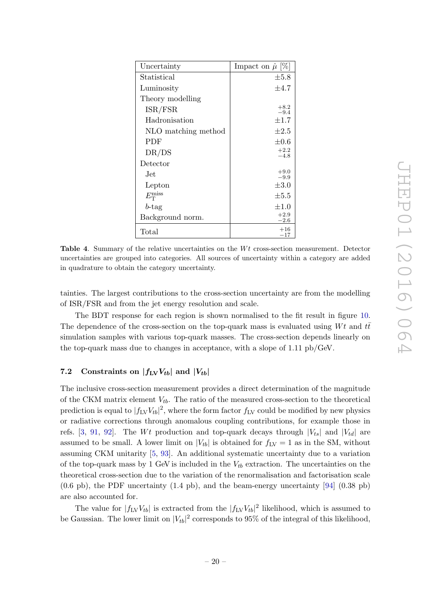| Uncertainty            | Impact on $\hat{\mu}$ [%] |
|------------------------|---------------------------|
| Statistical            | $\pm 5.8$                 |
| Luminosity             | $\pm 4.7$                 |
| Theory modelling       |                           |
| ISR/FSR                | $+8.2$<br>$-9.4$          |
| Hadronisation          | $\pm 1.7$                 |
| NLO matching method    | $\pm 2.5$                 |
| <b>PDF</b>             | $\pm 0.6$                 |
| DR/DS                  | $+2.2$<br>$-4.8$          |
| Detector               |                           |
| .Jet                   | $+9.0$<br>$-9.9$          |
| Lepton                 | $\pm 3.0$                 |
| $E_{\rm T}^{\rm miss}$ | $\pm 5.5$                 |
| b-tag                  | $\pm 1.0$                 |
| Background norm.       | $+2.9$<br>$^{-2.6}$       |
| Total                  | $+16$<br>$^{-17}$         |

Table 4. Summary of the relative uncertainties on the  $Wt$  cross-section measurement. Detector uncertainties are grouped into categories. All sources of uncertainty within a category are added in quadrature to obtain the category uncertainty.

tainties. The largest contributions to the cross-section uncertainty are from the modelling of ISR/FSR and from the jet energy resolution and scale.

<span id="page-21-1"></span>The BDT response for each region is shown normalised to the fit result in figure [10](#page-21-1) . The dependence of the cross-section on the top-quark mass is evaluated using  $Wt$  and  $t\bar{t}$ simulation samples with various top-quark masses. The cross-section depends linearly on the top-quark mass due to changes in acceptance, with a slope of 1.11 pb/GeV.

#### 7.2 Constraints on  $|f_{\rm LV} V_{tb}|$  and  $|V_{tb}|$

<span id="page-21-0"></span>The inclusive cross-section measurement provides a direct determination of the magnitude of the CKM matrix element  $V_{tb}$ . The ratio of the measured cross-section to the theoretical prediction is equal to  $|f_{\rm LV}V_{tb}|^2$ , where the form factor  $f_{\rm LV}$  could be modified by new physics or radiative corrections through anomalous coupling contributions, for example those in refs. [[3](#page-26-1), [91](#page-31-0), [92\]](#page-31-1). The  $Wt$  production and top-quark decays through  $|V_{ts}|$  and  $|V_{td}|$  are assumed to be small. A lower limit on  $|V_{tb}|$  is obtained for  $f_{LV} = 1$  as in the SM, without assuming CKM unitarity [ [5](#page-26-3) , [93\]](#page-31-2). An additional systematic uncertainty due to a variation of the top-quark mass by 1 GeV is included in the  $V_{tb}$  extraction. The uncertainties on the theoretical cross-section due to the variation of the renormalisation and factorisation scale  $(0.6 \text{ pb})$ , the PDF uncertainty  $(1.4 \text{ pb})$ , and the beam-energy uncertainty  $[94]$   $(0.38 \text{ pb})$ are also accounted for.

The value for  $|f_{\text{LV}}V_{tb}|$  is extracted from the  $|f_{\text{LV}}V_{tb}|^2$  likelihood, which is assumed to be Gaussian. The lower limit on  $|V_{tb}|^2$  corresponds to 95% of the integral of this likelihood,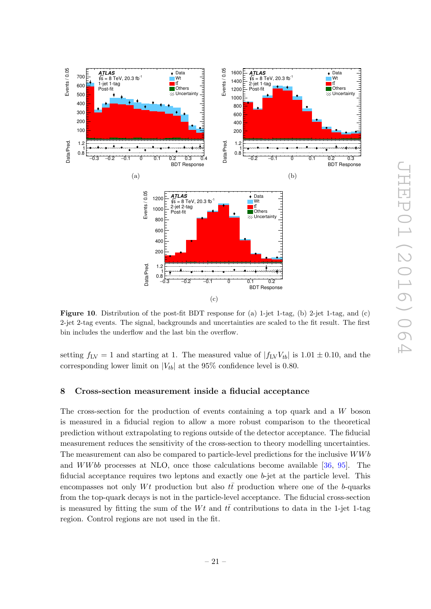<span id="page-22-2"></span><span id="page-22-0"></span>

Figure 10. Distribution of the post-fit BDT response for (a) 1-jet 1-tag, (b) 2-jet 1-tag, and (c) 2-jet 2-tag events. The signal, backgrounds and uncertainties are scaled to the fit result. The first bin includes the underflow and the last bin the overflow.

setting  $f_{\text{LV}} = 1$  and starting at 1. The measured value of  $|f_{\text{LV}}V_{tb}|$  is  $1.01 \pm 0.10$ , and the corresponding lower limit on  $|V_{tb}|$  at the 95% confidence level is 0.80.

#### 8 Cross-section measurement inside a fiducial acceptance

<span id="page-22-1"></span>The cross-section for the production of events containing a top quark and a W boson is measured in a fiducial region to allow a more robust comparison to the theoretical prediction without extrapolating to regions outside of the detector acceptance. The fiducial measurement reduces the sensitivity of the cross-section to theory modelling uncertainties. The measurement can also be compared to particle-level predictions for the inclusive WW b and *WWbb* processes at NLO, once those calculations become available [\[36](#page-27-17), [95\]](#page-31-4). The fiducial acceptance requires two leptons and exactly one b-jet at the particle level. This encompasses not only  $Wt$  production but also  $t\bar{t}$  production where one of the b-quarks from the top-quark decays is not in the particle-level acceptance. The fiducial cross-section is measured by fitting the sum of the  $Wt$  and  $t\bar{t}$  contributions to data in the 1-jet 1-tag region. Control regions are not used in the fit.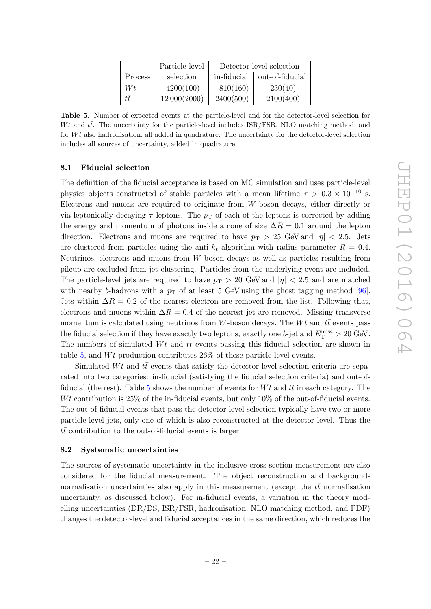|         | Particle-level | Detector-level selection |                 |
|---------|----------------|--------------------------|-----------------|
| Process | selection      | in-fiducial              | out-of-fiducial |
| Wt      | 4200(100)      | 810(160)                 | 230(40)         |
| tt      | 12 000(2000)   | 2400(500)                | 2100(400)       |

Table 5. Number of expected events at the particle-level and for the detector-level selection for Wt and  $t\bar{t}$ . The uncertainty for the particle-level includes ISR/FSR, NLO matching method, and for  $Wt$  also hadronisation, all added in quadrature. The uncertainty for the detector-level selection includes all sources of uncertainty, added in quadrature.

#### 8.1 Fiducial selection

<span id="page-23-1"></span>The definition of the fiducial acceptance is based on MC simulation and uses particle-level physics objects constructed of stable particles with a mean lifetime  $\tau > 0.3 \times 10^{-10}$  s. Electrons and muons are required to originate from W-boson decays, either directly or via leptonically decaying  $\tau$  leptons. The  $p_T$  of each of the leptons is corrected by adding the energy and momentum of photons inside a cone of size  $\Delta R = 0.1$  around the lepton direction. Electrons and muons are required to have  $p_T > 25$  GeV and  $|\eta| < 2.5$ . Jets are clustered from particles using the anti- $k_t$  algorithm with radius parameter  $R = 0.4$ . Neutrinos, electrons and muons from W-boson decays as well as particles resulting from pileup are excluded from jet clustering. Particles from the underlying event are included. The particle-level jets are required to have  $p_T > 20$  GeV and  $|\eta| < 2.5$  and are matched with nearby b-hadrons with a  $p_T$  of at least 5 GeV using the ghost tagging method [\[96\]](#page-31-5). Jets within  $\Delta R = 0.2$  of the nearest electron are removed from the list. Following that, electrons and muons within  $\Delta R = 0.4$  of the nearest jet are removed. Missing transverse momentum is calculated using neutrinos from W-boson decays. The  $Wt$  and  $t\bar{t}$  events pass the fiducial selection if they have exactly two leptons, exactly one *b*-jet and  $E_T^{\text{miss}} > 20$  GeV. The numbers of simulated  $Wt$  and  $t\bar{t}$  events passing this fiducial selection are shown in table [5,](#page-22-2) and  $Wt$  production contributes 26% of these particle-level events.

<span id="page-23-0"></span>Simulated  $Wt$  and  $t\bar{t}$  events that satisfy the detector-level selection criteria are separated into two categories: in-fiducial (satisfying the fiducial selection criteria) and out-of-fiducial (the rest). Table [5](#page-22-2) shows the number of events for  $Wt$  and  $t\bar{t}$  in each category. The Wt contribution is 25% of the in-fiducial events, but only  $10\%$  of the out-of-fiducial events. The out-of-fiducial events that pass the detector-level selection typically have two or more particle-level jets, only one of which is also reconstructed at the detector level. Thus the  $t\bar{t}$  contribution to the out-of-fiducial events is larger.

#### 8.2 Systematic uncertainties

The sources of systematic uncertainty in the inclusive cross-section measurement are also considered for the fiducial measurement. The object reconstruction and backgroundnormalisation uncertainties also apply in this measurement (except the  $t\bar{t}$  normalisation uncertainty, as discussed below). For in-fiducial events, a variation in the theory modelling uncertainties (DR/DS, ISR/FSR, hadronisation, NLO matching method, and PDF) changes the detector-level and fiducial acceptances in the same direction, which reduces the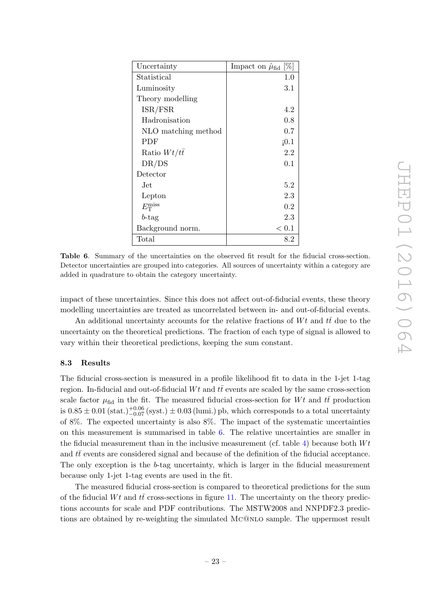| Uncertainty                      | Impact on $\hat{\mu}_{\text{fid}}$ [%] |
|----------------------------------|----------------------------------------|
| Statistical                      | 1.0                                    |
| Luminosity                       | 3.1                                    |
| Theory modelling                 |                                        |
| ISR/FSR                          | 4.2                                    |
| Hadronisation                    | 0.8                                    |
| NLO matching method              | 0.7                                    |
| PDF                              | $\alpha$ <sub>i</sub> $0.1$            |
| Ratio $Wt/t\bar{t}$              | 2.2                                    |
| DR/DS                            | 0.1                                    |
| Detector                         |                                        |
| .Jet                             | 5.2                                    |
| Lepton                           | 2.3                                    |
| $E_{\mathrm{T}}^{\mathrm{miss}}$ | 0.2                                    |
| b-tag                            | 2.3                                    |
| Background norm.                 | < 0.1                                  |
| $\text{Total}$                   | 8.2                                    |

Table 6. Summary of the uncertainties on the observed fit result for the fiducial cross-section. Detector uncertainties are grouped into categories. All sources of uncertainty within a category are added in quadrature to obtain the category uncertainty.

<span id="page-24-1"></span>impact of these uncertainties. Since this does not affect out-of-fiducial events, these theory modelling uncertainties are treated as uncorrelated between in- and out-of-fiducial events.

An additional uncertainty accounts for the relative fractions of  $Wt$  and  $t\bar{t}$  due to the uncertainty on the theoretical predictions. The fraction of each type of signal is allowed to vary within their theoretical predictions, keeping the sum constant.

#### 8.3 Results

The fiducial cross-section is measured in a profile likelihood fit to data in the 1-jet 1-tag region. In-fiducial and out-of-fiducial  $Wt$  and  $t\bar{t}$  events are scaled by the same cross-section scale factor  $\mu_{\text{fid}}$  in the fit. The measured fiducial cross-section for Wt and  $t\bar{t}$  production is  $0.85 \pm 0.01$  (stat.) $_{-0.07}^{+0.06}$  (syst.)  $\pm 0.03$  (lumi.) pb, which corresponds to a total uncertainty of 8%. The expected uncertainty is also 8%. The impact of the systematic uncertainties on this measurement is summarised in table [6.](#page-23-1) The relative uncertainties are smaller in the fiducial measurement than in the inclusive measurement (cf. table [4\)](#page-20-1) because both  $Wt$ and  $t\bar{t}$  events are considered signal and because of the definition of the fiducial acceptance. The only exception is the b-tag uncertainty, which is larger in the fiducial measurement because only 1-jet 1-tag events are used in the fit.

<span id="page-24-0"></span>The measured fiducial cross-section is compared to theoretical predictions for the sum of the fiducial  $Wt$  and  $t\bar{t}$  cross-sections in figure [11.](#page-24-1) The uncertainty on the theory predictions accounts for scale and PDF contributions. The MSTW2008 and NNPDF2.3 predictions are obtained by re-weighting the simulated Mc@nlo sample. The uppermost result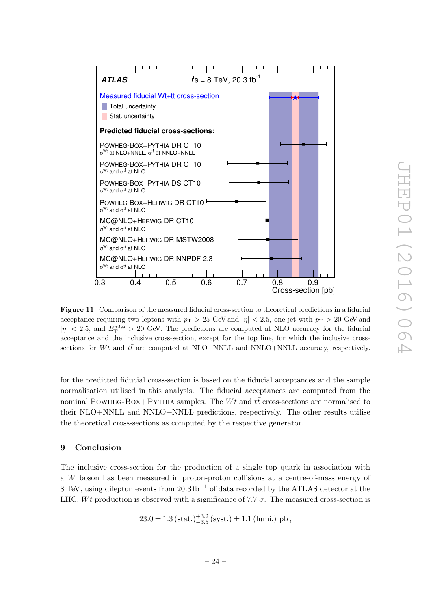

Figure 11. Comparison of the measured fiducial cross-section to theoretical predictions in a fiducial acceptance requiring two leptons with  $p_T > 25$  GeV and  $|\eta| < 2.5$ , one jet with  $p_T > 20$  GeV and  $|\eta|$  < 2.5, and  $E_T^{\text{miss}} > 20$  GeV. The predictions are computed at NLO accuracy for the fiducial acceptance and the inclusive cross-section, except for the top line, for which the inclusive crosssections for Wt and  $t\bar{t}$  are computed at NLO+NNLL and NNLO+NNLL accuracy, respectively.

for the predicted fiducial cross-section is based on the fiducial acceptances and the sample normalisation utilised in this analysis. The fiducial acceptances are computed from the nominal POWHEG-BOX+PYTHIA samples. The  $Wt$  and  $t\bar{t}$  cross-sections are normalised to their NLO+NNLL and NNLO+NNLL predictions, respectively. The other results utilise the theoretical cross-sections as computed by the respective generator.

#### 9 Conclusion

The inclusive cross-section for the production of a single top quark in association with a W boson has been measured in proton-proton collisions at a centre-of-mass energy of 8 TeV, using dilepton events from  $20.3 \text{ fb}^{-1}$  of data recorded by the ATLAS detector at the LHC. Wt production is observed with a significance of 7.7  $\sigma$ . The measured cross-section is

$$
23.0 \pm 1.3\,{\rm (stat.)}^{+3.2}_{-3.5} \,{\rm (syst.)} \pm 1.1\,{\rm (lumi.)}\,\,{\rm pb}\,,
$$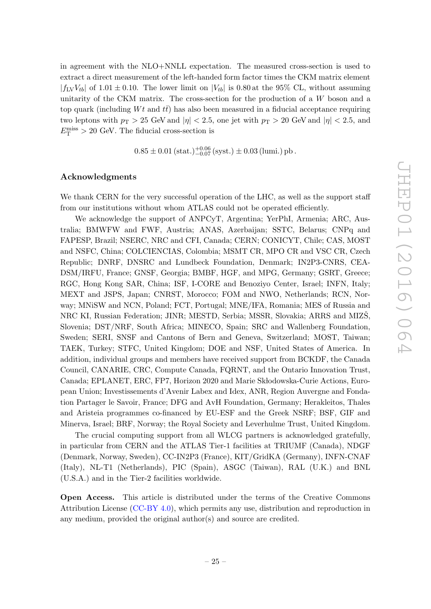<span id="page-26-1"></span><span id="page-26-0"></span>in agreement with the NLO+NNLL expectation. The measured cross-section is used to extract a direct measurement of the left-handed form factor times the CKM matrix element  $|f_{\text{LV}}V_{tb}|$  of 1.01  $\pm$  0.10. The lower limit on  $|V_{tb}|$  is 0.80 at the 95% CL, without assuming unitarity of the CKM matrix. The cross-section for the production of a W boson and a top quark (including  $Wt$  and  $t\bar{t}$ ) has also been measured in a fiducial acceptance requiring two leptons with  $p_T > 25$  GeV and  $|\eta| < 2.5$ , one jet with  $p_T > 20$  GeV and  $|\eta| < 2.5$ , and  $E_{\rm T}^{\rm miss} > 20$  GeV. The fiducial cross-section is

 $0.85 \pm 0.01 \, (\text{stat.})_{-0.07}^{+0.06} \, (\text{syst.}) \pm 0.03 \, (\text{lumi.}) \, \text{pb}$ .

#### <span id="page-26-4"></span><span id="page-26-3"></span><span id="page-26-2"></span>Acknowledgments

<span id="page-26-5"></span>We thank CERN for the very successful operation of the LHC, as well as the support staff from our institutions without whom ATLAS could not be operated efficiently.

<span id="page-26-9"></span><span id="page-26-8"></span><span id="page-26-7"></span><span id="page-26-6"></span>We acknowledge the support of ANPCyT, Argentina; YerPhI, Armenia; ARC, Australia; BMWFW and FWF, Austria; ANAS, Azerbaijan; SSTC, Belarus; CNPq and FAPESP, Brazil; NSERC, NRC and CFI, Canada; CERN; CONICYT, Chile; CAS, MOST and NSFC, China; COLCIENCIAS, Colombia; MSMT CR, MPO CR and VSC CR, Czech Republic; DNRF, DNSRC and Lundbeck Foundation, Denmark; IN2P3-CNRS, CEA-DSM/IRFU, France; GNSF, Georgia; BMBF, HGF, and MPG, Germany; GSRT, Greece; RGC, Hong Kong SAR, China; ISF, I-CORE and Benoziyo Center, Israel; INFN, Italy; MEXT and JSPS, Japan; CNRST, Morocco; FOM and NWO, Netherlands; RCN, Norway; MNiSW and NCN, Poland; FCT, Portugal; MNE/IFA, Romania; MES of Russia and NRC KI, Russian Federation; JINR; MESTD, Serbia; MSSR, Slovakia; ARRS and MIZS, Slovenia; DST/NRF, South Africa; MINECO, Spain; SRC and Wallenberg Foundation, Sweden; SERI, SNSF and Cantons of Bern and Geneva, Switzerland; MOST, Taiwan; TAEK, Turkey; STFC, United Kingdom; DOE and NSF, United States of America. In addition, individual groups and members have received support from BCKDF, the Canada Council, CANARIE, CRC, Compute Canada, FQRNT, and the Ontario Innovation Trust, Canada; EPLANET, ERC, FP7, Horizon 2020 and Marie Sk lodowska-Curie Actions, European Union; Investissements d'Avenir Labex and Idex, ANR, Region Auvergne and Fondation Partager le Savoir, France; DFG and AvH Foundation, Germany; Herakleitos, Thales and Aristeia programmes co-financed by EU-ESF and the Greek NSRF; BSF, GIF and Minerva, Israel; BRF, Norway; the Royal Society and Leverhulme Trust, United Kingdom.

<span id="page-26-12"></span><span id="page-26-11"></span><span id="page-26-10"></span>The crucial computing support from all WLCG partners is acknowledged gratefully, in particular from CERN and the ATLAS Tier-1 facilities at TRIUMF (Canada), NDGF (Denmark, Norway, Sweden), CC-IN2P3 (France), KIT/GridKA (Germany), INFN-CNAF (Italy), NL-T1 (Netherlands), PIC (Spain), ASGC (Taiwan), RAL (U.K.) and BNL (U.S.A.) and in the Tier-2 facilities worldwide.

<span id="page-26-14"></span><span id="page-26-13"></span>Open Access. This article is distributed under the terms of the Creative Commons Attribution License [\(CC-BY 4.0\)](http://creativecommons.org/licenses/by/4.0/), which permits any use, distribution and reproduction in any medium, provided the original author(s) and source are credited.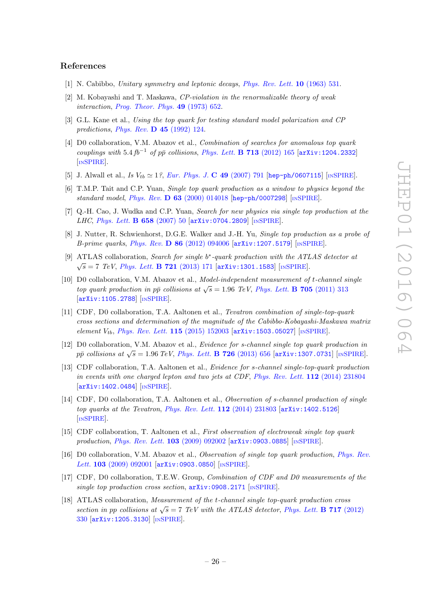#### <span id="page-27-0"></span>References

- [1] N. Cabibbo, Unitary symmetry and leptonic decays, [Phys. Rev. Lett.](http://dx.doi.org/10.1103/PhysRevLett.10.531) 10 (1963) 531.
- <span id="page-27-1"></span>[2] M. Kobayashi and T. Maskawa, CP-violation in the renormalizable theory of weak interaction, *[Prog. Theor. Phys.](http://dx.doi.org/10.1143/PTP.49.652)* **49** (1973) 652.
- <span id="page-27-2"></span>[3] G.L. Kane et al., Using the top quark for testing standard model polarization and CP predictions, *[Phys. Rev.](http://dx.doi.org/10.1103/PhysRevD.45.124)* **D 45** (1992) 124.
- <span id="page-27-3"></span>[4] D0 collaboration, V.M. Abazov et al., Combination of searches for anomalous top quark couplings with  $5.4 \text{ fb}^{-1}$  of pp collisions, [Phys. Lett.](http://dx.doi.org/10.1016/j.physletb.2012.05.048) **B** 713 (2012) 165 [[arXiv:1204.2332](http://arxiv.org/abs/1204.2332)] [IN[SPIRE](http://inspirehep.net/search?p=find+EPRINT+arXiv:1204.2332)].
- <span id="page-27-4"></span>[5] J. Alwall et al., Is  $V_{tb} \simeq 1$ ?, [Eur. Phys. J.](http://dx.doi.org/10.1140/epjc/s10052-006-0137-y) **C** 49 (2007) 791 [[hep-ph/0607115](http://arxiv.org/abs/hep-ph/0607115)] [IN[SPIRE](http://inspirehep.net/search?p=find+EPRINT+hep-ph/0607115)].
- [6] T.M.P. Tait and C.P. Yuan, Single top quark production as a window to physics beyond the standard model, Phys. Rev. D 63 [\(2000\) 014018](http://dx.doi.org/10.1103/PhysRevD.63.014018) [[hep-ph/0007298](http://arxiv.org/abs/hep-ph/0007298)] [IN[SPIRE](http://inspirehep.net/search?p=find+EPRINT+hep-ph/0007298)].
- <span id="page-27-5"></span>[7] Q.-H. Cao, J. Wudka and C.P. Yuan, Search for new physics via single top production at the *LHC*, *[Phys. Lett.](http://dx.doi.org/10.1016/j.physletb.2007.10.057)* **B** 658 (2007) 50  $[\text{arXiv:0704.2809}]$  $[\text{arXiv:0704.2809}]$  $[\text{arXiv:0704.2809}]$   $[\text{insPIRE}]$ .
- <span id="page-27-6"></span>[8] J. Nutter, R. Schwienhorst, D.G.E. Walker and J.-H. Yu, Single top production as a probe of B-prime quarks, Phys. Rev. D 86 [\(2012\) 094006](http://dx.doi.org/10.1103/PhysRevD.86.094006) [[arXiv:1207.5179](http://arxiv.org/abs/1207.5179)] [IN[SPIRE](http://inspirehep.net/search?p=find+EPRINT+arXiv:1207.5179)].
- <span id="page-27-7"></span>[9] ATLAS collaboration, Search for single b\*-quark production with the ATLAS detector at  $\sqrt{s} = 7$  TeV, [Phys. Lett.](http://dx.doi.org/10.1016/j.physletb.2013.03.016) **B 721** (2013) 171 [[arXiv:1301.1583](http://arxiv.org/abs/1301.1583)] [IN[SPIRE](http://inspirehep.net/search?p=find+EPRINT+arXiv:1301.1583)].
- <span id="page-27-8"></span>[10] D0 collaboration, V.M. Abazov et al., *Model-independent measurement of t-channel single* top quark production in  $p\bar{p}$  collisions at  $\sqrt{s} = 1.96$  TeV, [Phys. Lett.](http://dx.doi.org/10.1016/j.physletb.2011.10.035) **B 705** (2011) 313 [[arXiv:1105.2788](http://arxiv.org/abs/1105.2788)] [IN[SPIRE](http://inspirehep.net/search?p=find+EPRINT+arXiv:1105.2788)].
- <span id="page-27-9"></span>[11] CDF, D0 collaboration, T.A. Aaltonen et al., Tevatron combination of single-top-quark cross sections and determination of the magnitude of the Cabibbo-Kobayashi-Maskawa matrix element  $V_{tb}$ , [Phys. Rev. Lett.](http://dx.doi.org/10.1103/PhysRevLett.115.152003) 115 (2015) 152003  $[$ [arXiv:1503.05027](http://arxiv.org/abs/1503.05027)]  $[$ IN[SPIRE](http://inspirehep.net/search?p=find+EPRINT+arXiv:1503.05027)].
- <span id="page-27-10"></span>[12] D0 collaboration, V.M. Abazov et al., *Evidence for s-channel single top quark production in*  $p\bar{p}$  collisions at  $\sqrt{s} = 1.96$  TeV, [Phys. Lett.](http://dx.doi.org/10.1016/j.physletb.2013.09.048) **B 726** (2013) 656 [[arXiv:1307.0731](http://arxiv.org/abs/1307.0731)] [IN[SPIRE](http://inspirehep.net/search?p=find+EPRINT+arXiv:1307.0731)].
- <span id="page-27-11"></span>[13] CDF collaboration, T.A. Aaltonen et al., Evidence for s-channel single-top-quark production in events with one charged lepton and two jets at CDF, [Phys. Rev. Lett.](http://dx.doi.org/10.1103/PhysRevLett.112.231804) 112 (2014) 231804 [[arXiv:1402.0484](http://arxiv.org/abs/1402.0484)] [IN[SPIRE](http://inspirehep.net/search?p=find+EPRINT+arXiv:1402.0484)].
- <span id="page-27-12"></span>[14] CDF, D0 collaboration, T.A. Aaltonen et al., Observation of s-channel production of single top quarks at the Tevatron, [Phys. Rev. Lett.](http://dx.doi.org/10.1103/PhysRevLett.112.231803) 112 (2014) 231803 [[arXiv:1402.5126](http://arxiv.org/abs/1402.5126)] [IN[SPIRE](http://inspirehep.net/search?p=find+EPRINT+arXiv:1402.5126)].
- <span id="page-27-14"></span><span id="page-27-13"></span>[15] CDF collaboration, T. Aaltonen et al., First observation of electroweak single top quark production, *[Phys. Rev. Lett.](http://dx.doi.org/10.1103/PhysRevLett.103.092002)* **103** (2009) 092002 [[arXiv:0903.0885](http://arxiv.org/abs/0903.0885)] [IN[SPIRE](http://inspirehep.net/search?p=find+EPRINT+arXiv:0903.0885)].
- <span id="page-27-15"></span>[16] D0 collaboration, V.M. Abazov et al., *Observation of single top quark production*, *[Phys. Rev.](http://dx.doi.org/10.1103/PhysRevLett.103.092001)* Lett. 103 [\(2009\) 092001](http://dx.doi.org/10.1103/PhysRevLett.103.092001) [[arXiv:0903.0850](http://arxiv.org/abs/0903.0850)] [IN[SPIRE](http://inspirehep.net/search?p=find+EPRINT+arXiv:0903.0850)].
- <span id="page-27-16"></span>[17] CDF, D0 collaboration, T.E.W. Group, Combination of CDF and D0 measurements of the single top production cross section,  $arXiv:0908.2171$  [IN[SPIRE](http://inspirehep.net/search?p=find+EPRINT+arXiv:0908.2171)].
- <span id="page-27-17"></span>[18] ATLAS collaboration, Measurement of the t-channel single top-quark production cross section in pp collisions at  $\sqrt{s} = 7$  TeV with the ATLAS detector, [Phys. Lett.](http://dx.doi.org/10.1016/j.physletb.2012.09.031) **B 717** (2012) [330](http://dx.doi.org/10.1016/j.physletb.2012.09.031) [[arXiv:1205.3130](http://arxiv.org/abs/1205.3130)] [IN[SPIRE](http://inspirehep.net/search?p=find+EPRINT+arXiv:1205.3130)].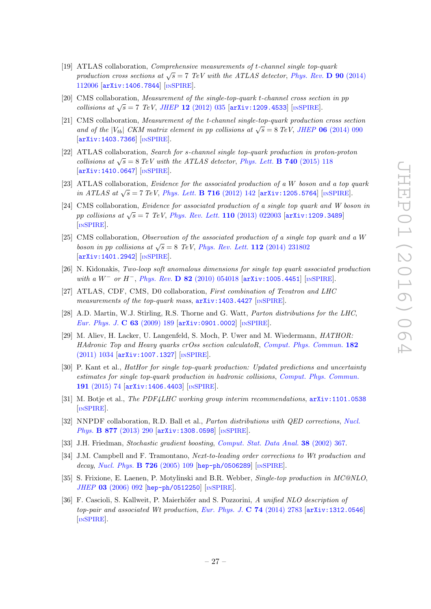- <span id="page-28-0"></span>[19] ATLAS collaboration, Comprehensive measurements of t-channel single top-quark production cross sections at  $\sqrt{s} = 7$  TeV with the ATLAS detector, [Phys. Rev.](http://dx.doi.org/10.1103/PhysRevD.90.112006) D 90 (2014) [112006](http://dx.doi.org/10.1103/PhysRevD.90.112006) [[arXiv:1406.7844](http://arxiv.org/abs/1406.7844)] [IN[SPIRE](http://inspirehep.net/search?p=find+EPRINT+arXiv:1406.7844)].
- <span id="page-28-2"></span><span id="page-28-1"></span>[20] CMS collaboration, *Measurement of the single-top-quark t-channel cross section in pp* collisions at  $\sqrt{s} = 7$  TeV, JHEP 12 [\(2012\) 035](http://dx.doi.org/10.1007/JHEP12(2012)035) [[arXiv:1209.4533](http://arxiv.org/abs/1209.4533)] [IN[SPIRE](http://inspirehep.net/search?p=find+EPRINT+arXiv:1209.4533)].
- [21] CMS collaboration, Measurement of the t-channel single-top-quark production cross section and of the  $|V_{tb}|$  CKM matrix element in pp collisions at  $\sqrt{s} = 8 \text{ TeV}$ , JHEP 06 [\(2014\) 090](http://dx.doi.org/10.1007/JHEP06(2014)090) [[arXiv:1403.7366](http://arxiv.org/abs/1403.7366)] [IN[SPIRE](http://inspirehep.net/search?p=find+EPRINT+arXiv:1403.7366)].
- <span id="page-28-3"></span>[22] ATLAS collaboration, Search for s-channel single top-quark production in proton-proton collisions at  $\sqrt{s} = 8$  TeV with the ATLAS detector, [Phys. Lett.](http://dx.doi.org/10.1016/j.physletb.2014.11.042) **B 740** (2015) 118 [[arXiv:1410.0647](http://arxiv.org/abs/1410.0647)] [IN[SPIRE](http://inspirehep.net/search?p=find+EPRINT+arXiv:1410.0647)].
- <span id="page-28-4"></span>[23] ATLAS collaboration, *Evidence for the associated production of a W boson and a top quark* in ATLAS at  $\sqrt{s} = 7 \text{ TeV}$ , [Phys. Lett.](http://dx.doi.org/10.1016/j.physletb.2012.08.011) **B 716** (2012) 142 [[arXiv:1205.5764](http://arxiv.org/abs/1205.5764)] [IN[SPIRE](http://inspirehep.net/search?p=find+EPRINT+arXiv:1205.5764)].
- <span id="page-28-6"></span><span id="page-28-5"></span>[24] CMS collaboration, Evidence for associated production of a single top quark and W boson in pp collisions at  $\sqrt{s} = 7$  TeV, [Phys. Rev. Lett.](http://dx.doi.org/10.1103/PhysRevLett.110.022003) 110 (2013) 022003  $[$ arXiv: 1209.3489 [IN[SPIRE](http://inspirehep.net/search?p=find+EPRINT+arXiv:1209.3489)].
- <span id="page-28-7"></span>[25] CMS collaboration, *Observation of the associated production of a single top quark and a W* boson in pp collisions at  $\sqrt{s} = 8$  TeV, [Phys. Rev. Lett.](http://dx.doi.org/10.1103/PhysRevLett.112.231802) 112 (2014) 231802 [[arXiv:1401.2942](http://arxiv.org/abs/1401.2942)] [IN[SPIRE](http://inspirehep.net/search?p=find+EPRINT+arXiv:1401.2942)].
- <span id="page-28-8"></span>[26] N. Kidonakis, Two-loop soft anomalous dimensions for single top quark associated production with a  $W^-$  or  $H^-$ , Phys. Rev. D 82 [\(2010\) 054018](http://dx.doi.org/10.1103/PhysRevD.82.054018) [[arXiv:1005.4451](http://arxiv.org/abs/1005.4451)] [IN[SPIRE](http://inspirehep.net/search?p=find+EPRINT+arXiv:1005.4451)].
- <span id="page-28-9"></span>[27] ATLAS, CDF, CMS, D0 collaboration, First combination of Tevatron and LHC measurements of the top-quark mass,  $arXiv:1403.4427$  [IN[SPIRE](http://inspirehep.net/search?p=find+EPRINT+arXiv:1403.4427)].
- <span id="page-28-10"></span>[28] A.D. Martin, W.J. Stirling, R.S. Thorne and G. Watt, Parton distributions for the LHC, [Eur. Phys. J.](http://dx.doi.org/10.1140/epjc/s10052-009-1072-5) C 63 (2009) 189 [[arXiv:0901.0002](http://arxiv.org/abs/0901.0002)] [IN[SPIRE](http://inspirehep.net/search?p=find+EPRINT+arXiv:0901.0002)].
- <span id="page-28-11"></span>[29] M. Aliev, H. Lacker, U. Langenfeld, S. Moch, P. Uwer and M. Wiedermann, HATHOR: HAdronic Top and Heavy quarks crOss section calculatoR, [Comput. Phys. Commun.](http://dx.doi.org/10.1016/j.cpc.2010.12.040) 182 [\(2011\) 1034](http://dx.doi.org/10.1016/j.cpc.2010.12.040) [[arXiv:1007.1327](http://arxiv.org/abs/1007.1327)] [IN[SPIRE](http://inspirehep.net/search?p=find+EPRINT+arXiv:1007.1327)].
- <span id="page-28-12"></span>[30] P. Kant et al., HatHor for single top-quark production: Updated predictions and uncertainty estimates for single top-quark production in hadronic collisions , [Comput. Phys. Commun.](http://dx.doi.org/10.1016/j.cpc.2015.02.001) 191 [\(2015\) 74](http://dx.doi.org/10.1016/j.cpc.2015.02.001) [[arXiv:1406.4403](http://arxiv.org/abs/1406.4403)] [IN[SPIRE](http://inspirehep.net/search?p=find+EPRINT+arXiv:1406.4403)].
- <span id="page-28-13"></span>[31] M. Botje et al., *The PDF4LHC working group interim recommendations*,  $arXiv:1101.0538$ [IN[SPIRE](http://inspirehep.net/search?p=find+EPRINT+arXiv:1101.0538)].
- <span id="page-28-14"></span>[32] NNPDF collaboration, R.D. Ball et al., *Parton distributions with QED corrections*, *[Nucl.](http://dx.doi.org/10.1016/j.nuclphysb.2013.10.010)* Phys. **B 877** [\(2013\) 290](http://dx.doi.org/10.1016/j.nuclphysb.2013.10.010) [[arXiv:1308.0598](http://arxiv.org/abs/1308.0598)] [IN[SPIRE](http://inspirehep.net/search?p=find+EPRINT+arXiv:1308.0598)].
- [33] J.H. Friedman, Stochastic gradient boosting, [Comput. Stat. Data Anal.](http://dx.doi.org/10.1016/S0167-9473(01)00065-2) 38 (2002) 367.
- <span id="page-28-15"></span>[34] J.M. Campbell and F. Tramontano, *Next-to-leading order corrections to Wt production and* decay, [Nucl. Phys.](http://dx.doi.org/10.1016/j.nuclphysb.2005.08.015) **B 726** (2005) 109 [[hep-ph/0506289](http://arxiv.org/abs/hep-ph/0506289)] [IN[SPIRE](http://inspirehep.net/search?p=find+EPRINT+hep-ph/0506289)].
- <span id="page-28-16"></span>[35] S. Frixione, E. Laenen, P. Motylinski and B.R. Webber, *Single-top production in MC@NLO*, JHEP 03 [\(2006\) 092](http://dx.doi.org/10.1088/1126-6708/2006/03/092) [[hep-ph/0512250](http://arxiv.org/abs/hep-ph/0512250)] [IN[SPIRE](http://inspirehep.net/search?p=find+EPRINT+hep-ph/0512250)].
- <span id="page-28-17"></span>[36] F. Cascioli, S. Kallweit, P. Maierhöfer and S. Pozzorini, A unified NLO description of top-pair and associated Wt production, [Eur. Phys. J.](http://dx.doi.org/10.1140/epjc/s10052-014-2783-9)  $C$  74 (2014) 2783 [[arXiv:1312.0546](http://arxiv.org/abs/1312.0546)] [IN[SPIRE](http://inspirehep.net/search?p=find+EPRINT+arXiv:1312.0546)].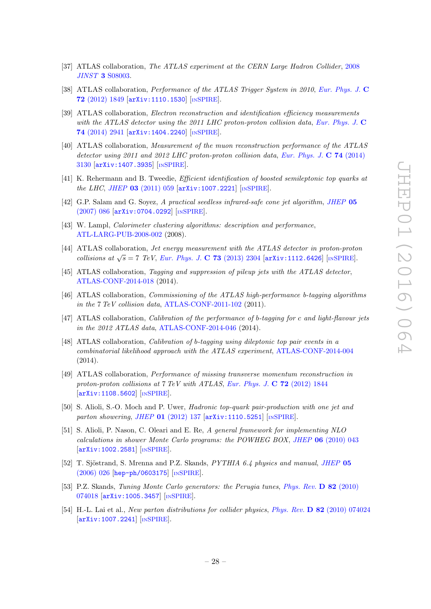- <span id="page-29-0"></span>[37] ATLAS collaboration, The ATLAS experiment at the CERN Large Hadron Collider, [2008](http://dx.doi.org/10.1088/1748-0221/3/08/S08003) JINST 3 [S08003](http://dx.doi.org/10.1088/1748-0221/3/08/S08003).
- <span id="page-29-1"></span>[38] ATLAS collaboration, *Performance of the ATLAS Trigger System in 2010*, [Eur. Phys. J.](http://dx.doi.org/10.1140/epjc/s10052-011-1849-1) C 72 [\(2012\) 1849](http://dx.doi.org/10.1140/epjc/s10052-011-1849-1) [[arXiv:1110.1530](http://arxiv.org/abs/1110.1530)] [IN[SPIRE](http://inspirehep.net/search?p=find+EPRINT+arXiv:1110.1530)].
- <span id="page-29-2"></span>[39] ATLAS collaboration, Electron reconstruction and identification efficiency measurements with the ATLAS detector using the 2011 LHC proton-proton collision data, [Eur. Phys. J.](http://dx.doi.org/10.1140/epjc/s10052-014-2941-0) C 74 [\(2014\) 2941](http://dx.doi.org/10.1140/epjc/s10052-014-2941-0) [[arXiv:1404.2240](http://arxiv.org/abs/1404.2240)] [IN[SPIRE](http://inspirehep.net/search?p=find+EPRINT+arXiv:1404.2240)].
- <span id="page-29-3"></span>[40] ATLAS collaboration, Measurement of the muon reconstruction performance of the ATLAS detector using 2011 and 2012 LHC proton-proton collision data, [Eur. Phys. J.](http://dx.doi.org/10.1140/epjc/s10052-014-3130-x) C 74 (2014) [3130](http://dx.doi.org/10.1140/epjc/s10052-014-3130-x) [[arXiv:1407.3935](http://arxiv.org/abs/1407.3935)] [IN[SPIRE](http://inspirehep.net/search?p=find+EPRINT+arXiv:1407.3935)].
- <span id="page-29-4"></span>[41] K. Rehermann and B. Tweedie, Efficient identification of boosted semileptonic top quarks at the LHC, JHEP  $03$  [\(2011\) 059](http://dx.doi.org/10.1007/JHEP03(2011)059) [[arXiv:1007.2221](http://arxiv.org/abs/1007.2221)] [IN[SPIRE](http://inspirehep.net/search?p=find+EPRINT+arXiv:1007.2221)].
- <span id="page-29-5"></span>[42] G.P. Salam and G. Soyez, A practical seedless infrared-safe cone jet algorithm, [JHEP](http://dx.doi.org/10.1088/1126-6708/2007/05/086) 05 [\(2007\) 086](http://dx.doi.org/10.1088/1126-6708/2007/05/086) [[arXiv:0704.0292](http://arxiv.org/abs/0704.0292)] [IN[SPIRE](http://inspirehep.net/search?p=find+EPRINT+arXiv:0704.0292)].
- [43] W. Lampl, Calorimeter clustering algorithms: description and performance , [ATL-LARG-PUB-2008-002](http://cds.cern.ch/record/1099735) (2008).
- [44] ATLAS collaboration, Jet energy measurement with the ATLAS detector in proton-proton collisions at  $\sqrt{s} = 7$  TeV, [Eur. Phys. J.](http://dx.doi.org/10.1140/epjc/s10052-013-2304-2) C 73 (2013) 2304 [[arXiv:1112.6426](http://arxiv.org/abs/1112.6426)] [IN[SPIRE](http://inspirehep.net/search?p=find+EPRINT+arXiv:1112.6426)].
- [45] ATLAS collaboration, Tagging and suppression of pileup jets with the ATLAS detector , [ATLAS-CONF-2014-018](http://cds.cern.ch/record/1700870) (2014).
- [46] ATLAS collaboration, *Commissioning of the ATLAS high-performance b-tagging algorithms* in the 7 TeV collision data, [ATLAS-CONF-2011-102](http://cds.cern.ch/record/1369219) (2011).
- <span id="page-29-13"></span>[47] ATLAS collaboration, Calibration of the performance of b-tagging for c and light-flavour jets in the 2012 ATLAS data , [ATLAS-CONF-2014-046](http://cds.cern.ch/record/1741020) (2014).
- <span id="page-29-6"></span>[48] ATLAS collaboration, Calibration of b-tagging using dileptonic top pair events in a combinatorial likelihood approach with the ATLAS experiment , [ATLAS-CONF-2014-004](http://cds.cern.ch/record/1664335) (2014).
- <span id="page-29-7"></span>[49] ATLAS collaboration, Performance of missing transverse momentum reconstruction in proton-proton collisions at  $7 \text{ TeV}$  with ATLAS, [Eur. Phys. J.](http://dx.doi.org/10.1140/epjc/s10052-011-1844-6)  $\bf{C}$  72 (2012) 1844 [[arXiv:1108.5602](http://arxiv.org/abs/1108.5602)] [IN[SPIRE](http://inspirehep.net/search?p=find+EPRINT+arXiv:1108.5602)].
- <span id="page-29-8"></span>[50] S. Alioli, S.-O. Moch and P. Uwer, Hadronic top-quark pair-production with one jet and parton showering, JHEP 01 [\(2012\) 137](http://dx.doi.org/10.1007/JHEP01(2012)137) [[arXiv:1110.5251](http://arxiv.org/abs/1110.5251)] [IN[SPIRE](http://inspirehep.net/search?p=find+EPRINT+arXiv:1110.5251)].
- <span id="page-29-9"></span>[51] S. Alioli, P. Nason, C. Oleari and E. Re, A general framework for implementing NLO  $calculations in shower Monte Carlo programs: the POWHEG BOX, JHEP 06 (2010) 043$  $calculations in shower Monte Carlo programs: the POWHEG BOX, JHEP 06 (2010) 043$ [[arXiv:1002.2581](http://arxiv.org/abs/1002.2581)] [IN[SPIRE](http://inspirehep.net/search?p=find+EPRINT+arXiv:1002.2581)].
- <span id="page-29-10"></span>[52] T. Sjöstrand, S. Mrenna and P.Z. Skands, PYTHIA 6.4 physics and manual, [JHEP](http://dx.doi.org/10.1088/1126-6708/2006/05/026) 05 [\(2006\) 026](http://dx.doi.org/10.1088/1126-6708/2006/05/026) [[hep-ph/0603175](http://arxiv.org/abs/hep-ph/0603175)] [IN[SPIRE](http://inspirehep.net/search?p=find+EPRINT+hep-ph/0603175)].
- <span id="page-29-11"></span>[53] P.Z. Skands, Tuning Monte Carlo generators: the Perugia tunes, [Phys. Rev.](http://dx.doi.org/10.1103/PhysRevD.82.074018) D 82 (2010) [074018](http://dx.doi.org/10.1103/PhysRevD.82.074018) [[arXiv:1005.3457](http://arxiv.org/abs/1005.3457)] [IN[SPIRE](http://inspirehep.net/search?p=find+EPRINT+arXiv:1005.3457)].
- <span id="page-29-12"></span>[54] H.-L. Lai et al., New parton distributions for collider physics, Phys. Rev. D 82 [\(2010\) 074024](http://dx.doi.org/10.1103/PhysRevD.82.074024) [[arXiv:1007.2241](http://arxiv.org/abs/1007.2241)] [IN[SPIRE](http://inspirehep.net/search?p=find+EPRINT+arXiv:1007.2241)].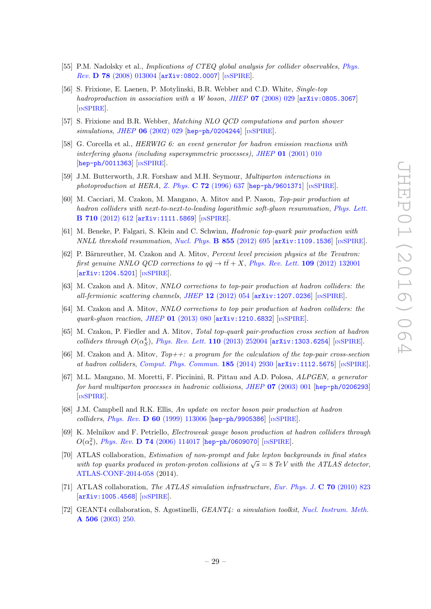- <span id="page-30-0"></span>[55] P.M. Nadolsky et al., *Implications of CTEQ global analysis for collider observables*, *[Phys.](http://dx.doi.org/10.1103/PhysRevD.78.013004)* Rev. D 78 [\(2008\) 013004](http://dx.doi.org/10.1103/PhysRevD.78.013004) [[arXiv:0802.0007](http://arxiv.org/abs/0802.0007)] [IN[SPIRE](http://inspirehep.net/search?p=find+EPRINT+arXiv:0802.0007)].
- <span id="page-30-1"></span>[56] S. Frixione, E. Laenen, P. Motylinski, B.R. Webber and C.D. White, Single-top hadroproduction in association with a W boson, JHEP  $07$  [\(2008\) 029](http://dx.doi.org/10.1088/1126-6708/2008/07/029) [[arXiv:0805.3067](http://arxiv.org/abs/0805.3067)] [IN[SPIRE](http://inspirehep.net/search?p=find+EPRINT+arXiv:0805.3067)].
- <span id="page-30-2"></span>[57] S. Frixione and B.R. Webber, Matching NLO QCD computations and parton shower simulations, JHEP 06 [\(2002\) 029](http://dx.doi.org/10.1088/1126-6708/2002/06/029) [[hep-ph/0204244](http://arxiv.org/abs/hep-ph/0204244)] [IN[SPIRE](http://inspirehep.net/search?p=find+EPRINT+hep-ph/0204244)].
- <span id="page-30-3"></span>[58] G. Corcella et al., HERWIG 6: an event generator for hadron emission reactions with interfering gluons (including supersymmetric processes), JHEP 01 [\(2001\) 010](http://dx.doi.org/10.1088/1126-6708/2001/01/010) [[hep-ph/0011363](http://arxiv.org/abs/hep-ph/0011363)] [IN[SPIRE](http://inspirehep.net/search?p=find+EPRINT+hep-ph/0011363)].
- <span id="page-30-4"></span>[59] J.M. Butterworth, J.R. Forshaw and M.H. Seymour, Multiparton interactions in photoproduction at HERA, Z. Phys.  $C$  72 [\(1996\) 637](http://dx.doi.org/10.1007/s002880050286) [[hep-ph/9601371](http://arxiv.org/abs/hep-ph/9601371)] [IN[SPIRE](http://inspirehep.net/search?p=find+EPRINT+hep-ph/9601371)].
- <span id="page-30-5"></span>[60] M. Cacciari, M. Czakon, M. Mangano, A. Mitov and P. Nason, Top-pair production at hadron colliders with next-to-next-to-leading logarithmic soft-gluon resummation, [Phys. Lett.](http://dx.doi.org/10.1016/j.physletb.2012.03.013) B 710 [\(2012\) 612](http://dx.doi.org/10.1016/j.physletb.2012.03.013) [[arXiv:1111.5869](http://arxiv.org/abs/1111.5869)] [IN[SPIRE](http://inspirehep.net/search?p=find+EPRINT+arXiv:1111.5869)].
- [61] M. Beneke, P. Falgari, S. Klein and C. Schwinn, Hadronic top-quark pair production with  $NNLL$  threshold resummation, [Nucl. Phys.](http://dx.doi.org/10.1016/j.nuclphysb.2011.10.021) **B** 855 (2012) 695  $arXiv:1109.1536$  [IN[SPIRE](http://inspirehep.net/search?p=find+EPRINT+arXiv:1109.1536)].
- <span id="page-30-7"></span><span id="page-30-6"></span>[62] P. Bärnreuther, M. Czakon and A. Mitov, Percent level precision physics at the Tevatron: first genuine NNLO QCD corrections to  $q\bar{q} \to t\bar{t} + X$ , [Phys. Rev. Lett.](http://dx.doi.org/10.1103/PhysRevLett.109.132001) 109 (2012) 132001 [[arXiv:1204.5201](http://arxiv.org/abs/1204.5201)] [IN[SPIRE](http://inspirehep.net/search?p=find+EPRINT+arXiv:1204.5201)].
- <span id="page-30-8"></span>[63] M. Czakon and A. Mitov, NNLO corrections to top-pair production at hadron colliders: the all-fermionic scattering channels, JHEP 12 [\(2012\) 054](http://dx.doi.org/10.1007/JHEP12(2012)054) [[arXiv:1207.0236](http://arxiv.org/abs/1207.0236)] [IN[SPIRE](http://inspirehep.net/search?p=find+EPRINT+arXiv:1207.0236)].
- [64] M. Czakon and A. Mitov, NNLO corrections to top pair production at hadron colliders: the quark-gluon reaction , JHEP 01 [\(2013\) 080](http://dx.doi.org/10.1007/JHEP01(2013)080) [[arXiv:1210.6832](http://arxiv.org/abs/1210.6832)] [IN[SPIRE](http://inspirehep.net/search?p=find+EPRINT+arXiv:1210.6832)].
- <span id="page-30-9"></span>[65] M. Czakon, P. Fiedler and A. Mitov, Total top-quark pair-production cross section at hadron colliders through  $O(\alpha_S^4)$ , [Phys. Rev. Lett.](http://dx.doi.org/10.1103/PhysRevLett.110.252004) 110 (2013) 252004 [[arXiv:1303.6254](http://arxiv.org/abs/1303.6254)] [IN[SPIRE](http://inspirehep.net/search?p=find+EPRINT+arXiv:1303.6254)].
- <span id="page-30-10"></span>[66] M. Czakon and A. Mitov,  $Top++: a program for the calculation of the top-pair cross-section$ at hadron colliders , [Comput. Phys. Commun.](http://dx.doi.org/10.1016/j.cpc.2014.06.021) 185 (2014) 2930 [[arXiv:1112.5675](http://arxiv.org/abs/1112.5675)] [IN[SPIRE](http://inspirehep.net/search?p=find+EPRINT+arXiv:1112.5675)].
- <span id="page-30-11"></span>[67] M.L. Mangano, M. Moretti, F. Piccinini, R. Pittau and A.D. Polosa, ALPGEN, a generator for hard multiparton processes in hadronic collisions, JHEP 07 [\(2003\) 001](http://dx.doi.org/10.1088/1126-6708/2003/07/001) [[hep-ph/0206293](http://arxiv.org/abs/hep-ph/0206293)] [IN[SPIRE](http://inspirehep.net/search?p=find+EPRINT+hep-ph/0206293)].
- <span id="page-30-12"></span>[68] J.M. Campbell and R.K. Ellis, An update on vector boson pair production at hadron colliders, *Phys. Rev.* **D 60** [\(1999\) 113006](http://dx.doi.org/10.1103/PhysRevD.60.113006) [[hep-ph/9905386](http://arxiv.org/abs/hep-ph/9905386)] [IN[SPIRE](http://inspirehep.net/search?p=find+EPRINT+hep-ph/9905386)].
- <span id="page-30-13"></span>[69] K. Melnikov and F. Petriello, Electroweak gauge boson production at hadron colliders through  $O(\alpha_s^2)$ , *Phys. Rev.* **D 74** [\(2006\) 114017](http://dx.doi.org/10.1103/PhysRevD.74.114017) [[hep-ph/0609070](http://arxiv.org/abs/hep-ph/0609070)] [IN[SPIRE](http://inspirehep.net/search?p=find+EPRINT+hep-ph/0609070)].
- <span id="page-30-14"></span>[70] ATLAS collaboration, Estimation of non-prompt and fake lepton backgrounds in final states with top quarks produced in proton-proton collisions at  $\sqrt{s} = 8 \text{ TeV}$  with the ATLAS detector, [ATLAS-CONF-2014-058](http://cds.cern.ch/record/1951336) (2014).
- <span id="page-30-16"></span><span id="page-30-15"></span>[71] ATLAS collaboration, The ATLAS simulation infrastructure, [Eur. Phys. J.](http://dx.doi.org/10.1140/epjc/s10052-010-1429-9) C 70 (2010) 823 [[arXiv:1005.4568](http://arxiv.org/abs/1005.4568)] [IN[SPIRE](http://inspirehep.net/search?p=find+EPRINT+arXiv:1005.4568)].
- [72] GEANT4 collaboration, S. Agostinelli, *GEANT4: a simulation toolkit, [Nucl. Instrum. Meth.](http://dx.doi.org/10.1016/S0168-9002(03)01368-8)* A 506 [\(2003\) 250](http://dx.doi.org/10.1016/S0168-9002(03)01368-8).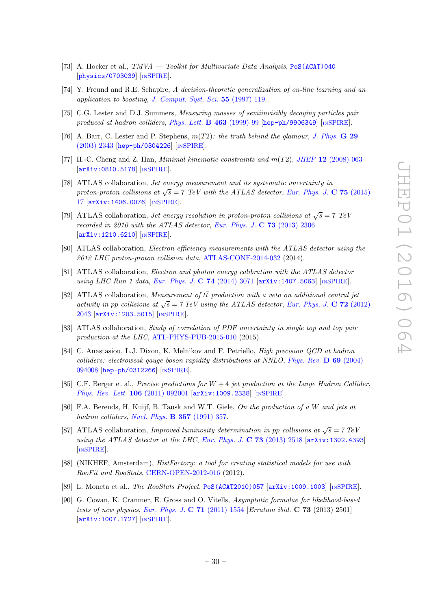- <span id="page-31-0"></span>[73] A. Hocker et al.,  $TMVA = Toolkit$  for Multivariate Data Analysis, [PoS\(ACAT\)040](http://pos.sissa.it/cgi-bin/reader/contribution.cgi?id=PoS(ACAT)040) [[physics/0703039](http://arxiv.org/abs/physics/0703039)] [IN[SPIRE](http://inspirehep.net/search?p=find+EPRINT+physics/0703039)].
- <span id="page-31-1"></span>[74] Y. Freund and R.E. Schapire, A decision-theoretic generalization of on-line learning and an application to boosting, [J. Comput. Syst. Sci.](http://dx.doi.org/10.1006/jcss.1997.1504) 55 (1997) 119.
- <span id="page-31-2"></span>[75] C.G. Lester and D.J. Summers, Measuring masses of semiinvisibly decaying particles pair produced at hadron colliders, [Phys. Lett.](http://dx.doi.org/10.1016/S0370-2693(99)00945-4) **B 463** (1999) 99  $[hep-ph/9906349]$  $[hep-ph/9906349]$  $[hep-ph/9906349]$  [IN[SPIRE](http://inspirehep.net/search?p=find+EPRINT+hep-ph/9906349)].
- <span id="page-31-4"></span><span id="page-31-3"></span>[76] A. Barr, C. Lester and P. Stephens,  $m(T2)$ : the truth behind the glamour, [J. Phys.](http://dx.doi.org/10.1088/0954-3899/29/10/304) G 29 [\(2003\) 2343](http://dx.doi.org/10.1088/0954-3899/29/10/304) [[hep-ph/0304226](http://arxiv.org/abs/hep-ph/0304226)] [IN[SPIRE](http://inspirehep.net/search?p=find+EPRINT+hep-ph/0304226)].
- [77] H.-C. Cheng and Z. Han, *Minimal kinematic constraints and*  $m(T2)$ , *JHEP* 12 [\(2008\) 063](http://dx.doi.org/10.1088/1126-6708/2008/12/063) [[arXiv:0810.5178](http://arxiv.org/abs/0810.5178)] [IN[SPIRE](http://inspirehep.net/search?p=find+EPRINT+arXiv:0810.5178)].
- <span id="page-31-5"></span>[78] ATLAS collaboration, Jet energy measurement and its systematic uncertainty in proton-proton collisions at  $\sqrt{s} = 7$  TeV with the ATLAS detector, [Eur. Phys. J.](http://dx.doi.org/10.1140/epjc/s10052-014-3190-y) C 75 (2015) [17](http://dx.doi.org/10.1140/epjc/s10052-014-3190-y) [[arXiv:1406.0076](http://arxiv.org/abs/1406.0076)] [IN[SPIRE](http://inspirehep.net/search?p=find+EPRINT+arXiv:1406.0076)].
- [79] ATLAS collaboration, *Jet energy resolution in proton-proton collisions at*  $\sqrt{s} = 7$  TeV recorded in 2010 with the ATLAS detector, [Eur. Phys. J.](http://dx.doi.org/10.1140/epjc/s10052-013-2306-0)  $\bf{C}$  **73** (2013) 2306 [[arXiv:1210.6210](http://arxiv.org/abs/1210.6210)] [IN[SPIRE](http://inspirehep.net/search?p=find+EPRINT+arXiv:1210.6210)].
- [80] ATLAS collaboration, Electron efficiency measurements with the ATLAS detector using the 2012 LHC proton-proton collision data , [ATLAS-CONF-2014-032](http://cds.cern.ch/record/1706245) (2014).
- [81] ATLAS collaboration, Electron and photon energy calibration with the ATLAS detector using LHC Run 1 data, [Eur. Phys. J.](http://dx.doi.org/10.1140/epjc/s10052-014-3071-4) C 74 (2014) 3071 [[arXiv:1407.5063](http://arxiv.org/abs/1407.5063)] [IN[SPIRE](http://inspirehep.net/search?p=find+EPRINT+arXiv:1407.5063)].
- [82] ATLAS collaboration, Measurement of  $t\bar{t}$  production with a veto on additional central jet activity in pp collisions at  $\sqrt{s} = 7 \text{ TeV}$  using the ATLAS detector, [Eur. Phys. J.](http://dx.doi.org/10.1140/epjc/s10052-012-2043-9) C 72 (2012) [2043](http://dx.doi.org/10.1140/epjc/s10052-012-2043-9) [[arXiv:1203.5015](http://arxiv.org/abs/1203.5015)] [IN[SPIRE](http://inspirehep.net/search?p=find+EPRINT+arXiv:1203.5015)].
- [83] ATLAS collaboration, *Study of correlation of PDF uncertainty in single top and top pair* production at the LHC, [ATL-PHYS-PUB-2015-010](http://cds.cern.ch/record/2020601) (2015).
- [84] C. Anastasiou, L.J. Dixon, K. Melnikov and F. Petriello, High precision QCD at hadron colliders: electroweak gauge boson rapidity distributions at NNLO , [Phys. Rev.](http://dx.doi.org/10.1103/PhysRevD.69.094008) D 69 (2004) [094008](http://dx.doi.org/10.1103/PhysRevD.69.094008) [[hep-ph/0312266](http://arxiv.org/abs/hep-ph/0312266)] [IN[SPIRE](http://inspirehep.net/search?p=find+EPRINT+hep-ph/0312266)].
- [85] C.F. Berger et al., *Precise predictions for*  $W + 4$  *jet production at the Large Hadron Collider*, [Phys. Rev. Lett.](http://dx.doi.org/10.1103/PhysRevLett.106.092001) 106 (2011) 092001 [[arXiv:1009.2338](http://arxiv.org/abs/1009.2338)] [IN[SPIRE](http://inspirehep.net/search?p=find+EPRINT+arXiv:1009.2338)].
- [86] F.A. Berends, H. Kuijf, B. Tausk and W.T. Giele, *On the production of a W and jets at* hadron colliders, [Nucl. Phys.](http://dx.doi.org/10.1016/0550-3213(91)90458-A) **B 357** (1991) 357.
- [87] ATLAS collaboration, *Improved luminosity determination in pp collisions at*  $\sqrt{s} = 7 \text{ TeV}$ using the ATLAS detector at the LHC, [Eur. Phys. J.](http://dx.doi.org/10.1140/epjc/s10052-013-2518-3)  $\bf{C}$  73 (2013) 2518 [[arXiv:1302.4393](http://arxiv.org/abs/1302.4393)] [IN[SPIRE](http://inspirehep.net/search?p=find+EPRINT+arXiv:1302.4393)].
- [88] (NIKHEF, Amsterdam), HistFactory: a tool for creating statistical models for use with RooFit and RooStats , [CERN-OPEN-2012-016](http://cds.cern.ch/record/1456844) (2012).
- [89] L. Moneta et al., *The RooStats Project*, [PoS\(ACAT2010\)057](http://pos.sissa.it/cgi-bin/reader/contribution.cgi?id=PoS(ACAT2010)057) [[arXiv:1009.1003](http://arxiv.org/abs/1009.1003)] [IN[SPIRE](http://inspirehep.net/search?p=find+EPRINT+arXiv:1009.1003)].
- [90] G. Cowan, K. Cranmer, E. Gross and O. Vitells, Asymptotic formulae for likelihood-based tests of new physics, [Eur. Phys. J.](http://dx.doi.org/10.1140/epjc/s10052-011-1554-0)  $C$  71 (2011) 1554 [Erratum ibid.  $C$  73 (2013) 2501]  $\left[$ [arXiv:1007.1727](http://arxiv.org/abs/1007.1727) $\right]$  $\left[$ IN[SPIRE](http://inspirehep.net/search?p=find+EPRINT+arXiv:1007.1727) $\right]$ .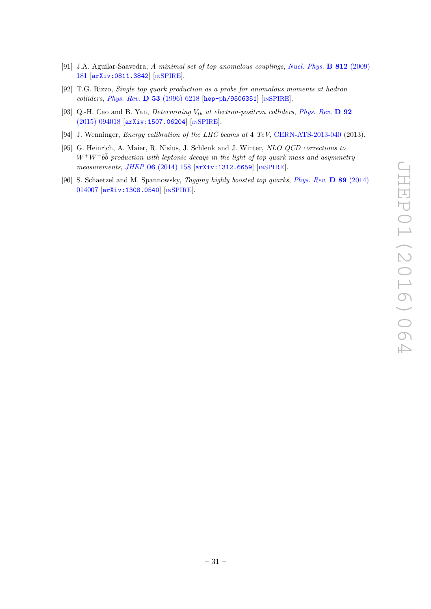- [91] J.A. Aguilar-Saavedra, A minimal set of top anomalous couplings, [Nucl. Phys.](http://dx.doi.org/10.1016/j.nuclphysb.2008.12.012) **B 812** (2009) [181](http://dx.doi.org/10.1016/j.nuclphysb.2008.12.012) [[arXiv:0811.3842](http://arxiv.org/abs/0811.3842)] [IN[SPIRE](http://inspirehep.net/search?p=find+EPRINT+arXiv:0811.3842)].
- <span id="page-32-0"></span>[92] T.G. Rizzo, Single top quark production as a probe for anomalous moments at hadron colliders, Phys. Rev. D 53 [\(1996\) 6218](http://dx.doi.org/10.1103/PhysRevD.53.6218) [[hep-ph/9506351](http://arxiv.org/abs/hep-ph/9506351)] [IN[SPIRE](http://inspirehep.net/search?p=find+EPRINT+hep-ph/9506351)].
- [93] Q.-H. Cao and B. Yan, *Determining*  $V_{tb}$  at electron-positron colliders, *[Phys. Rev.](http://dx.doi.org/10.1103/PhysRevD.92.094018)* **D 92** [\(2015\) 094018](http://dx.doi.org/10.1103/PhysRevD.92.094018) [[arXiv:1507.06204](http://arxiv.org/abs/1507.06204)] [IN[SPIRE](http://inspirehep.net/search?p=find+EPRINT+arXiv:1507.06204)].
- [94] J. Wenninger, *Energy calibration of the LHC beams at 4 TeV*, [CERN-ATS-2013-040](http://cds.cern.ch/record/1546734) (2013).
- [95] G. Heinrich, A. Maier, R. Nisius, J. Schlenk and J. Winter, NLO QCD corrections to  $W^+W^-b\bar{b}$  production with leptonic decays in the light of top quark mass and asymmetry measurements, JHEP 06 [\(2014\) 158](http://dx.doi.org/10.1007/JHEP06(2014)158) [[arXiv:1312.6659](http://arxiv.org/abs/1312.6659)] [IN[SPIRE](http://inspirehep.net/search?p=find+EPRINT+arXiv:1312.6659)].
- [96] S. Schaetzel and M. Spannowsky, Tagging highly boosted top quarks, [Phys. Rev.](http://dx.doi.org/10.1103/PhysRevD.89.014007) D 89 (2014) [014007](http://dx.doi.org/10.1103/PhysRevD.89.014007) [[arXiv:1308.0540](http://arxiv.org/abs/1308.0540)] [IN[SPIRE](http://inspirehep.net/search?p=find+EPRINT+arXiv:1308.0540)].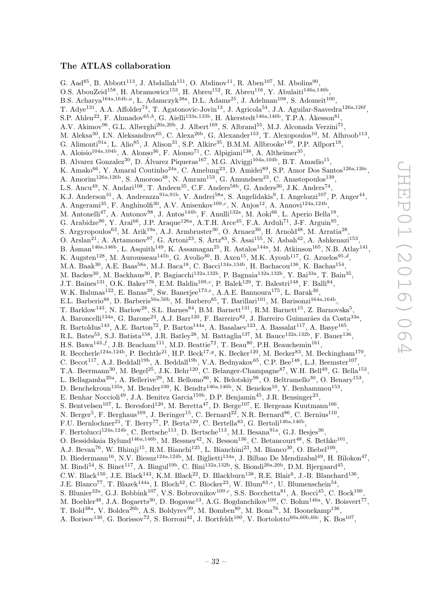#### The ATLAS collaboration

G. Aad<sup>85</sup>, B. Abbott<sup>113</sup>, J. Abdallah<sup>151</sup>, O. Abdinov<sup>11</sup>, R. Aben<sup>107</sup>, M. Abolins<sup>90</sup>, O.S. AbouZeid<sup>158</sup>, H. Abramowicz<sup>153</sup>, H. Abreu<sup>152</sup>, R. Abreu<sup>116</sup>, Y. Abulaiti<sup>146a,146b</sup>, B.S. Acharya<sup>164a,164b,a</sup>, L. Adamczyk<sup>38a</sup>, D.L. Adams<sup>25</sup>, J. Adelman<sup>108</sup>, S. Adomeit<sup>100</sup>, T. Adye<sup>131</sup>, A.A. Affolder<sup>74</sup>, T. Agatonovic-Jovin<sup>13</sup>, J. Agricola<sup>54</sup>, J.A. Aguilar-Saavedra<sup>126a,126f</sup>, S.P. Ahlen<sup>22</sup>, F. Ahmadov<sup>65,b</sup>, G. Aielli<sup>133a,133b</sup>, H. Akerstedt<sup>146a,146b</sup>, T.P.A. Åkesson<sup>81</sup>, A.V. Akimov<sup>96</sup>, G.L. Alberghi<sup>20a, 20b</sup>, J. Albert<sup>169</sup>, S. Albrand<sup>55</sup>, M.J. Alconada Verzini<sup>71</sup>, M. Aleksa<sup>30</sup>, I.N. Aleksandrov<sup>65</sup>, C. Alexa<sup>26b</sup>, G. Alexander<sup>153</sup>, T. Alexopoulos<sup>10</sup>, M. Alhroob<sup>113</sup>, G. Alimonti<sup>91a</sup>, L. Alio<sup>85</sup>, J. Alison<sup>31</sup>, S.P. Alkire<sup>35</sup>, B.M.M. Allbrooke<sup>149</sup>, P.P. Allport<sup>18</sup>, A. Aloisio<sup>104a,104b</sup>, A. Alonso<sup>36</sup>, F. Alonso<sup>71</sup>, C. Alpigiani<sup>138</sup>, A. Altheimer<sup>35</sup>, B. Alvarez Gonzalez<sup>30</sup>, D. Álvarez Piqueras<sup>167</sup>, M.G. Alviggi<sup>104a,104b</sup>, B.T. Amadio<sup>15</sup>, K. Amako<sup>66</sup>, Y. Amaral Coutinho<sup>24a</sup>, C. Amelung<sup>23</sup>, D. Amidei<sup>89</sup>, S.P. Amor Dos Santos<sup>126a,126c</sup>, A. Amorim<sup>126a,126b</sup>, S. Amoroso<sup>48</sup>, N. Amram<sup>153</sup>, G. Amundsen<sup>23</sup>, C. Anastopoulos<sup>139</sup>, L.S. Ancu<sup>49</sup>, N. Andari<sup>108</sup>, T. Andeen<sup>35</sup>, C.F. Anders<sup>58b</sup>, G. Anders<sup>30</sup>, J.K. Anders<sup>74</sup>, K.J. Anderson<sup>31</sup>, A. Andreazza<sup>91a,91b</sup>, V. Andrei<sup>58a</sup>, S. Angelidakis<sup>9</sup>, I. Angelozzi<sup>107</sup>, P. Anger<sup>44</sup>, A. Angerami<sup>35</sup>, F. Anghinolfi<sup>30</sup>, A.V. Anisenkov<sup>109,c</sup>, N. Anjos<sup>12</sup>, A. Annovi<sup>124a,124b</sup>, M. Antonelli<sup>47</sup>, A. Antonov<sup>98</sup>, J. Antos<sup>144b</sup>, F. Anulli<sup>132a</sup>, M. Aoki<sup>66</sup>, L. Aperio Bella<sup>18</sup>, G. Arabidze<sup>90</sup>, Y. Arai<sup>66</sup>, J.P. Araque<sup>126a</sup>, A.T.H. Arce<sup>45</sup>, F.A. Arduh<sup>71</sup>, J-F. Arguin<sup>95</sup>, S. Argyropoulos<sup>63</sup>, M. Arik<sup>19a</sup>, A.J. Armbruster<sup>30</sup>, O. Arnaez<sup>30</sup>, H. Arnold<sup>48</sup>, M. Arratia<sup>28</sup>, O. Arslan<sup>21</sup>, A. Artamonov<sup>97</sup>, G. Artoni<sup>23</sup>, S. Artz<sup>83</sup>, S. Asai<sup>155</sup>, N. Asbah<sup>42</sup>, A. Ashkenazi<sup>153</sup>, B. Åsman<sup>146a,146b</sup>, L. Asquith<sup>149</sup>, K. Assamagan<sup>25</sup>, R. Astalos<sup>144a</sup>, M. Atkinson<sup>165</sup>, N.B. Atlay<sup>141</sup>, K. Augsten<sup>128</sup>, M. Aurousseau<sup>145b</sup>, G. Avolio<sup>30</sup>, B. Axen<sup>15</sup>, M.K. Ayoub<sup>117</sup>, G. Azuelos<sup>95,d</sup>, M.A. Baak<sup>30</sup>, A.E. Baas<sup>58a</sup>, M.J. Baca<sup>18</sup>, C. Bacci<sup>134a,134b</sup>, H. Bachacou<sup>136</sup>, K. Bachas<sup>154</sup>, M. Backes<sup>30</sup>, M. Backhaus<sup>30</sup>, P. Bagiacchi<sup>132a,132b</sup>, P. Bagnaia<sup>132a,132b</sup>, Y. Bai<sup>33a</sup>, T. Bain<sup>35</sup>, J.T. Baines<sup>131</sup>, O.K. Baker<sup>176</sup>, E.M. Baldin<sup>109,c</sup>, P. Balek<sup>129</sup>, T. Balestri<sup>148</sup>, F. Balli<sup>84</sup>, W.K. Balunas<sup>122</sup>, E. Banas<sup>39</sup>, Sw. Banerjee<sup>173,e</sup>, A.A.E. Bannoura<sup>175</sup>, L. Barak<sup>30</sup>, E.L. Barberio<sup>88</sup>, D. Barberis<sup>50a,50b</sup>, M. Barbero<sup>85</sup>, T. Barillari<sup>101</sup>, M. Barisonzi<sup>164a,164b</sup>, T. Barklow<sup>143</sup>, N. Barlow<sup>28</sup>, S.L. Barnes<sup>84</sup>, B.M. Barnett<sup>131</sup>, R.M. Barnett<sup>15</sup>, Z. Barnovska<sup>5</sup>, A. Baroncelli<sup>134a</sup>, G. Barone<sup>23</sup>, A.J. Barr<sup>120</sup>, F. Barreiro<sup>82</sup>, J. Barreiro Guimarães da Costa<sup>33a</sup>, R. Bartoldus<sup>143</sup>, A.E. Barton<sup>72</sup>, P. Bartos<sup>144a</sup>, A. Basalaev<sup>123</sup>, A. Bassalat<sup>117</sup>, A. Basye<sup>165</sup>, R.L. Bates<sup>53</sup>, S.J. Batista<sup>158</sup>, J.R. Batley<sup>28</sup>, M. Battaglia<sup>137</sup>, M. Bauce<sup>132a,132b</sup>, F. Bauer<sup>136</sup>, H.S. Bawa<sup>143,f</sup>, J.B. Beacham<sup>111</sup>, M.D. Beattie<sup>72</sup>, T. Beau<sup>80</sup>, P.H. Beauchemin<sup>161</sup>, R. Beccherle<sup>124a, 124b</sup>, P. Bechtle<sup>21</sup>, H.P. Beck<sup>17, g</sup>, K. Becker<sup>120</sup>, M. Becker<sup>83</sup>, M. Beckingham<sup>170</sup>, C. Becot<sup>117</sup>, A.J. Beddall<sup>19b</sup>, A. Beddall<sup>19b</sup>, V.A. Bednyakov<sup>65</sup>, C.P. Bee<sup>148</sup>, L.J. Beemster<sup>107</sup>, T.A. Beermann<sup>30</sup>, M. Begel<sup>25</sup>, J.K. Behr<sup>120</sup>, C. Belanger-Champagne<sup>87</sup>, W.H. Bell<sup>49</sup>, G. Bella<sup>153</sup>, L. Bellagamba<sup>20a</sup>, A. Bellerive<sup>29</sup>, M. Bellomo<sup>86</sup>, K. Belotskiy<sup>98</sup>, O. Beltramello<sup>30</sup>, O. Benary<sup>153</sup>, D. Benchekroun<sup>135a</sup>, M. Bender<sup>100</sup>, K. Bendtz<sup>146a,146b</sup>, N. Benekos<sup>10</sup>, Y. Benhammou<sup>153</sup>, E. Benhar Noccioli<sup>49</sup>, J.A. Benitez Garcia<sup>159b</sup>, D.P. Benjamin<sup>45</sup>, J.R. Bensinger<sup>23</sup>, S. Bentvelsen<sup>107</sup>, L. Beresford<sup>120</sup>, M. Beretta<sup>47</sup>, D. Berge<sup>107</sup>, E. Bergeaas Kuutmann<sup>166</sup>, N. Berger<sup>5</sup>, F. Berghaus<sup>169</sup>, J. Beringer<sup>15</sup>, C. Bernard<sup>22</sup>, N.R. Bernard<sup>86</sup>, C. Bernius<sup>110</sup>, F.U. Bernlochner<sup>21</sup>, T. Berry<sup>77</sup>, P. Berta<sup>129</sup>, C. Bertella<sup>83</sup>, G. Bertoli<sup>146a,146b</sup>, F. Bertolucci<sup>124a,124b</sup>, C. Bertsche<sup>113</sup>, D. Bertsche<sup>113</sup>, M.I. Besana<sup>91a</sup>, G.J. Besjes<sup>36</sup>, O. Bessidskaia Bylund<sup>146a, 146b</sup>, M. Bessner<sup>42</sup>, N. Besson<sup>136</sup>, C. Betancourt<sup>48</sup>, S. Bethke<sup>101</sup>, A.J. Bevan<sup>76</sup>, W. Bhimji<sup>15</sup>, R.M. Bianchi<sup>125</sup>, L. Bianchini<sup>23</sup>, M. Bianco<sup>30</sup>, O. Biebel<sup>100</sup>, D. Biedermann<sup>16</sup>, N.V. Biesuz<sup>124a,124b</sup>, M. Biglietti<sup>134a</sup>, J. Bilbao De Mendizabal<sup>49</sup>, H. Bilokon<sup>47</sup>, M. Bindi<sup>54</sup>, S. Binet<sup>117</sup>, A. Bingul<sup>19b</sup>, C. Bini<sup>132a,132b</sup>, S. Biondi<sup>20a,20b</sup>, D.M. Bjergaard<sup>45</sup>, C.W. Black<sup>150</sup>, J.E. Black<sup>143</sup>, K.M. Black<sup>22</sup>, D. Blackburn<sup>138</sup>, R.E. Blair<sup>6</sup>, J.-B. Blanchard<sup>136</sup>, J.E. Blanco<sup>77</sup>, T. Blazek<sup>144a</sup>, I. Bloch<sup>42</sup>, C. Blocker<sup>23</sup>, W. Blum<sup>83,\*</sup>, U. Blumenschein<sup>54</sup>, S. Blunier<sup>32a</sup>, G.J. Bobbink<sup>107</sup>, V.S. Bobrovnikov<sup>109,c</sup>, S.S. Bocchetta<sup>81</sup>, A. Bocci<sup>45</sup>, C. Bock<sup>100</sup>, M. Boehler<sup>48</sup>, J.A. Bogaerts<sup>30</sup>, D. Bogavac<sup>13</sup>, A.G. Bogdanchikov<sup>109</sup>, C. Bohm<sup>146a</sup>, V. Boisvert<sup>77</sup>, T. Bold<sup>38a</sup>, V. Boldea<sup>26b</sup>, A.S. Boldyrev<sup>99</sup>, M. Bomben<sup>80</sup>, M. Bona<sup>76</sup>, M. Boonekamp<sup>136</sup>,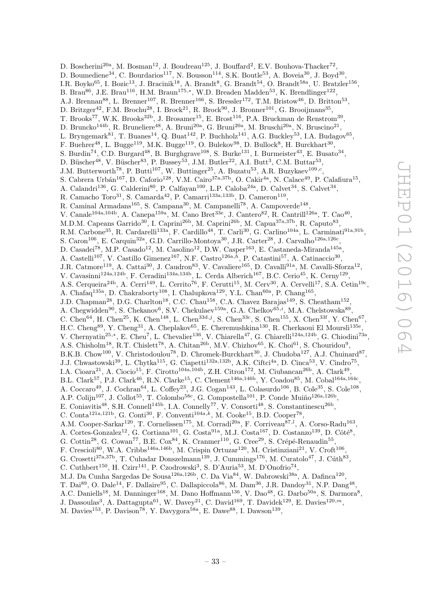D. Boscherini<sup>20a</sup>, M. Bosman<sup>12</sup>, J. Boudreau<sup>125</sup>, J. Bouffard<sup>2</sup>, E.V. Bouhova-Thacker<sup>72</sup>, D. Boumediene<sup>34</sup>, C. Bourdarios<sup>117</sup>, N. Bousson<sup>114</sup>, S.K. Boutle<sup>53</sup>, A. Boveia<sup>30</sup>, J. Boyd<sup>30</sup>, I.R. Boyko<sup>65</sup>, I. Bozic<sup>13</sup>, J. Bracinik<sup>18</sup>, A. Brandt<sup>8</sup>, G. Brandt<sup>54</sup>, O. Brandt<sup>58a</sup>, U. Bratzler<sup>156</sup>, B. Brau<sup>86</sup>, J.E. Brau<sup>116</sup>, H.M. Braun<sup>175,\*</sup>, W.D. Breaden Madden<sup>53</sup>, K. Brendlinger<sup>122</sup>, A.J. Brennan<sup>88</sup>, L. Brenner<sup>107</sup>, R. Brenner<sup>166</sup>, S. Bressler<sup>172</sup>, T.M. Bristow<sup>46</sup>, D. Britton<sup>53</sup>, D. Britzger<sup>42</sup>, F.M. Brochu<sup>28</sup>, I. Brock<sup>21</sup>, R. Brock<sup>90</sup>, J. Bronner<sup>101</sup>, G. Brooijmans<sup>35</sup>, T. Brooks<sup>77</sup>, W.K. Brooks<sup>32b</sup>, J. Brosamer<sup>15</sup>, E. Brost<sup>116</sup>, P.A. Bruckman de Renstrom<sup>39</sup>, D. Bruncko<sup>144b</sup>, R. Bruneliere<sup>48</sup>, A. Bruni<sup>20a</sup>, G. Bruni<sup>20a</sup>, M. Bruschi<sup>20a</sup>, N. Bruscino<sup>21</sup>, L. Bryngemark<sup>81</sup>, T. Buanes<sup>14</sup>, Q. Buat<sup>142</sup>, P. Buchholz<sup>141</sup>, A.G. Buckley<sup>53</sup>, I.A. Budagov<sup>65</sup>, F. Buehrer<sup>48</sup>, L. Bugge<sup>119</sup>, M.K. Bugge<sup>119</sup>, O. Bulekov<sup>98</sup>, D. Bullock<sup>8</sup>, H. Burckhart<sup>30</sup>, S. Burdin<sup>74</sup>, C.D. Burgard<sup>48</sup>, B. Burghgrave<sup>108</sup>, S. Burke<sup>131</sup>, I. Burmeister<sup>43</sup>, E. Busato<sup>34</sup>, D. Büscher<sup>48</sup>, V. Büscher<sup>83</sup>, P. Bussey<sup>53</sup>, J.M. Butler<sup>22</sup>, A.I. Butt<sup>3</sup>, C.M. Buttar<sup>53</sup>, J.M. Butterworth<sup>78</sup>, P. Butti<sup>107</sup>, W. Buttinger<sup>25</sup>, A. Buzatu<sup>53</sup>, A.R. Buzykaev<sup>109,*c*</sup>, S. Cabrera Urbán<sup>167</sup>, D. Caforio<sup>128</sup>, V.M. Cairo<sup>37a,37b</sup>, O. Cakir<sup>4a</sup>, N. Calace<sup>49</sup>, P. Calafiura<sup>15</sup>, A. Calandri<sup>136</sup>, G. Calderini<sup>80</sup>, P. Calfayan<sup>100</sup>, L.P. Caloba<sup>24a</sup>, D. Calvet<sup>34</sup>, S. Calvet<sup>34</sup>, R. Camacho Toro<sup>31</sup>, S. Camarda<sup>42</sup>, P. Camarri<sup>133a, 133b</sup>, D. Cameron<sup>119</sup>, R. Caminal Armadans<sup>165</sup>, S. Campana<sup>30</sup>, M. Campanelli<sup>78</sup>, A. Campoverde<sup>148</sup>, V. Canale<sup>104a,104b</sup>, A. Canepa<sup>159a</sup>, M. Cano Bret<sup>33e</sup>, J. Cantero<sup>82</sup>, R. Cantrill<sup>126a</sup>, T. Cao<sup>40</sup>, M.D.M. Capeans Garrido<sup>30</sup>, I. Caprini<sup>26b</sup>, M. Caprini<sup>26b</sup>, M. Capua<sup>37a,37b</sup>, R. Caputo<sup>83</sup>, R.M. Carbone<sup>35</sup>, R. Cardarelli<sup>133a</sup>, F. Cardillo<sup>48</sup>, T. Carli<sup>30</sup>, G. Carlino<sup>104a</sup>, L. Carminati<sup>91a,91b</sup>, S. Caron<sup>106</sup>, E. Carquin<sup>32a</sup>, G.D. Carrillo-Montoya<sup>30</sup>, J.R. Carter<sup>28</sup>, J. Carvalho<sup>126a,126c</sup>, D. Casadei<sup>78</sup>, M.P. Casado<sup>12</sup>, M. Casolino<sup>12</sup>, D.W. Casper<sup>163</sup>, E. Castaneda-Miranda<sup>145a</sup>, A. Castelli<sup>107</sup>, V. Castillo Gimenez<sup>167</sup>, N.F. Castro<sup>126a,h</sup>, P. Catastini<sup>57</sup>, A. Catinaccio<sup>30</sup>, J.R. Catmore<sup>119</sup>, A. Cattai<sup>30</sup>, J. Caudron<sup>83</sup>, V. Cavaliere<sup>165</sup>, D. Cavalli<sup>91a</sup>, M. Cavalli-Sforza<sup>12</sup>, V. Cavasinni<sup>124a,124b</sup>, F. Ceradini<sup>134a,134b</sup>, L. Cerda Alberich<sup>167</sup>, B.C. Cerio<sup>45</sup>, K. Cerny<sup>129</sup>, A.S. Cerqueira<sup>24b</sup>, A. Cerri<sup>149</sup>, L. Cerrito<sup>76</sup>, F. Cerutti<sup>15</sup>, M. Cerv<sup>30</sup>, A. Cervelli<sup>17</sup>, S.A. Cetin<sup>19c</sup>, A. Chafaq<sup>135a</sup>, D. Chakraborty<sup>108</sup>, I. Chalupkova<sup>129</sup>, Y.L. Chan<sup>60a</sup>, P. Chang<sup>165</sup>, J.D. Chapman<sup>28</sup>, D.G. Charlton<sup>18</sup>, C.C. Chau<sup>158</sup>, C.A. Chavez Barajas<sup>149</sup>, S. Cheatham<sup>152</sup>, A. Chegwidden<sup>90</sup>, S. Chekanov<sup>6</sup>, S.V. Chekulaev<sup>159a</sup>, G.A. Chelkov<sup>65,*i*</sup>, M.A. Chelstowska<sup>89</sup>, C. Chen<sup>64</sup>, H. Chen<sup>25</sup>, K. Chen<sup>148</sup>, L. Chen<sup>33d,j</sup>, S. Chen<sup>33c</sup>, S. Chen<sup>155</sup>, X. Chen<sup>33f</sup>, Y. Chen<sup>67</sup>, H.C. Cheng<sup>89</sup>, Y. Cheng<sup>31</sup>, A. Cheplakov<sup>65</sup>, E. Cheremushkina<sup>130</sup>, R. Cherkaoui El Moursli<sup>135e</sup>, V. Chernyatin<sup>25,\*</sup>, E. Cheu<sup>7</sup>, L. Chevalier<sup>136</sup>, V. Chiarella<sup>47</sup>, G. Chiarelli<sup>124a,124b</sup>, G. Chiodini<sup>73a</sup>, A.S. Chisholm<sup>18</sup>, R.T. Chislett<sup>78</sup>, A. Chitan<sup>26b</sup>, M.V. Chizhov<sup>65</sup>, K. Choi<sup>61</sup>, S. Chouridou<sup>9</sup>, B.K.B. Chow<sup>100</sup>, V. Christodoulou<sup>78</sup>, D. Chromek-Burckhart<sup>30</sup>, J. Chudoba<sup>127</sup>, A.J. Chuinard<sup>87</sup>, J.J. Chwastowski<sup>39</sup>, L. Chytka<sup>115</sup>, G. Ciapetti<sup>132a,132b</sup>, A.K. Ciftci<sup>4a</sup>, D. Cinca<sup>53</sup>, V. Cindro<sup>75</sup>, I.A. Cioara<sup>21</sup>, A. Ciocio<sup>15</sup>, F. Cirotto<sup>104a,104b</sup>, Z.H. Citron<sup>172</sup>, M. Ciubancan<sup>26b</sup>, A. Clark<sup>49</sup>, B.L. Clark<sup>57</sup>, P.J. Clark<sup>46</sup>, R.N. Clarke<sup>15</sup>, C. Clement<sup>146a,146b</sup>, Y. Coadou<sup>85</sup>, M. Cobal<sup>164a,164c</sup>, A. Coccaro<sup>49</sup>, J. Cochran<sup>64</sup>, L. Coffey<sup>23</sup>, J.G. Cogan<sup>143</sup>, L. Colasurdo<sup>106</sup>, B. Cole<sup>35</sup>, S. Cole<sup>108</sup>, A.P. Colijn<sup>107</sup>, J. Collot<sup>55</sup>, T. Colombo<sup>58c</sup>, G. Compostella<sup>101</sup>, P. Conde Muiño<sup>126a,126b</sup>, E. Coniavitis<sup>48</sup>, S.H. Connell<sup>145b</sup>, I.A. Connelly<sup>77</sup>, V. Consorti<sup>48</sup>, S. Constantinescu<sup>26b</sup>, C. Conta<sup>121a,121b</sup>, G. Conti<sup>30</sup>, F. Conventi<sup>104a,k</sup>, M. Cooke<sup>15</sup>, B.D. Cooper<sup>78</sup>, A.M. Cooper-Sarkar<sup>120</sup>, T. Cornelissen<sup>175</sup>, M. Corradi<sup>20a</sup>, F. Corriveau<sup>87,*l*</sup>, A. Corso-Radu<sup>163</sup>, A. Cortes-Gonzalez<sup>12</sup>, G. Cortiana<sup>101</sup>, G. Costa<sup>91a</sup>, M.J. Costa<sup>167</sup>, D. Costanzo<sup>139</sup>, D. Côté<sup>8</sup>, G. Cottin<sup>28</sup>, G. Cowan<sup>77</sup>, B.E. Cox<sup>84</sup>, K. Cranmer<sup>110</sup>, G. Cree<sup>29</sup>, S. Crépé-Renaudin<sup>55</sup>, F. Crescioli<sup>80</sup>, W.A. Cribbs<sup>146a,146b</sup>, M. Crispin Ortuzar<sup>120</sup>, M. Cristinziani<sup>21</sup>, V. Croft<sup>106</sup>, G. Crosetti<sup>37a,37b</sup>, T. Cuhadar Donszelmann<sup>139</sup>, J. Cummings<sup>176</sup>, M. Curatolo<sup>47</sup>, J. Cúth<sup>83</sup>, C. Cuthbert<sup>150</sup>, H. Czirr<sup>141</sup>, P. Czodrowski<sup>3</sup>, S. D'Auria<sup>53</sup>, M. D'Onofrio<sup>74</sup>, M.J. Da Cunha Sargedas De Sousa<sup>126a,126b</sup>, C. Da Via<sup>84</sup>, W. Dabrowski<sup>38a</sup>, A. Dafinca<sup>120</sup>, T. Dai<sup>89</sup>, O. Dale<sup>14</sup>, F. Dallaire<sup>95</sup>, C. Dallapiccola<sup>86</sup>, M. Dam<sup>36</sup>, J.R. Dandoy<sup>31</sup>, N.P. Dang<sup>48</sup>, A.C. Daniells<sup>18</sup>, M. Danninger<sup>168</sup>, M. Dano Hoffmann<sup>136</sup>, V. Dao<sup>48</sup>, G. Darbo<sup>50a</sup>, S. Darmora<sup>8</sup>, J. Dassoulas<sup>3</sup>, A. Dattagupta<sup>61</sup>, W. Davey<sup>21</sup>, C. David<sup>169</sup>, T. Davidek<sup>129</sup>, E. Davies<sup>120,*m*</sup>,

M. Davies<sup>153</sup>, P. Davison<sup>78</sup>, Y. Davygora<sup>58a</sup>, E. Dawe<sup>88</sup>, I. Dawson<sup>139</sup>,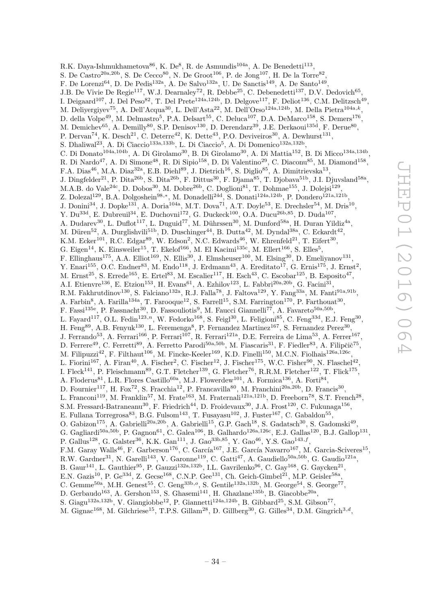R.K. Daya-Ishmukhametova $^{86}$ , K. De<sup>8</sup>, R. de Asmundis<sup>104a</sup>, A. De Benedetti<sup>113</sup>, S. De Castro<sup>20a, 20b</sup>, S. De Cecco<sup>80</sup>, N. De Groot<sup>106</sup>, P. de Jong<sup>107</sup>, H. De la Torre<sup>82</sup>, F. De Lorenzi<sup>64</sup>, D. De Pedis<sup>132a</sup>, A. De Salvo<sup>132a</sup>, U. De Sanctis<sup>149</sup>, A. De Santo<sup>149</sup>, J.B. De Vivie De Regie<sup>117</sup>, W.J. Dearnaley<sup>72</sup>, R. Debbe<sup>25</sup>, C. Debenedetti<sup>137</sup>, D.V. Dedovich<sup>65</sup>, I. Deigaard<sup>107</sup>, J. Del Peso<sup>82</sup>, T. Del Prete<sup>124a,124b</sup>, D. Delgove<sup>117</sup>, F. Deliot<sup>136</sup>, C.M. Delitzsch<sup>49</sup>, M. Deliyergiyev<sup>75</sup>, A. Dell'Acqua<sup>30</sup>, L. Dell'Asta<sup>22</sup>, M. Dell'Orso<sup>124a,124b</sup>, M. Della Pietra<sup>104a,k</sup>, D. della Volpe<sup>49</sup>, M. Delmastro<sup>5</sup>, P.A. Delsart<sup>55</sup>, C. Deluca<sup>107</sup>, D.A. DeMarco<sup>158</sup>, S. Demers<sup>176</sup>, M. Demichev<sup>65</sup>, A. Demilly<sup>80</sup>, S.P. Denisov<sup>130</sup>, D. Derendarz<sup>39</sup>, J.E. Derkaoui<sup>135d</sup>, F. Derue<sup>80</sup>, P. Dervan<sup>74</sup>, K. Desch<sup>21</sup>, C. Deterre<sup>42</sup>, K. Dette<sup>43</sup>, P.O. Deviveiros<sup>30</sup>, A. Dewhurst<sup>131</sup>, S. Dhaliwal<sup>23</sup>, A. Di Ciaccio<sup>133a,133b</sup>, L. Di Ciaccio<sup>5</sup>, A. Di Domenico<sup>132a,132b</sup>, C. Di Donato<sup>104a,104b</sup>, A. Di Girolamo<sup>30</sup>, B. Di Girolamo<sup>30</sup>, A. Di Mattia<sup>152</sup>, B. Di Micco<sup>134a,134b</sup>, R. Di Nardo<sup>47</sup>, A. Di Simone<sup>48</sup>, R. Di Sipio<sup>158</sup>, D. Di Valentino<sup>29</sup>, C. Diaconu<sup>85</sup>, M. Diamond<sup>158</sup>, F.A. Dias<sup>46</sup>, M.A. Diaz<sup>32a</sup>, E.B. Diehl<sup>89</sup>, J. Dietrich<sup>16</sup>, S. Diglio<sup>85</sup>, A. Dimitrievska<sup>13</sup>, J. Dingfelder<sup>21</sup>, P. Dita<sup>26b</sup>, S. Dita<sup>26b</sup>, F. Dittus<sup>30</sup>, F. Djama<sup>85</sup>, T. Djobava<sup>51b</sup>, J.I. Djuvsland<sup>58a</sup>, M.A.B. do Vale<sup>24c</sup>, D. Dobos<sup>30</sup>, M. Dobre<sup>26b</sup>, C. Doglioni<sup>81</sup>, T. Dohmae<sup>155</sup>, J. Dolejsi<sup>129</sup>, Z. Dolezal<sup>129</sup>, B.A. Dolgoshein<sup>98,\*</sup>, M. Donadelli<sup>24d</sup>, S. Donati<sup>124a,124b</sup>, P. Dondero<sup>121a,121b</sup>, J. Donini<sup>34</sup>, J. Dopke<sup>131</sup>, A. Doria<sup>104a</sup>, M.T. Dova<sup>71</sup>, A.T. Doyle<sup>53</sup>, E. Drechsler<sup>54</sup>, M. Dris<sup>10</sup>, Y. Du<sup>33d</sup>, E. Dubreuil<sup>34</sup>, E. Duchovni<sup>172</sup>, G. Duckeck<sup>100</sup>, O.A. Ducu<sup>26b,85</sup>, D. Duda<sup>107</sup>, A. Dudarev<sup>30</sup>, L. Duflot<sup>117</sup>, L. Duguid<sup>77</sup>, M. Dührssen<sup>30</sup>, M. Dunford<sup>58a</sup>, H. Duran Yildiz<sup>4a</sup>, M. Düren<sup>52</sup>, A. Durglishvili<sup>51b</sup>, D. Duschinger<sup>44</sup>, B. Dutta<sup>42</sup>, M. Dyndal<sup>38a</sup>, C. Eckardt<sup>42</sup>, K.M. Ecker<sup>101</sup>, R.C. Edgar<sup>89</sup>, W. Edson<sup>2</sup>, N.C. Edwards<sup>46</sup>, W. Ehrenfeld<sup>21</sup>, T. Eifert<sup>30</sup>, G. Eigen<sup>14</sup>, K. Einsweiler<sup>15</sup>, T. Ekelof<sup>166</sup>, M. El Kacimi<sup>135c</sup>, M. Ellert<sup>166</sup>, S. Elles<sup>5</sup>, F. Ellinghaus<sup>175</sup>, A.A. Elliot<sup>169</sup>, N. Ellis<sup>30</sup>, J. Elmsheuser<sup>100</sup>, M. Elsing<sup>30</sup>, D. Emeliyanov<sup>131</sup>, Y. Enari<sup>155</sup>, O.C. Endner<sup>83</sup>, M. Endo<sup>118</sup>, J. Erdmann<sup>43</sup>, A. Ereditato<sup>17</sup>, G. Ernis<sup>175</sup>, J. Ernst<sup>2</sup>, M. Ernst<sup>25</sup>, S. Errede<sup>165</sup>, E. Ertel<sup>83</sup>, M. Escalier<sup>117</sup>, H. Esch<sup>43</sup>, C. Escobar<sup>125</sup>, B. Esposito<sup>47</sup>, A.I. Etienvre<sup>136</sup>, E. Etzion<sup>153</sup>, H. Evans<sup>61</sup>, A. Ezhilov<sup>123</sup>, L. Fabbri<sup>20a,20b</sup>, G. Facini<sup>31</sup>, R.M. Fakhrutdinov<sup>130</sup>, S. Falciano<sup>132a</sup>, R.J. Falla<sup>78</sup>, J. Faltova<sup>129</sup>, Y. Fang<sup>33a</sup>, M. Fanti<sup>91a,91b</sup>, A. Farbin<sup>8</sup>, A. Farilla<sup>134a</sup>, T. Farooque<sup>12</sup>, S. Farrell<sup>15</sup>, S.M. Farrington<sup>170</sup>, P. Farthouat<sup>30</sup>, F. Fassi<sup>135e</sup>, P. Fassnacht<sup>30</sup>, D. Fassouliotis<sup>9</sup>, M. Faucci Giannelli<sup>77</sup>, A. Favareto<sup>50a,50b</sup>, L. Fayard<sup>117</sup>, O.L. Fedin<sup>123,n</sup>, W. Fedorko<sup>168</sup>, S. Feigl<sup>30</sup>, L. Feligioni<sup>85</sup>, C. Feng<sup>33d</sup>, E.J. Feng<sup>30</sup>, H. Feng<sup>89</sup>, A.B. Fenyuk<sup>130</sup>, L. Feremenga<sup>8</sup>, P. Fernandez Martinez<sup>167</sup>, S. Fernandez Perez<sup>30</sup>, J. Ferrando<sup>53</sup>, A. Ferrari<sup>166</sup>, P. Ferrari<sup>107</sup>, R. Ferrari<sup>121a</sup>, D.E. Ferreira de Lima<sup>53</sup>, A. Ferrer<sup>167</sup>, D. Ferrere<sup>49</sup>, C. Ferretti<sup>89</sup>, A. Ferretto Parodi<sup>50a,50b</sup>, M. Fiascaris<sup>31</sup>, F. Fiedler<sup>83</sup>, A. Filipčič<sup>75</sup>, M. Filipuzzi<sup>42</sup>, F. Filthaut<sup>106</sup>, M. Fincke-Keeler<sup>169</sup>, K.D. Finelli<sup>150</sup>, M.C.N. Fiolhais<sup>126a,126c</sup>, L. Fiorini<sup>167</sup>, A. Firan<sup>40</sup>, A. Fischer<sup>2</sup>, C. Fischer<sup>12</sup>, J. Fischer<sup>175</sup>, W.C. Fisher<sup>90</sup>, N. Flaschel<sup>42</sup>, I. Fleck<sup>141</sup>, P. Fleischmann<sup>89</sup>, G.T. Fletcher<sup>139</sup>, G. Fletcher<sup>76</sup>, R.R.M. Fletcher<sup>122</sup>, T. Flick<sup>175</sup>, A. Floderus<sup>81</sup>, L.R. Flores Castillo<sup>60a</sup>, M.J. Flowerdew<sup>101</sup>, A. Formica<sup>136</sup>, A. Forti<sup>84</sup>, D. Fournier<sup>117</sup>, H. Fox<sup>72</sup>, S. Fracchia<sup>12</sup>, P. Francavilla<sup>80</sup>, M. Franchini<sup>20a,20b</sup>, D. Francis<sup>30</sup>, L. Franconi<sup>119</sup>, M. Franklin<sup>57</sup>, M. Frate<sup>163</sup>, M. Fraternali<sup>121a,121b</sup>, D. Freeborn<sup>78</sup>, S.T. French<sup>28</sup>, S.M. Fressard-Batraneanu<sup>30</sup>, F. Friedrich<sup>44</sup>, D. Froidevaux<sup>30</sup>, J.A. Frost<sup>120</sup>, C. Fukunaga<sup>156</sup>, E. Fullana Torregrosa<sup>83</sup>, B.G. Fulsom<sup>143</sup>, T. Fusayasu<sup>102</sup>, J. Fuster<sup>167</sup>, C. Gabaldon<sup>55</sup>, O. Gabizon<sup>175</sup>, A. Gabrielli<sup>20a, 20b</sup>, A. Gabrielli<sup>15</sup>, G.P. Gach<sup>18</sup>, S. Gadatsch<sup>30</sup>, S. Gadomski<sup>49</sup>, G. Gagliardi<sup>50a,50b</sup>, P. Gagnon<sup>61</sup>, C. Galea<sup>106</sup>, B. Galhardo<sup>126a,126c</sup>, E.J. Gallas<sup>120</sup>, B.J. Gallop<sup>131</sup>, P. Gallus<sup>128</sup>, G. Galster<sup>36</sup>, K.K. Gan<sup>111</sup>, J. Gao<sup>33b,85</sup>, Y. Gao<sup>46</sup>, Y.S. Gao<sup>143,f</sup>, F.M. Garay Walls<sup>46</sup>, F. Garberson<sup>176</sup>, C. García<sup>167</sup>, J.E. García Navarro<sup>167</sup>, M. Garcia-Sciveres<sup>15</sup>, R.W. Gardner<sup>31</sup>, N. Garelli<sup>143</sup>, V. Garonne<sup>119</sup>, C. Gatti<sup>47</sup>, A. Gaudiello<sup>50a,50b</sup>, G. Gaudio<sup>121a</sup>, B. Gaur<sup>141</sup>, L. Gauthier<sup>95</sup>, P. Gauzzi<sup>132a, 132b</sup>, I.L. Gavrilenko<sup>96</sup>, C. Gay<sup>168</sup>, G. Gaycken<sup>21</sup>, E.N. Gazis<sup>10</sup>, P. Ge<sup>33d</sup>, Z. Gecse<sup>168</sup>, C.N.P. Gee<sup>131</sup>, Ch. Geich-Gimbel<sup>21</sup>, M.P. Geisler<sup>58a</sup>, C. Gemme<sup>50a</sup>, M.H. Genest<sup>55</sup>, C. Geng<sup>33b,o</sup>, S. Gentile<sup>132a,132b</sup>, M. George<sup>54</sup>, S. George<sup>77</sup>, D. Gerbaudo<sup>163</sup>, A. Gershon<sup>153</sup>, S. Ghasemi<sup>141</sup>, H. Ghazlane<sup>135b</sup>, B. Giacobbe<sup>20a</sup>, S. Giagu<sup>132a, 132b</sup>, V. Giangiobbe<sup>12</sup>, P. Giannetti<sup>124a, 124b</sup>, B. Gibbard<sup>25</sup>, S.M. Gibson<sup>77</sup>,

M. Gignac<sup>168</sup>, M. Gilchriese<sup>15</sup>, T.P.S. Gillam<sup>28</sup>, D. Gillberg<sup>30</sup>, G. Gilles<sup>34</sup>, D.M. Gingrich<sup>3,d</sup>,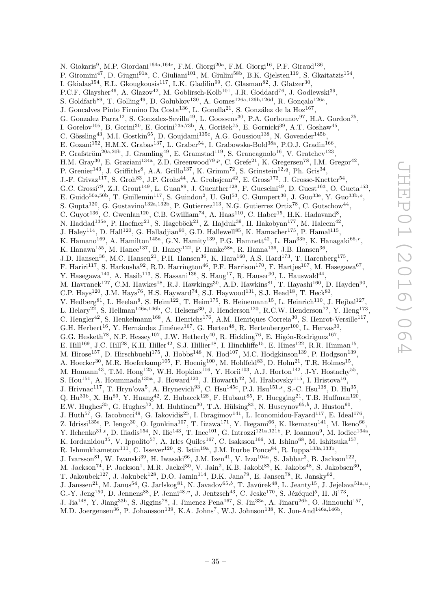N. Giokaris<sup>9</sup>, M.P. Giordani<sup>164a,164c</sup>, F.M. Giorgi<sup>20a</sup>, F.M. Giorgi<sup>16</sup>, P.F. Giraud<sup>136</sup>, P. Giromini<sup>47</sup>, D. Giugni<sup>91a</sup>, C. Giuliani<sup>101</sup>, M. Giulini<sup>58b</sup>, B.K. Gjelsten<sup>119</sup>, S. Gkaitatzis<sup>154</sup>, I. Gkialas<sup>154</sup>, E.L. Gkougkousis<sup>117</sup>, L.K. Gladilin<sup>99</sup>, C. Glasman<sup>82</sup>, J. Glatzer<sup>30</sup>, P.C.F. Glaysher<sup>46</sup>, A. Glazov<sup>42</sup>, M. Goblirsch-Kolb<sup>101</sup>, J.R. Goddard<sup>76</sup>, J. Godlewski<sup>39</sup>, S. Goldfarb<sup>89</sup>, T. Golling<sup>49</sup>, D. Golubkov<sup>130</sup>, A. Gomes<sup>126a,126b,126d</sup>, R. Gonçalo<sup>126a</sup>, J. Goncalves Pinto Firmino Da Costa<sup>136</sup>, L. Gonella<sup>21</sup>, S. González de la Hoz<sup>167</sup>, G. Gonzalez Parra<sup>12</sup>, S. Gonzalez-Sevilla<sup>49</sup>, L. Goossens<sup>30</sup>, P.A. Gorbounov<sup>97</sup>, H.A. Gordon<sup>25</sup>, I. Gorelov<sup>105</sup>, B. Gorini<sup>30</sup>, E. Gorini<sup>73a,73b</sup>, A. Gorišek<sup>75</sup>, E. Gornicki<sup>39</sup>, A.T. Goshaw<sup>45</sup>, C. Gössling<sup>43</sup>, M.I. Gostkin<sup>65</sup>, D. Goujdami<sup>135c</sup>, A.G. Goussiou<sup>138</sup>, N. Govender<sup>145b</sup>, E. Gozani<sup>152</sup>, H.M.X. Grabas<sup>137</sup>, L. Graber<sup>54</sup>, I. Grabowska-Bold<sup>38a</sup>, P.O.J. Gradin<sup>166</sup>, P. Grafström<sup>20a, 20b</sup>, J. Gramling<sup>49</sup>, E. Gramstad<sup>119</sup>, S. Grancagnolo<sup>16</sup>, V. Gratchev<sup>123</sup>, H.M. Gray<sup>30</sup>, E. Graziani<sup>134a</sup>, Z.D. Greenwood<sup>79,p</sup>, C. Grefe<sup>21</sup>, K. Gregersen<sup>78</sup>, I.M. Gregor<sup>42</sup>, P. Grenier<sup>143</sup>, J. Griffiths<sup>8</sup>, A.A. Grillo<sup>137</sup>, K. Grimm<sup>72</sup>, S. Grinstein<sup>12,q</sup>, Ph. Gris<sup>34</sup>, J.-F. Grivaz<sup>117</sup>, S. Groh<sup>83</sup>, J.P. Grohs<sup>44</sup>, A. Grohsjean<sup>42</sup>, E. Gross<sup>172</sup>, J. Grosse-Knetter<sup>54</sup>, G.C. Grossi<sup>79</sup>, Z.J. Grout<sup>149</sup>, L. Guan<sup>89</sup>, J. Guenther<sup>128</sup>, F. Guescini<sup>49</sup>, D. Guest<sup>163</sup>, O. Gueta<sup>153</sup>, E. Guido<sup>50a, 50b</sup>, T. Guillemin<sup>117</sup>, S. Guindon<sup>2</sup>, U. Gul<sup>53</sup>, C. Gumpert<sup>30</sup>, J. Guo<sup>33e</sup>, Y. Guo<sup>33b, o</sup>, S. Gupta<sup>120</sup>, G. Gustavino<sup>132a, 132b</sup>, P. Gutierrez<sup>113</sup>, N.G. Gutierrez Ortiz<sup>78</sup>, C. Gutschow<sup>44</sup>, C. Guyot<sup>136</sup>, C. Gwenlan<sup>120</sup>, C.B. Gwilliam<sup>74</sup>, A. Haas<sup>110</sup>, C. Haber<sup>15</sup>, H.K. Hadavand<sup>8</sup>, N. Haddad<sup>135e</sup>, P. Haefner<sup>21</sup>, S. Hageböck<sup>21</sup>, Z. Hajduk<sup>39</sup>, H. Hakobyan<sup>177</sup>, M. Haleem<sup>42</sup>, J. Haley<sup>114</sup>, D. Hall<sup>120</sup>, G. Halladjian<sup>90</sup>, G.D. Hallewell<sup>85</sup>, K. Hamacher<sup>175</sup>, P. Hamal<sup>115</sup>, K. Hamano<sup>169</sup>, A. Hamilton<sup>145a</sup>, G.N. Hamity<sup>139</sup>, P.G. Hamnett<sup>42</sup>, L. Han<sup>33b</sup>, K. Hanagaki<sup>66,r</sup>, K. Hanawa<sup>155</sup>, M. Hance<sup>137</sup>, B. Haney<sup>122</sup>, P. Hanke<sup>58a</sup>, R. Hanna<sup>136</sup>, J.B. Hansen<sup>36</sup>, J.D. Hansen<sup>36</sup>, M.C. Hansen<sup>21</sup>, P.H. Hansen<sup>36</sup>, K. Hara<sup>160</sup>, A.S. Hard<sup>173</sup>, T. Harenberg<sup>175</sup>, F. Hariri<sup>117</sup>, S. Harkusha<sup>92</sup>, R.D. Harrington<sup>46</sup>, P.F. Harrison<sup>170</sup>, F. Hartjes<sup>107</sup>, M. Hasegawa<sup>67</sup>, Y. Hasegawa<sup>140</sup>, A. Hasib<sup>113</sup>, S. Hassani<sup>136</sup>, S. Haug<sup>17</sup>, R. Hauser<sup>90</sup>, L. Hauswald<sup>44</sup>, M. Havranek<sup>127</sup>, C.M. Hawkes<sup>18</sup>, R.J. Hawkings<sup>30</sup>, A.D. Hawkins<sup>81</sup>, T. Hayashi<sup>160</sup>, D. Hayden<sup>90</sup>, C.P. Hays<sup>120</sup>, J.M. Hays<sup>76</sup>, H.S. Hayward<sup>74</sup>, S.J. Haywood<sup>131</sup>, S.J. Head<sup>18</sup>, T. Heck<sup>83</sup>, V. Hedberg<sup>81</sup>, L. Heelan<sup>8</sup>, S. Heim<sup>122</sup>, T. Heim<sup>175</sup>, B. Heinemann<sup>15</sup>, L. Heinrich<sup>110</sup>, J. Hejbal<sup>127</sup>, L. Helary<sup>22</sup>, S. Hellman<sup>146a,146b</sup>, C. Helsens<sup>30</sup>, J. Henderson<sup>120</sup>, R.C.W. Henderson<sup>72</sup>, Y. Heng<sup>173</sup>, C. Hengler<sup>42</sup>, S. Henkelmann<sup>168</sup>, A. Henrichs<sup>176</sup>, A.M. Henriques Correia<sup>30</sup>, S. Henrot-Versille<sup>117</sup>, G.H. Herbert<sup>16</sup>, Y. Hernández Jiménez<sup>167</sup>, G. Herten<sup>48</sup>, R. Hertenberger<sup>100</sup>, L. Hervas<sup>30</sup>, G.G. Hesketh<sup>78</sup>, N.P. Hessey<sup>107</sup>, J.W. Hetherly<sup>40</sup>, R. Hickling<sup>76</sup>, E. Higón-Rodriguez<sup>167</sup>, E. Hill<sup>169</sup>, J.C. Hill<sup>28</sup>, K.H. Hiller<sup>42</sup>, S.J. Hillier<sup>18</sup>, I. Hinchliffe<sup>15</sup>, E. Hines<sup>122</sup>, R.R. Hinman<sup>15</sup>, M. Hirose<sup>157</sup>, D. Hirschbuehl<sup>175</sup>, J. Hobbs<sup>148</sup>, N. Hod<sup>107</sup>, M.C. Hodgkinson<sup>139</sup>, P. Hodgson<sup>139</sup>, A. Hoecker<sup>30</sup>, M.R. Hoeferkamp<sup>105</sup>, F. Hoenig<sup>100</sup>, M. Hohlfeld<sup>83</sup>, D. Hohn<sup>21</sup>, T.R. Holmes<sup>15</sup>, M. Homann<sup>43</sup>, T.M. Hong<sup>125</sup>, W.H. Hopkins<sup>116</sup>, Y. Horii<sup>103</sup>, A.J. Horton<sup>142</sup>, J-Y. Hostachy<sup>55</sup>, S. Hou<sup>151</sup>, A. Hoummada<sup>135a</sup>, J. Howard<sup>120</sup>, J. Howarth<sup>42</sup>, M. Hrabovsky<sup>115</sup>, I. Hristova<sup>16</sup>, J. Hrivnac<sup>117</sup>, T. Hryn'ova<sup>5</sup>, A. Hrynevich<sup>93</sup>, C. Hsu<sup>145c</sup>, P.J. Hsu<sup>151,s</sup>, S.-C. Hsu<sup>138</sup>, D. Hu<sup>35</sup>, Q. Hu<sup>33b</sup>, X. Hu<sup>89</sup>, Y. Huang<sup>42</sup>, Z. Hubacek<sup>128</sup>, F. Hubaut<sup>85</sup>, F. Huegging<sup>21</sup>, T.B. Huffman<sup>120</sup>, E.W. Hughes<sup>35</sup>, G. Hughes<sup>72</sup>, M. Huhtinen<sup>30</sup>, T.A. Hülsing<sup>83</sup>, N. Huseynov<sup>65,b</sup>, J. Huston<sup>90</sup>, J. Huth<sup>57</sup>, G. Iacobucci<sup>49</sup>, G. Iakovidis<sup>25</sup>, I. Ibragimov<sup>141</sup>, L. Iconomidou-Fayard<sup>117</sup>, E. Ideal<sup>176</sup>, Z. Idrissi<sup>135e</sup>, P. Iengo<sup>30</sup>, O. Igonkina<sup>107</sup>, T. Iizawa<sup>171</sup>, Y. Ikegami<sup>66</sup>, K. Ikematsu<sup>141</sup>, M. Ikeno<sup>66</sup>, Y. Ilchenko<sup>31,*t*</sup>, D. Iliadis<sup>154</sup>, N. Ilic<sup>143</sup>, T. Ince<sup>101</sup>, G. Introzzi<sup>121a,121b</sup>, P. Ioannou<sup>9</sup>, M. Iodice<sup>134a</sup>, K. Iordanidou<sup>35</sup>, V. Ippolito<sup>57</sup>, A. Irles Quiles<sup>167</sup>, C. Isaksson<sup>166</sup>, M. Ishino<sup>68</sup>, M. Ishitsuka<sup>157</sup>, R. Ishmukhametov<sup>111</sup>, C. Issever<sup>120</sup>, S. Istin<sup>19a</sup>, J.M. Iturbe Ponce<sup>84</sup>, R. Iuppa<sup>133a,133b</sup>, J. Ivarsson $^{81}$ , W. Iwanski $^{39}$ , H. Iwasaki $^{66}$ , J.M. Izen $^{41}$ , V. Izzo<sup>104a</sup>, S. Jabbar<sup>3</sup>, B. Jackson<sup>122</sup>, M. Jackson<sup>74</sup>, P. Jackson<sup>1</sup>, M.R. Jaekel<sup>30</sup>, V. Jain<sup>2</sup>, K.B. Jakobi<sup>83</sup>, K. Jakobs<sup>48</sup>, S. Jakobsen<sup>30</sup>, T. Jakoubek<sup>127</sup>, J. Jakubek<sup>128</sup>, D.O. Jamin<sup>114</sup>, D.K. Jana<sup>79</sup>, E. Jansen<sup>78</sup>, R. Jansky<sup>62</sup>, J. Janssen<sup>21</sup>, M. Janus<sup>54</sup>, G. Jarlskog<sup>81</sup>, N. Javadov<sup>65,b</sup>, T. Javůrek<sup>48</sup>, L. Jeanty<sup>15</sup>, J. Jejelava<sup>51a,u</sup>, G.-Y. Jeng<sup>150</sup>, D. Jennens<sup>88</sup>, P. Jenni<sup>48,</sup><sup>v</sup>, J. Jentzsch<sup>43</sup>, C. Jeske<sup>170</sup>, S. Jézéquel<sup>5</sup>, H. Ji<sup>173</sup>, J. Jia<sup>148</sup>, Y. Jiang<sup>33b</sup>, S. Jiggins<sup>78</sup>, J. Jimenez Pena<sup>167</sup>, S. Jin<sup>33a</sup>, A. Jinaru<sup>26b</sup>, O. Jinnouchi<sup>157</sup>, M.D. Joergensen<sup>36</sup>, P. Johansson<sup>139</sup>, K.A. Johns<sup>7</sup>, W.J. Johnson<sup>138</sup>, K. Jon-And<sup>146a,146b</sup>,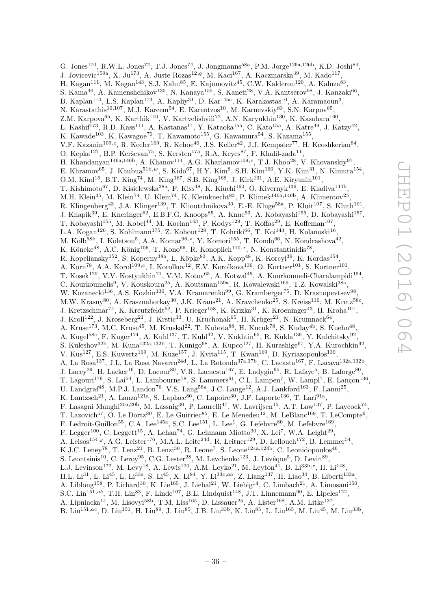G. Jones<sup>170</sup>, R.W.L. Jones<sup>72</sup>, T.J. Jones<sup>74</sup>, J. Jongmanns<sup>58a</sup>, P.M. Jorge<sup>126a,126b</sup>, K.D. Joshi<sup>84</sup>, J. Jovicevic<sup>159a</sup>, X. Ju<sup>173</sup>, A. Juste Rozas<sup>12,q</sup>, M. Kaci<sup>167</sup>, A. Kaczmarska<sup>39</sup>, M. Kado<sup>117</sup>, H. Kagan<sup>111</sup>, M. Kagan<sup>143</sup>, S.J. Kahn<sup>85</sup>, E. Kajomovitz<sup>45</sup>, C.W. Kalderon<sup>120</sup>, A. Kaluza<sup>83</sup>, S. Kama $^{40}$ , A. Kamenshchikov<sup>130</sup>, N. Kanaya<sup>155</sup>, S. Kaneti<sup>28</sup>, V.A. Kantserov<sup>98</sup>, J. Kanzaki<sup>66</sup>, B. Kaplan<sup>110</sup>, L.S. Kaplan<sup>173</sup>, A. Kapliy<sup>31</sup>, D. Kar<sup>145c</sup>, K. Karakostas<sup>10</sup>, A. Karamaoun<sup>3</sup>, N. Karastathis<sup>10,107</sup>, M.J. Kareem<sup>54</sup>, E. Karentzos<sup>10</sup>, M. Karnevskiy<sup>83</sup>, S.N. Karpov<sup>65</sup>, Z.M. Karpova<sup>65</sup>, K. Karthik<sup>110</sup>, V. Kartvelishvili<sup>72</sup>, A.N. Karyukhin<sup>130</sup>, K. Kasahara<sup>160</sup>, L. Kashif<sup>173</sup>, R.D. Kass<sup>111</sup>, A. Kastanas<sup>14</sup>, Y. Kataoka<sup>155</sup>, C. Kato<sup>155</sup>, A. Katre<sup>49</sup>, J. Katzy<sup>42</sup>, K. Kawade<sup>103</sup>, K. Kawagoe<sup>70</sup>, T. Kawamoto<sup>155</sup>, G. Kawamura<sup>54</sup>, S. Kazama<sup>155</sup>, V.F. Kazanin<sup>109,c</sup>, R. Keeler<sup>169</sup>, R. Kehoe<sup>40</sup>, J.S. Keller<sup>42</sup>, J.J. Kempster<sup>77</sup>, H. Keoshkerian<sup>84</sup>, O. Kepka<sup>127</sup>, B.P. Kerševan<sup>75</sup>, S. Kersten<sup>175</sup>, R.A. Keyes<sup>87</sup>, F. Khalil-zada<sup>11</sup>, H. Khandanyan<sup>146a,146b</sup>, A. Khanov<sup>114</sup>, A.G. Kharlamov<sup>109,c</sup>, T.J. Khoo<sup>28</sup>, V. Khovanskiy<sup>97</sup>, E. Khramov<sup>65</sup>, J. Khubua<sup>51b,w</sup>, S. Kido<sup>67</sup>, H.Y. Kim<sup>8</sup>, S.H. Kim<sup>160</sup>, Y.K. Kim<sup>31</sup>, N. Kimura<sup>154</sup>, O.M. Kind<sup>16</sup>, B.T. King<sup>74</sup>, M. King<sup>167</sup>, S.B. King<sup>168</sup>, J. Kirk<sup>131</sup>, A.E. Kiryunin<sup>101</sup>, T. Kishimoto<sup>67</sup>, D. Kisielewska<sup>38a</sup>, F. Kiss<sup>48</sup>, K. Kiuchi<sup>160</sup>, O. Kivernyk<sup>136</sup>, E. Kladiva<sup>144b</sup>, M.H. Klein<sup>35</sup>, M. Klein<sup>74</sup>, U. Klein<sup>74</sup>, K. Kleinknecht<sup>83</sup>, P. Klimek<sup>146a,146b</sup>, A. Klimentov<sup>25</sup>, R. Klingenberg<sup>43</sup>, J.A. Klinger<sup>139</sup>, T. Klioutchnikova<sup>30</sup>, E.-E. Kluge<sup>58a</sup>, P. Kluit<sup>107</sup>, S. Kluth<sup>101</sup>, J. Knapik<sup>39</sup>, E. Kneringer<sup>62</sup>, E.B.F.G. Knoops<sup>85</sup>, A. Knue<sup>53</sup>, A. Kobayashi<sup>155</sup>, D. Kobayashi<sup>157</sup>, T. Kobayashi<sup>155</sup>, M. Kobel<sup>44</sup>, M. Kocian<sup>143</sup>, P. Kodys<sup>129</sup>, T. Koffas<sup>29</sup>, E. Koffeman<sup>107</sup>, L.A. Kogan<sup>120</sup>, S. Kohlmann<sup>175</sup>, Z. Kohout<sup>128</sup>, T. Kohriki<sup>66</sup>, T. Koi<sup>143</sup>, H. Kolanoski<sup>16</sup>, M. Kolb<sup>58b</sup>, I. Koletsou<sup>5</sup>, A.A. Komar<sup>96,\*</sup>, Y. Komori<sup>155</sup>, T. Kondo<sup>66</sup>, N. Kondrashova<sup>42</sup>, K. Köneke<sup>48</sup>, A.C. König<sup>106</sup>, T. Kono<sup>66</sup>, R. Konoplich<sup>110,x</sup>, N. Konstantinidis<sup>78</sup>, R. Kopeliansky<sup>152</sup>, S. Koperny<sup>38a</sup>, L. Köpke<sup>83</sup>, A.K. Kopp<sup>48</sup>, K. Korcyl<sup>39</sup>, K. Kordas<sup>154</sup>, A. Korn<sup>78</sup>, A.A. Korol<sup>109,c</sup>, I. Korolkov<sup>12</sup>, E.V. Korolkova<sup>139</sup>, O. Kortner<sup>101</sup>, S. Kortner<sup>101</sup>, T. Kosek<sup>129</sup>, V.V. Kostyukhin<sup>21</sup>, V.M. Kotov<sup>65</sup>, A. Kotwal<sup>45</sup>, A. Kourkoumeli-Charalampidi<sup>154</sup>, C. Kourkoumelis<sup>9</sup>, V. Kouskoura<sup>25</sup>, A. Koutsman<sup>159a</sup>, R. Kowalewski<sup>169</sup>, T.Z. Kowalski<sup>38a</sup>, W. Kozanecki<sup>136</sup>, A.S. Kozhin<sup>130</sup>, V.A. Kramarenko<sup>99</sup>, G. Kramberger<sup>75</sup>, D. Krasnopevtsev<sup>98</sup>, M.W. Krasny<sup>80</sup>, A. Krasznahorkay<sup>30</sup>, J.K. Kraus<sup>21</sup>, A. Kravchenko<sup>25</sup>, S. Kreiss<sup>110</sup>, M. Kretz<sup>58c</sup>, J. Kretzschmar<sup>74</sup>, K. Kreutzfeldt<sup>52</sup>, P. Krieger<sup>158</sup>, K. Krizka<sup>31</sup>, K. Kroeninger<sup>43</sup>, H. Kroha<sup>101</sup>, J. Kroll<sup>122</sup>, J. Kroseberg<sup>21</sup>, J. Krstic<sup>13</sup>, U. Kruchonak<sup>65</sup>, H. Krüger<sup>21</sup>, N. Krumnack<sup>64</sup>, A. Kruse<sup>173</sup>, M.C. Kruse<sup>45</sup>, M. Kruskal<sup>22</sup>, T. Kubota<sup>88</sup>, H. Kucuk<sup>78</sup>, S. Kuday<sup>4b</sup>, S. Kuehn<sup>48</sup>, A. Kugel<sup>58c</sup>, F. Kuger<sup>174</sup>, A. Kuhl<sup>137</sup>, T. Kuhl<sup>42</sup>, V. Kukhtin<sup>65</sup>, R. Kukla<sup>136</sup>, Y. Kulchitsky<sup>92</sup>, S. Kuleshov<sup>32b</sup>, M. Kuna<sup>132a,132b</sup>, T. Kunigo<sup>68</sup>, A. Kupco<sup>127</sup>, H. Kurashige<sup>67</sup>, Y.A. Kurochkin<sup>92</sup>, V. Kus<sup>127</sup>, E.S. Kuwertz<sup>169</sup>, M. Kuze<sup>157</sup>, J. Kvita<sup>115</sup>, T. Kwan<sup>169</sup>, D. Kyriazopoulos<sup>139</sup>, A. La Rosa<sup>137</sup>, J.L. La Rosa Navarro<sup>24d</sup>, L. La Rotonda<sup>37a,37b</sup>, C. Lacasta<sup>167</sup>, F. Lacava<sup>132a,132b</sup>, J. Lacey<sup>29</sup>, H. Lacker<sup>16</sup>, D. Lacour<sup>80</sup>, V.R. Lacuesta<sup>167</sup>, E. Ladygin<sup>65</sup>, R. Lafaye<sup>5</sup>, B. Laforge<sup>80</sup>, T. Lagouri<sup>176</sup>, S. Lai<sup>54</sup>, L. Lambourne<sup>78</sup>, S. Lammers<sup>61</sup>, C.L. Lampen<sup>7</sup>, W. Lampl<sup>7</sup>, E. Lançon<sup>136</sup>, U. Landgraf<sup>48</sup>, M.P.J. Landon<sup>76</sup>, V.S. Lang<sup>58a</sup>, J.C. Lange<sup>12</sup>, A.J. Lankford<sup>163</sup>, F. Lanni<sup>25</sup>, K. Lantzsch<sup>21</sup>, A. Lanza<sup>121a</sup>, S. Laplace<sup>80</sup>, C. Lapoire<sup>30</sup>, J.F. Laporte<sup>136</sup>, T. Lari<sup>91a</sup>, F. Lasagni Manghi<sup>20a,20b</sup>, M. Lassnig<sup>30</sup>, P. Laurelli<sup>47</sup>, W. Lavrijsen<sup>15</sup>, A.T. Law<sup>137</sup>, P. Laycock<sup>74</sup>, T. Lazovich<sup>57</sup>, O. Le Dortz<sup>80</sup>, E. Le Guirriec<sup>85</sup>, E. Le Menedeu<sup>12</sup>, M. LeBlanc<sup>169</sup>, T. LeCompte<sup>6</sup>, F. Ledroit-Guillon<sup>55</sup>, C.A. Lee<sup>145a</sup>, S.C. Lee<sup>151</sup>, L. Lee<sup>1</sup>, G. Lefebvre<sup>80</sup>, M. Lefebvre<sup>169</sup>, F. Legger<sup>100</sup>, C. Leggett<sup>15</sup>, A. Lehan<sup>74</sup>, G. Lehmann Miotto<sup>30</sup>, X. Lei<sup>7</sup>, W.A. Leight<sup>29</sup>, A. Leisos<sup>154, y</sup>, A.G. Leister<sup>176</sup>, M.A.L. Leite<sup>24d</sup>, R. Leitner<sup>129</sup>, D. Lellouch<sup>172</sup>, B. Lemmer<sup>54</sup>, K.J.C. Leney<sup>78</sup>, T. Lenz<sup>21</sup>, B. Lenzi<sup>30</sup>, R. Leone<sup>7</sup>, S. Leone<sup>124a,124b</sup>, C. Leonidopoulos<sup>46</sup>, S. Leontsinis<sup>10</sup>, C. Leroy<sup>95</sup>, C.G. Lester<sup>28</sup>, M. Levchenko<sup>123</sup>, J. Levêque<sup>5</sup>, D. Levin<sup>89</sup>, L.J. Levinson<sup>172</sup>, M. Levy<sup>18</sup>, A. Lewis<sup>120</sup>, A.M. Leyko<sup>21</sup>, M. Leyton<sup>41</sup>, B. Li<sup>33b,z</sup>, H. Li<sup>148</sup>, H.L. Li<sup>31</sup>, L. Li<sup>45</sup>, L. Li<sup>33e</sup>, S. Li<sup>45</sup>, X. Li<sup>84</sup>, Y. Li<sup>33c,aa</sup>, Z. Liang<sup>137</sup>, H. Liao<sup>34</sup>, B. Liberti<sup>133a</sup>, A. Liblong<sup>158</sup>, P. Lichard<sup>30</sup>, K. Lie<sup>165</sup>, J. Liebal<sup>21</sup>, W. Liebig<sup>14</sup>, C. Limbach<sup>21</sup>, A. Limosani<sup>150</sup>, S.C. Lin<sup>151,ab</sup>, T.H. Lin<sup>83</sup>, F. Linde<sup>107</sup>, B.E. Lindquist<sup>148</sup>, J.T. Linnemann<sup>90</sup>, E. Lipeles<sup>122</sup>, A. Lipniacka<sup>14</sup>, M. Lisovyi<sup>58b</sup>, T.M. Liss<sup>165</sup>, D. Lissauer<sup>25</sup>, A. Lister<sup>168</sup>, A.M. Litke<sup>137</sup>,

B. Liu<sup>151,ac</sup>, D. Liu<sup>151</sup>, H. Liu<sup>89</sup>, J. Liu<sup>85</sup>, J.B. Liu<sup>33b</sup>, K. Liu<sup>85</sup>, L. Liu<sup>165</sup>, M. Liu<sup>45</sup>, M. Liu<sup>33b</sup>,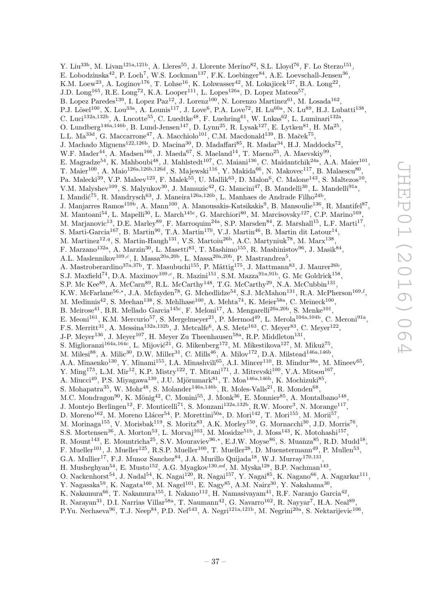Y. Liu<sup>33b</sup>, M. Livan<sup>121a,121b</sup>, A. Lleres<sup>55</sup>, J. Llorente Merino<sup>82</sup>, S.L. Lloyd<sup>76</sup>, F. Lo Sterzo<sup>151</sup>, E. Lobodzinska<sup>42</sup>, P. Loch<sup>7</sup>, W.S. Lockman<sup>137</sup>, F.K. Loebinger<sup>84</sup>, A.E. Loevschall-Jensen<sup>36</sup>, K.M. Loew<sup>23</sup>, A. Loginov<sup>176</sup>, T. Lohse<sup>16</sup>, K. Lohwasser<sup>42</sup>, M. Lokajicek<sup>127</sup>, B.A. Long<sup>22</sup>, J.D. Long<sup>165</sup>, R.E. Long<sup>72</sup>, K.A. Looper<sup>111</sup>, L. Lopes<sup>126a</sup>, D. Lopez Mateos<sup>57</sup>, B. Lopez Paredes<sup>139</sup>, I. Lopez Paz<sup>12</sup>, J. Lorenz<sup>100</sup>, N. Lorenzo Martinez<sup>61</sup>, M. Losada<sup>162</sup>, P.J. Lösel<sup>100</sup>, X. Lou<sup>33a</sup>, A. Lounis<sup>117</sup>, J. Love<sup>6</sup>, P.A. Love<sup>72</sup>, H. Lu<sup>60a</sup>, N. Lu<sup>89</sup>, H.J. Lubatti<sup>138</sup>, C. Luci<sup>132a, 132b</sup>, A. Lucotte<sup>55</sup>, C. Luedtke<sup>48</sup>, F. Luehring<sup>61</sup>, W. Lukas<sup>62</sup>, L. Luminari<sup>132a</sup>, O. Lundberg<sup>146a, 146b</sup>, B. Lund-Jensen<sup>147</sup>, D. Lynn<sup>25</sup>, R. Lysak<sup>127</sup>, E. Lytken<sup>81</sup>, H. Ma<sup>25</sup>, L.L. Ma<sup>33d</sup>, G. Maccarrone<sup>47</sup>, A. Macchiolo<sup>101</sup>, C.M. Macdonald<sup>139</sup>, B. Maček<sup>75</sup>, J. Machado Miguens<sup>122,126b</sup>, D. Macina<sup>30</sup>, D. Madaffari<sup>85</sup>, R. Madar<sup>34</sup>, H.J. Maddocks<sup>72</sup>, W.F. Mader<sup>44</sup>, A. Madsen<sup>166</sup>, J. Maeda<sup>67</sup>, S. Maeland<sup>14</sup>, T. Maeno<sup>25</sup>, A. Maevskiy<sup>99</sup>, E. Magradze<sup>54</sup>, K. Mahboubi<sup>48</sup>, J. Mahlstedt<sup>107</sup>, C. Maiani<sup>136</sup>, C. Maidantchik<sup>24a</sup>, A.A. Maier<sup>101</sup>, T. Maier<sup>100</sup>, A. Maio<sup>126a,126b,126d</sup>, S. Majewski<sup>116</sup>, Y. Makida<sup>66</sup>, N. Makovec<sup>117</sup>, B. Malaescu<sup>80</sup>, Pa. Malecki<sup>39</sup>, V.P. Maleev<sup>123</sup>, F. Malek<sup>55</sup>, U. Mallik<sup>63</sup>, D. Malon<sup>6</sup>, C. Malone<sup>143</sup>, S. Maltezos<sup>10</sup>, V.M. Malyshev<sup>109</sup>, S. Malyukov<sup>30</sup>, J. Mamuzic<sup>42</sup>, G. Mancini<sup>47</sup>, B. Mandelli<sup>30</sup>, L. Mandelli<sup>91a</sup>, I. Mandić<sup>75</sup>, R. Mandrysch<sup>63</sup>, J. Maneira<sup>126a,126b</sup>, L. Manhaes de Andrade Filho<sup>24b</sup>, J. Manjarres Ramos<sup>159b</sup>, A. Mann<sup>100</sup>, A. Manousakis-Katsikakis<sup>9</sup>, B. Mansoulie<sup>136</sup>, R. Mantifel<sup>87</sup>, M. Mantoani<sup>54</sup>, L. Mapelli<sup>30</sup>, L. March<sup>145c</sup>, G. Marchiori<sup>80</sup>, M. Marcisovsky<sup>127</sup>, C.P. Marino<sup>169</sup>, M. Marjanovic<sup>13</sup>, D.E. Marley<sup>89</sup>, F. Marroquim<sup>24a</sup>, S.P. Marsden<sup>84</sup>, Z. Marshall<sup>15</sup>, L.F. Marti<sup>17</sup>, S. Marti-Garcia<sup>167</sup>, B. Martin<sup>90</sup>, T.A. Martin<sup>170</sup>, V.J. Martin<sup>46</sup>, B. Martin dit Latour<sup>14</sup>, M. Martinez<sup>12,q</sup>, S. Martin-Haugh<sup>131</sup>, V.S. Martoiu<sup>26b</sup>, A.C. Martyniuk<sup>78</sup>, M. Marx<sup>138</sup>, F. Marzano<sup>132a</sup>, A. Marzin<sup>30</sup>, L. Masetti<sup>83</sup>, T. Mashimo<sup>155</sup>, R. Mashinistov<sup>96</sup>, J. Masik<sup>84</sup>, A.L. Maslennikov<sup>109,c</sup>, I. Massa<sup>20a,20b</sup>, L. Massa<sup>20a,20b</sup>, P. Mastrandrea<sup>5</sup>, A. Mastroberardino<sup>37a, 37b</sup>, T. Masubuchi<sup>155</sup>, P. Mättig<sup>175</sup>, J. Mattmann<sup>83</sup>, J. Maurer<sup>26b</sup>, S.J. Maxfield<sup>74</sup>, D.A. Maximov<sup>109,c</sup>, R. Mazini<sup>151</sup>, S.M. Mazza<sup>91a,91b</sup>, G. Mc Goldrick<sup>158</sup>, S.P. Mc Kee $^{89}$ , A. McCarn<sup>89</sup>, R.L. McCarthy<sup>148</sup>, T.G. McCarthy<sup>29</sup>, N.A. McCubbin<sup>131</sup>, K.W. McFarlane<sup>56,\*</sup>, J.A. Mcfayden<sup>78</sup>, G. Mchedlidze<sup>54</sup>, S.J. McMahon<sup>131</sup>, R.A. McPherson<sup>169,*l*</sup>, M. Medinnis<sup>42</sup>, S. Meehan<sup>138</sup>, S. Mehlhase<sup>100</sup>, A. Mehta<sup>74</sup>, K. Meier<sup>58a</sup>, C. Meineck<sup>100</sup>, B. Meirose<sup>41</sup>, B.R. Mellado Garcia<sup>145c</sup>, F. Meloni<sup>17</sup>, A. Mengarelli<sup>20a,20b</sup>, S. Menke<sup>101</sup>, E. Meoni<sup>161</sup>, K.M. Mercurio<sup>57</sup>, S. Mergelmeyer<sup>21</sup>, P. Mermod<sup>49</sup>, L. Merola<sup>104a,104b</sup>, C. Meroni<sup>91a</sup>, F.S. Merritt<sup>31</sup>, A. Messina<sup>132a,132b</sup>, J. Metcalfe<sup>6</sup>, A.S. Mete<sup>163</sup>, C. Meyer<sup>83</sup>, C. Meyer<sup>122</sup>, J-P. Meyer<sup>136</sup>, J. Meyer<sup>107</sup>, H. Meyer Zu Theenhausen<sup>58a</sup>, R.P. Middleton<sup>131</sup>, S. Miglioranzi<sup>164a,164c</sup>, L. Mijović<sup>21</sup>, G. Mikenberg<sup>172</sup>, M. Mikestikova<sup>127</sup>, M. Mikuž<sup>75</sup>, M. Milesi $^{88}$ , A. Milic<sup>30</sup>, D.W. Miller<sup>31</sup>, C. Mills<sup>46</sup>, A. Milov<sup>172</sup>, D.A. Milstead<sup>146a,146b</sup>, A.A. Minaenko<sup>130</sup>, Y. Minami<sup>155</sup>, I.A. Minashvili<sup>65</sup>, A.I. Mincer<sup>110</sup>, B. Mindur<sup>38a</sup>, M. Mineev<sup>65</sup>, Y. Ming<sup>173</sup>, L.M. Mir<sup>12</sup>, K.P. Mistry<sup>122</sup>, T. Mitani<sup>171</sup>, J. Mitrevski<sup>100</sup>, V.A. Mitsou<sup>167</sup>, A. Miucci<sup>49</sup>, P.S. Miyagawa<sup>139</sup>, J.U. Mjörnmark<sup>81</sup>, T. Moa<sup>146a,146b</sup>, K. Mochizuki<sup>85</sup>, S. Mohapatra<sup>35</sup>, W. Mohr<sup>48</sup>, S. Molander<sup>146a,146b</sup>, R. Moles-Valls<sup>21</sup>, R. Monden<sup>68</sup>, M.C. Mondragon<sup>90</sup>, K. Mönig<sup>42</sup>, C. Monini<sup>55</sup>, J. Monk<sup>36</sup>, E. Monnier<sup>85</sup>, A. Montalbano<sup>148</sup>, J. Montejo Berlingen<sup>12</sup>, F. Monticelli<sup>71</sup>, S. Monzani<sup>132a,132b</sup>, R.W. Moore<sup>3</sup>, N. Morange<sup>117</sup>, D. Moreno<sup>162</sup>, M. Moreno Llácer<sup>54</sup>, P. Morettini<sup>50a</sup>, D. Mori<sup>142</sup>, T. Mori<sup>155</sup>, M. Morii<sup>57</sup>, M. Morinaga<sup>155</sup>, V. Morisbak<sup>119</sup>, S. Moritz<sup>83</sup>, A.K. Morley<sup>150</sup>, G. Mornacchi<sup>30</sup>, J.D. Morris<sup>76</sup>, S.S. Mortensen<sup>36</sup>, A. Morton<sup>53</sup>, L. Morvaj<sup>103</sup>, M. Mosidze<sup>51b</sup>, J. Moss<sup>143</sup>, K. Motohashi<sup>157</sup>, R. Mount<sup>143</sup>, E. Mountricha<sup>25</sup>, S.V. Mouraviev<sup>96,\*</sup>, E.J.W. Moyse<sup>86</sup>, S. Muanza<sup>85</sup>, R.D. Mudd<sup>18</sup>, F. Mueller<sup>101</sup>, J. Mueller<sup>125</sup>, R.S.P. Mueller<sup>100</sup>, T. Mueller<sup>28</sup>, D. Muenstermann<sup>49</sup>, P. Mullen<sup>53</sup>, G.A. Mullier<sup>17</sup>, F.J. Munoz Sanchez<sup>84</sup>, J.A. Murillo Quijada<sup>18</sup>, W.J. Murray<sup>170,131</sup>, H. Musheghyan<sup>54</sup>, E. Musto<sup>152</sup>, A.G. Myagkov<sup>130,ad</sup>, M. Myska<sup>128</sup>, B.P. Nachman<sup>143</sup>, O. Nackenhorst<sup>54</sup>, J. Nadal<sup>54</sup>, K. Nagai<sup>120</sup>, R. Nagai<sup>157</sup>, Y. Nagai<sup>85</sup>, K. Nagano<sup>66</sup>, A. Nagarkar<sup>111</sup>, Y. Nagasaka $^{59}$ , K. Nagata $^{160}$ , M. Nagel $^{101}$ , E. Nagy $^{85}$ , A.M. Nairz $^{30}$ , Y. Nakahama $^{30}$ , K. Nakamura $^{66}$ , T. Nakamura $^{155}$ , I. Nakano $^{112}$ , H. Namasivayam $^{41}$ , R.F. Naranjo Garcia $^{42}$ , R. Narayan<sup>31</sup>, D.I. Narrias Villar<sup>58a</sup>, T. Naumann<sup>42</sup>, G. Navarro<sup>162</sup>, R. Nayyar<sup>7</sup>, H.A. Neal<sup>89</sup>,

P.Yu. Nechaeva<sup>96</sup>, T.J. Neep<sup>84</sup>, P.D. Nef<sup>143</sup>, A. Negri<sup>121a,121b</sup>, M. Negrini<sup>20a</sup>, S. Nektarijevic<sup>106</sup>,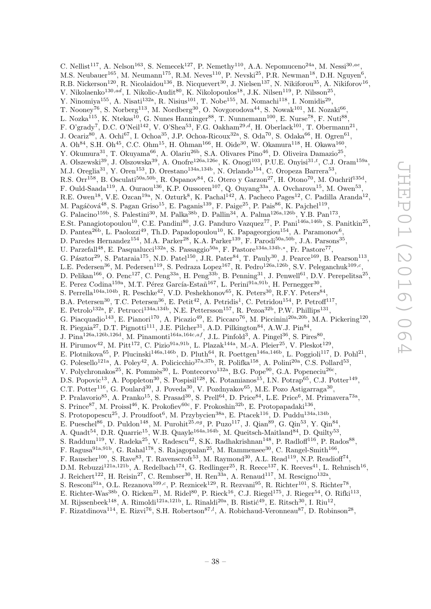C. Nellist<sup>117</sup>, A. Nelson<sup>163</sup>, S. Nemecek<sup>127</sup>, P. Nemethy<sup>110</sup>, A.A. Nepomuceno<sup>24a</sup>, M. Nessi<sup>30,ae</sup>, M.S. Neubauer<sup>165</sup>, M. Neumann<sup>175</sup>, R.M. Neves<sup>110</sup>, P. Nevski<sup>25</sup>, P.R. Newman<sup>18</sup>, D.H. Nguyen<sup>6</sup>, R.B. Nickerson<sup>120</sup>, R. Nicolaidou<sup>136</sup>, B. Nicquevert<sup>30</sup>, J. Nielsen<sup>137</sup>, N. Nikiforou<sup>35</sup>, A. Nikiforov<sup>16</sup>, V. Nikolaenko<sup>130,ad</sup>, I. Nikolic-Audit<sup>80</sup>, K. Nikolopoulos<sup>18</sup>, J.K. Nilsen<sup>119</sup>, P. Nilsson<sup>25</sup>, Y. Ninomiya<sup>155</sup>, A. Nisati<sup>132a</sup>, R. Nisius<sup>101</sup>, T. Nobe<sup>155</sup>, M. Nomachi<sup>118</sup>, I. Nomidis<sup>29</sup>, T. Nooney<sup>76</sup>, S. Norberg<sup>113</sup>, M. Nordberg<sup>30</sup>, O. Novgorodova<sup>44</sup>, S. Nowak<sup>101</sup>, M. Nozaki<sup>66</sup>, L. Nozka<sup>115</sup>, K. Ntekas<sup>10</sup>, G. Nunes Hanninger<sup>88</sup>, T. Nunnemann<sup>100</sup>, E. Nurse<sup>78</sup>, F. Nuti<sup>88</sup>, F. O'grady<sup>7</sup>, D.C. O'Neil<sup>142</sup>, V. O'Shea<sup>53</sup>, F.G. Oakham<sup>29,d</sup>, H. Oberlack<sup>101</sup>, T. Obermann<sup>21</sup>, J. Ocariz<sup>80</sup>, A. Ochi<sup>67</sup>, I. Ochoa<sup>35</sup>, J.P. Ochoa-Ricoux<sup>32a</sup>, S. Oda<sup>70</sup>, S. Odaka<sup>66</sup>, H. Ogren<sup>61</sup>, A. Oh<sup>84</sup>, S.H. Oh<sup>45</sup>, C.C. Ohm<sup>15</sup>, H. Ohman<sup>166</sup>, H. Oide<sup>30</sup>, W. Okamura<sup>118</sup>, H. Okawa<sup>160</sup>, Y. Okumura<sup>31</sup>, T. Okuyama<sup>66</sup>, A. Olariu<sup>26b</sup>, S.A. Olivares Pino<sup>46</sup>, D. Oliveira Damazio<sup>25</sup>, A. Olszewski<sup>39</sup>, J. Olszowska<sup>39</sup>, A. Onofre<sup>126a,126e</sup>, K. Onogi<sup>103</sup>, P.U.E. Onyisi<sup>31,t</sup>, C.J. Oram<sup>159a</sup>, M.J. Oreglia<sup>31</sup>, Y. Oren<sup>153</sup>, D. Orestano<sup>134a, 134b</sup>, N. Orlando<sup>154</sup>, C. Oropeza Barrera<sup>53</sup>, R.S. Orr<sup>158</sup>, B. Osculati<sup>50a,50b</sup>, R. Ospanov<sup>84</sup>, G. Otero y Garzon<sup>27</sup>, H. Otono<sup>70</sup>, M. Ouchrif<sup>135d</sup>, F. Ould-Saada<sup>119</sup>, A. Ouraou<sup>136</sup>, K.P. Oussoren<sup>107</sup>, Q. Ouyang<sup>33a</sup>, A. Ovcharova<sup>15</sup>, M. Owen<sup>53</sup>, R.E. Owen<sup>18</sup>, V.E. Ozcan<sup>19a</sup>, N. Ozturk<sup>8</sup>, K. Pachal<sup>142</sup>, A. Pacheco Pages<sup>12</sup>, C. Padilla Aranda<sup>12</sup>, M. Pagáčová $^{48}$ , S. Pagan Griso<sup>15</sup>, E. Paganis<sup>139</sup>, F. Paige<sup>25</sup>, P. Pais<sup>86</sup>, K. Pajchel<sup>119</sup>, G. Palacino<sup>159b</sup>, S. Palestini<sup>30</sup>, M. Palka<sup>38b</sup>, D. Pallin<sup>34</sup>, A. Palma<sup>126a,126b</sup>, Y.B. Pan<sup>173</sup>, E.St. Panagiotopoulou<sup>10</sup>, C.E. Pandini<sup>80</sup>, J.G. Panduro Vazquez<sup>77</sup>, P. Pani<sup>146a,146b</sup>, S. Panitkin<sup>25</sup>, D. Pantea<sup>26b</sup>, L. Paolozzi<sup>49</sup>, Th.D. Papadopoulou<sup>10</sup>, K. Papageorgiou<sup>154</sup>, A. Paramonov<sup>6</sup>, D. Paredes Hernandez<sup>154</sup>, M.A. Parker<sup>28</sup>, K.A. Parker<sup>139</sup>, F. Parodi<sup>50a,50b</sup>, J.A. Parsons<sup>35</sup>, U. Parzefall<sup>48</sup>, E. Pasqualucci<sup>132a</sup>, S. Passaggio<sup>50a</sup>, F. Pastore<sup>134a,134b,\*</sup>, Fr. Pastore<sup>77</sup>, G. Pásztor<sup>29</sup>, S. Pataraia<sup>175</sup>, N.D. Patel<sup>150</sup>, J.R. Pater<sup>84</sup>, T. Pauly<sup>30</sup>, J. Pearce<sup>169</sup>, B. Pearson<sup>113</sup>, L.E. Pedersen<sup>36</sup>, M. Pedersen<sup>119</sup>, S. Pedraza Lopez<sup>167</sup>, R. Pedro<sup>126a,126b</sup>, S.V. Peleganchuk<sup>109,c</sup>, D. Pelikan<sup>166</sup>, O. Penc<sup>127</sup>, C. Peng<sup>33a</sup>, H. Peng<sup>33b</sup>, B. Penning<sup>31</sup>, J. Penwell<sup>61</sup>, D.V. Perepelitsa<sup>25</sup>, E. Perez Codina<sup>159a</sup>, M.T. Pérez García-Estañ<sup>167</sup>, L. Perini<sup>91a,91b</sup>, H. Pernegger<sup>30</sup>, S. Perrella<sup>104a,104b</sup>, R. Peschke<sup>42</sup>, V.D. Peshekhonov<sup>65</sup>, K. Peters<sup>30</sup>, R.F.Y. Peters<sup>84</sup>, B.A. Petersen<sup>30</sup>, T.C. Petersen<sup>36</sup>, E. Petit<sup>42</sup>, A. Petridis<sup>1</sup>, C. Petridou<sup>154</sup>, P. Petroff<sup>117</sup>, E. Petrolo<sup>132a</sup>, F. Petrucci<sup>134a, 134b</sup>, N.E. Pettersson<sup>157</sup>, R. Pezoa<sup>32b</sup>, P.W. Phillips<sup>131</sup>, G. Piacquadio<sup>143</sup>, E. Pianori<sup>170</sup>, A. Picazio<sup>49</sup>, E. Piccaro<sup>76</sup>, M. Piccinini<sup>20a,20b</sup>, M.A. Pickering<sup>120</sup>, R. Piegaia<sup>27</sup>, D.T. Pignotti<sup>111</sup>, J.E. Pilcher<sup>31</sup>, A.D. Pilkington<sup>84</sup>, A.W.J. Pin<sup>84</sup>, J. Pina<sup>126a,126b,126d</sup>, M. Pinamonti<sup>164a,164c,af</sup>, J.L. Pinfold<sup>3</sup>, A. Pingel<sup>36</sup>, S. Pires<sup>80</sup>, H. Pirumov<sup>42</sup>, M. Pitt<sup>172</sup>, C. Pizio<sup>91a,91b</sup>, L. Plazak<sup>144a</sup>, M.-A. Pleier<sup>25</sup>, V. Pleskot<sup>129</sup>, E. Plotnikova<sup>65</sup>, P. Plucinski<sup>146a,146b</sup>, D. Pluth<sup>64</sup>, R. Poettgen<sup>146a,146b</sup>, L. Poggioli<sup>117</sup>, D. Pohl<sup>21</sup>, G. Polesello<sup>121a</sup>, A. Poley<sup>42</sup>, A. Policicchio<sup>37a,37b</sup>, R. Polifka<sup>158</sup>, A. Polini<sup>20a</sup>, C.S. Pollard<sup>53</sup>, V. Polychronakos<sup>25</sup>, K. Pommès<sup>30</sup>, L. Pontecorvo<sup>132a</sup>, B.G. Pope<sup>90</sup>, G.A. Popeneciu<sup>26c</sup>, D.S. Popovic<sup>13</sup>, A. Poppleton<sup>30</sup>, S. Pospisil<sup>128</sup>, K. Potamianos<sup>15</sup>, I.N. Potrap<sup>65</sup>, C.J. Potter<sup>149</sup>, C.T. Potter<sup>116</sup>, G. Poulard<sup>30</sup>, J. Poveda<sup>30</sup>, V. Pozdnyakov<sup>65</sup>, M.E. Pozo Astigarraga<sup>30</sup>, P. Pralavorio<sup>85</sup>, A. Pranko<sup>15</sup>, S. Prasad<sup>30</sup>, S. Prell<sup>64</sup>, D. Price<sup>84</sup>, L.E. Price<sup>6</sup>, M. Primavera<sup>73a</sup>, S. Prince<sup>87</sup>, M. Proissl<sup>46</sup>, K. Prokofiev<sup>60c</sup>, F. Prokoshin<sup>32b</sup>, E. Protopapadaki<sup>136</sup>, S. Protopopescu<sup>25</sup>, J. Proudfoot<sup>6</sup>, M. Przybycien<sup>38a</sup>, E. Ptacek<sup>116</sup>, D. Puddu<sup>134a,134b</sup>, E. Pueschel<sup>86</sup>, D. Puldon<sup>148</sup>, M. Purohit<sup>25,ag</sup>, P. Puzo<sup>117</sup>, J. Qian<sup>89</sup>, G. Qin<sup>53</sup>, Y. Qin<sup>84</sup>, A. Quadt<sup>54</sup>, D.R. Quarrie<sup>15</sup>, W.B. Quayle<sup>164a, 164b</sup>, M. Queitsch-Maitland<sup>84</sup>, D. Quilty<sup>53</sup>, S. Raddum<sup>119</sup>, V. Radeka<sup>25</sup>, V. Radescu<sup>42</sup>, S.K. Radhakrishnan<sup>148</sup>, P. Radloff<sup>116</sup>, P. Rados<sup>88</sup>, F. Ragusa<sup>91a,91b</sup>, G. Rahal<sup>178</sup>, S. Rajagopalan<sup>25</sup>, M. Rammensee<sup>30</sup>, C. Rangel-Smith<sup>166</sup>, F. Rauscher<sup>100</sup>, S. Rave<sup>83</sup>, T. Ravenscroft<sup>53</sup>, M. Raymond<sup>30</sup>, A.L. Read<sup>119</sup>, N.P. Readioff<sup>74</sup>, D.M. Rebuzzi<sup>121a,121b</sup>, A. Redelbach<sup>174</sup>, G. Redlinger<sup>25</sup>, R. Reece<sup>137</sup>, K. Reeves<sup>41</sup>, L. Rehnisch<sup>16</sup>, J. Reichert<sup>122</sup>, H. Reisin<sup>27</sup>, C. Rembser<sup>30</sup>, H. Ren<sup>33a</sup>, A. Renaud<sup>117</sup>, M. Rescigno<sup>132a</sup>, S. Resconi<sup>91a</sup>, O.L. Rezanova<sup>109,c</sup>, P. Reznicek<sup>129</sup>, R. Rezvani<sup>95</sup>, R. Richter<sup>101</sup>, S. Richter<sup>78</sup>, E. Richter-Was<sup>38b</sup>, O. Ricken<sup>21</sup>, M. Ridel<sup>80</sup>, P. Rieck<sup>16</sup>, C.J. Riegel<sup>175</sup>, J. Rieger<sup>54</sup>, O. Rifki<sup>113</sup>,

- 
- M. Rijssenbeek $^{148}$ , A. Rimoldi $^{121a,121b}$ , L. Rinaldi $^{20a}$ , B. Risti $\acute{c}^{49}$ , E. Ritsch $^{30}$ , I. Riu $^{12}$ ,
- F. Rizatdinova<sup>114</sup>, E. Rizvi<sup>76</sup>, S.H. Robertson<sup>87,*l*</sup>, A. Robichaud-Veronneau<sup>87</sup>, D. Robinson<sup>28</sup>,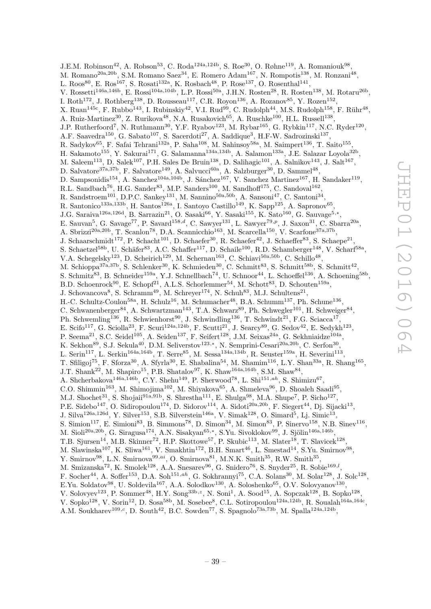J.E.M. Robinson<sup>42</sup>, A. Robson<sup>53</sup>, C. Roda<sup>124a,124b</sup>, S. Roe<sup>30</sup>, O. Røhne<sup>119</sup>, A. Romaniouk<sup>98</sup>, M. Romano<sup>20a, 20b</sup>, S.M. Romano Saez<sup>34</sup>, E. Romero Adam<sup>167</sup>, N. Rompotis<sup>138</sup>, M. Ronzani<sup>48</sup>, L. Roos<sup>80</sup>, E. Ros<sup>167</sup>, S. Rosati<sup>132a</sup>, K. Rosbach<sup>48</sup>, P. Rose<sup>137</sup>, O. Rosenthal<sup>141</sup>, V. Rossetti<sup>146a,146b</sup>, E. Rossi<sup>104a,104b</sup>, L.P. Rossi<sup>50a</sup>, J.H.N. Rosten<sup>28</sup>, R. Rosten<sup>138</sup>, M. Rotaru<sup>26b</sup>, I. Roth<sup>172</sup>, J. Rothberg<sup>138</sup>, D. Rousseau<sup>117</sup>, C.R. Royon<sup>136</sup>, A. Rozanov<sup>85</sup>, Y. Rozen<sup>152</sup>, X. Ruan<sup>145c</sup>, F. Rubbo<sup>143</sup>, I. Rubinskiy<sup>42</sup>, V.I. Rud<sup>99</sup>, C. Rudolph<sup>44</sup>, M.S. Rudolph<sup>158</sup>, F. Rühr<sup>48</sup>, A. Ruiz-Martinez<sup>30</sup>, Z. Rurikova<sup>48</sup>, N.A. Rusakovich<sup>65</sup>, A. Ruschke<sup>100</sup>, H.L. Russell<sup>138</sup>, J.P. Rutherfoord<sup>7</sup>, N. Ruthmann<sup>30</sup>, Y.F. Ryabov<sup>123</sup>, M. Rybar<sup>165</sup>, G. Rybkin<sup>117</sup>, N.C. Ryder<sup>120</sup>, A.F. Saavedra<sup>150</sup>, G. Sabato<sup>107</sup>, S. Sacerdoti<sup>27</sup>, A. Saddique<sup>3</sup>, H.F-W. Sadrozinski<sup>137</sup>, R. Sadykov<sup>65</sup>, F. Safai Tehrani<sup>132a</sup>, P. Saha<sup>108</sup>, M. Sahinsoy<sup>58a</sup>, M. Saimpert<sup>136</sup>, T. Saito<sup>155</sup>, H. Sakamoto<sup>155</sup>, Y. Sakurai<sup>171</sup>, G. Salamanna<sup>134a,134b</sup>, A. Salamon<sup>133a</sup>, J.E. Salazar Loyola<sup>32b</sup>, M. Saleem<sup>113</sup>, D. Salek<sup>107</sup>, P.H. Sales De Bruin<sup>138</sup>, D. Salihagic<sup>101</sup>, A. Salnikov<sup>143</sup>, J. Salt<sup>167</sup>, D. Salvatore<sup>37a, 37b</sup>, F. Salvatore<sup>149</sup>, A. Salvucci<sup>60a</sup>, A. Salzburger<sup>30</sup>, D. Sammel<sup>48</sup>, D. Sampsonidis<sup>154</sup>, A. Sanchez<sup>104a, 104b</sup>, J. Sánchez<sup>167</sup>, V. Sanchez Martinez<sup>167</sup>, H. Sandaker<sup>119</sup>, R.L. Sandbach<sup>76</sup>, H.G. Sander<sup>83</sup>, M.P. Sanders<sup>100</sup>, M. Sandhoff<sup>175</sup>, C. Sandoval<sup>162</sup>, R. Sandstroem<sup>101</sup>, D.P.C. Sankey<sup>131</sup>, M. Sannino<sup>50a,50b</sup>, A. Sansoni<sup>47</sup>, C. Santoni<sup>34</sup>, R. Santonico<sup>133a,133b</sup>, H. Santos<sup>126a</sup>, I. Santoyo Castillo<sup>149</sup>, K. Sapp<sup>125</sup>, A. Sapronov<sup>65</sup>, J.G. Saraiva<sup>126a,126d</sup>, B. Sarrazin<sup>21</sup>, O. Sasaki<sup>66</sup>, Y. Sasaki<sup>155</sup>, K. Sato<sup>160</sup>, G. Sauvage<sup>5,\*</sup>, E. Sauvan<sup>5</sup>, G. Savage<sup>77</sup>, P. Savard<sup>158,d</sup>, C. Sawyer<sup>131</sup>, L. Sawyer<sup>79,p</sup>, J. Saxon<sup>31</sup>, C. Sbarra<sup>20a</sup>, A. Sbrizzi<sup>20a, 20b</sup>, T. Scanlon<sup>78</sup>, D.A. Scannicchio<sup>163</sup>, M. Scarcella<sup>150</sup>, V. Scarfone<sup>37a, 37b</sup>, J. Schaarschmidt<sup>172</sup>, P. Schacht<sup>101</sup>, D. Schaefer<sup>30</sup>, R. Schaefer<sup>42</sup>, J. Schaeffer<sup>83</sup>, S. Schaepe<sup>21</sup>, S. Schaetzel<sup>58b</sup>, U. Schäfer<sup>83</sup>, A.C. Schaffer<sup>117</sup>, D. Schaile<sup>100</sup>, R.D. Schamberger<sup>148</sup>, V. Scharf<sup>58a</sup>, V.A. Schegelsky<sup>123</sup>, D. Scheirich<sup>129</sup>, M. Schernau<sup>163</sup>, C. Schiavi<sup>50a,50b</sup>, C. Schillo<sup>48</sup>, M. Schioppa<sup>37a,37b</sup>, S. Schlenker<sup>30</sup>, K. Schmieden<sup>30</sup>, C. Schmitt<sup>83</sup>, S. Schmitt<sup>58b</sup>, S. Schmitt<sup>42</sup>, S. Schmitz<sup>83</sup>, B. Schneider<sup>159a</sup>, Y.J. Schnellbach<sup>74</sup>, U. Schnoor<sup>44</sup>, L. Schoeffel<sup>136</sup>, A. Schoening<sup>58b</sup>, B.D. Schoenrock<sup>90</sup>, E. Schopf<sup>21</sup>, A.L.S. Schorlemmer<sup>54</sup>, M. Schott<sup>83</sup>, D. Schouten<sup>159a</sup>, J. Schovancova<sup>8</sup>, S. Schramm<sup>49</sup>, M. Schreyer<sup>174</sup>, N. Schuh<sup>83</sup>, M.J. Schultens<sup>21</sup>, H.-C. Schultz-Coulon<sup>58a</sup>, H. Schulz<sup>16</sup>, M. Schumacher<sup>48</sup>, B.A. Schumm<sup>137</sup>, Ph. Schune<sup>136</sup>, C. Schwanenberger<sup>84</sup>, A. Schwartzman<sup>143</sup>, T.A. Schwarz<sup>89</sup>, Ph. Schwegler<sup>101</sup>, H. Schweiger<sup>84</sup>, Ph. Schwemling<sup>136</sup>, R. Schwienhorst<sup>90</sup>, J. Schwindling<sup>136</sup>, T. Schwindt<sup>21</sup>, F.G. Sciacca<sup>17</sup>, E. Scifo<sup>117</sup>, G. Sciolla<sup>23</sup>, F. Scuri<sup>124a,124b</sup>, F. Scutti<sup>21</sup>, J. Searcy<sup>89</sup>, G. Sedov<sup>42</sup>, E. Sedykh<sup>123</sup>, P. Seema<sup>21</sup>, S.C. Seidel<sup>105</sup>, A. Seiden<sup>137</sup>, F. Seifert<sup>128</sup>, J.M. Seixas<sup>24a</sup>, G. Sekhniaidze<sup>104a</sup>, K. Sekhon<sup>89</sup>, S.J. Sekula<sup>40</sup>, D.M. Seliverstov<sup>123,\*</sup>, N. Semprini-Cesari<sup>20a,20b</sup>, C. Serfon<sup>30</sup>, L. Serin<sup>117</sup>, L. Serkin<sup>164a,164b</sup>, T. Serre<sup>85</sup>, M. Sessa<sup>134a,134b</sup>, R. Seuster<sup>159a</sup>, H. Severini<sup>113</sup>, T. Sfiligoj<sup>75</sup>, F. Sforza<sup>30</sup>, A. Sfyrla<sup>30</sup>, E. Shabalina<sup>54</sup>, M. Shamim<sup>116</sup>, L.Y. Shan<sup>33a</sup>, R. Shang<sup>165</sup>, J.T. Shank<sup>22</sup>, M. Shapiro<sup>15</sup>, P.B. Shatalov<sup>97</sup>, K. Shaw<sup>164a,164b</sup>, S.M. Shaw<sup>84</sup>, A. Shcherbakova<sup>146a, 146b</sup>, C.Y. Shehu<sup>149</sup>, P. Sherwood<sup>78</sup>, L. Shi<sup>151,ah</sup>, S. Shimizu<sup>67</sup>, C.O. Shimmin<sup>163</sup>, M. Shimojima<sup>102</sup>, M. Shiyakova<sup>65</sup>, A. Shmeleva<sup>96</sup>, D. Shoaleh Saadi<sup>95</sup>, M.J. Shochet<sup>31</sup>, S. Shojaii<sup>91a,91b</sup>, S. Shrestha<sup>111</sup>, E. Shulga<sup>98</sup>, M.A. Shupe<sup>7</sup>, P. Sicho<sup>127</sup>, P.E. Sidebo<sup>147</sup>, O. Sidiropoulou<sup>174</sup>, D. Sidorov<sup>114</sup>, A. Sidoti<sup>20a,20b</sup>, F. Siegert<sup>44</sup>, Dj. Sijacki<sup>13</sup>, J. Silva<sup>126a, 126d</sup>, Y. Silver<sup>153</sup>, S.B. Silverstein<sup>146a</sup>, V. Simak<sup>128</sup>, O. Simard<sup>5</sup>, Lj. Simic<sup>13</sup>, S. Simion<sup>117</sup>, E. Simioni<sup>83</sup>, B. Simmons<sup>78</sup>, D. Simon<sup>34</sup>, M. Simon<sup>83</sup>, P. Sinervo<sup>158</sup>, N.B. Sinev<sup>116</sup>, M. Sioli<sup>20a,20b</sup>, G. Siragusa<sup>174</sup>, A.N. Sisakyan<sup>65,\*</sup>, S.Yu. Sivoklokov<sup>99</sup>, J. Sjölin<sup>146a,146b</sup>, T.B. Sjursen<sup>14</sup>, M.B. Skinner<sup>72</sup>, H.P. Skottowe<sup>57</sup>, P. Skubic<sup>113</sup>, M. Slater<sup>18</sup>, T. Slavicek<sup>128</sup>, M. Slawinska<sup>107</sup>, K. Sliwa<sup>161</sup>, V. Smakhtin<sup>172</sup>, B.H. Smart<sup>46</sup>, L. Smestad<sup>14</sup>, S.Yu. Smirnov<sup>98</sup>, Y. Smirnov<sup>98</sup>, L.N. Smirnova<sup>99,ai</sup>, O. Smirnova<sup>81</sup>, M.N.K. Smith<sup>35</sup>, R.W. Smith<sup>35</sup>, M. Smizanska<sup>72</sup>, K. Smolek<sup>128</sup>, A.A. Snesarev<sup>96</sup>, G. Snidero<sup>76</sup>, S. Snyder<sup>25</sup>, R. Sobie<sup>169,*l*</sup>, F. Socher<sup>44</sup>, A. Soffer<sup>153</sup>, D.A. Soh<sup>151,ah</sup>, G. Sokhrannyi<sup>75</sup>, C.A. Solans<sup>30</sup>, M. Solar<sup>128</sup>, J. Solc<sup>128</sup>, E.Yu. Soldatov<sup>98</sup>, U. Soldevila<sup>167</sup>, A.A. Solodkov<sup>130</sup>, A. Soloshenko<sup>65</sup>, O.V. Solovyanov<sup>130</sup>, V. Solovyev<sup>123</sup>, P. Sommer<sup>48</sup>, H.Y. Song<sup>33b,z</sup>, N. Soni<sup>1</sup>, A. Sood<sup>15</sup>, A. Sopczak<sup>128</sup>, B. Sopko<sup>128</sup>, V. Sopko<sup>128</sup>, V. Sorin<sup>12</sup>, D. Sosa<sup>58b</sup>, M. Sosebee<sup>8</sup>, C.L. Sotiropoulou<sup>124a,124b</sup>, R. Soualah<sup>164a,164c</sup>,

A.M. Soukharev<sup>109,c</sup>, D. South<sup>42</sup>, B.C. Sowden<sup>77</sup>, S. Spagnolo<sup>73a,73b</sup>, M. Spalla<sup>124a,124b</sup>,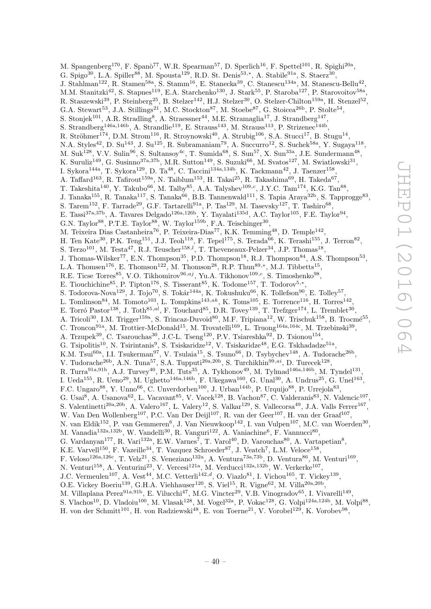M. Spangenberg<sup>170</sup>, F. Spanò<sup>77</sup>, W.R. Spearman<sup>57</sup>, D. Sperlich<sup>16</sup>, F. Spettel<sup>101</sup>, R. Spighi<sup>20a</sup>, G. Spigo<sup>30</sup>, L.A. Spiller<sup>88</sup>, M. Spousta<sup>129</sup>, R.D. St. Denis<sup>53,\*</sup>, A. Stabile<sup>91a</sup>, S. Staerz<sup>30</sup>, J. Stahlman<sup>122</sup>, R. Stamen<sup>58a</sup>, S. Stamm<sup>16</sup>, E. Stanecka<sup>39</sup>, C. Stanescu<sup>134a</sup>, M. Stanescu-Bellu<sup>42</sup>, M.M. Stanitzki<sup>42</sup>, S. Stapnes<sup>119</sup>, E.A. Starchenko<sup>130</sup>, J. Stark<sup>55</sup>, P. Staroba<sup>127</sup>, P. Starovoitov<sup>58a</sup>, R. Staszewski<sup>39</sup>, P. Steinberg<sup>25</sup>, B. Stelzer<sup>142</sup>, H.J. Stelzer<sup>30</sup>, O. Stelzer-Chilton<sup>159a</sup>, H. Stenzel<sup>52</sup>, G.A. Stewart<sup>53</sup>, J.A. Stillings<sup>21</sup>, M.C. Stockton<sup>87</sup>, M. Stoebe<sup>87</sup>, G. Stoicea<sup>26b</sup>, P. Stolte<sup>54</sup>, S. Stonjek<sup>101</sup>, A.R. Stradling<sup>8</sup>, A. Straessner<sup>44</sup>, M.E. Stramaglia<sup>17</sup>, J. Strandberg<sup>147</sup>, S. Strandberg<sup>146a, 146b</sup>, A. Strandlie<sup>119</sup>, E. Strauss<sup>143</sup>, M. Strauss<sup>113</sup>, P. Strizenec<sup>144b</sup>, R. Ströhmer<sup>174</sup>, D.M. Strom<sup>116</sup>, R. Stroynowski<sup>40</sup>, A. Strubig<sup>106</sup>, S.A. Stucci<sup>17</sup>, B. Stugu<sup>14</sup>, N.A. Styles<sup>42</sup>, D. Su<sup>143</sup>, J. Su<sup>125</sup>, R. Subramaniam<sup>79</sup>, A. Succurro<sup>12</sup>, S. Suchek<sup>58a</sup>, Y. Sugaya<sup>118</sup>, M. Suk<sup>128</sup>, V.V. Sulin<sup>96</sup>, S. Sultansoy<sup>4c</sup>, T. Sumida<sup>68</sup>, S. Sun<sup>57</sup>, X. Sun<sup>33a</sup>, J.E. Sundermann<sup>48</sup>, K. Suruliz<sup>149</sup>, G. Susinno<sup>37a,37b</sup>, M.R. Sutton<sup>149</sup>, S. Suzuki<sup>66</sup>, M. Svatos<sup>127</sup>, M. Swiatlowski<sup>31</sup>, I. Sykora<sup>144a</sup>, T. Sykora<sup>129</sup>, D. Ta<sup>48</sup>, C. Taccini<sup>134a, 134b</sup>, K. Tackmann<sup>42</sup>, J. Taenzer<sup>158</sup>, A. Taffard<sup>163</sup>, R. Tafirout<sup>159a</sup>, N. Taiblum<sup>153</sup>, H. Takai<sup>25</sup>, R. Takashima<sup>69</sup>, H. Takeda<sup>67</sup>, T. Takeshita<sup>140</sup>, Y. Takubo<sup>66</sup>, M. Talby<sup>85</sup>, A.A. Talyshev<sup>109,c</sup>, J.Y.C. Tam<sup>174</sup>, K.G. Tan<sup>88</sup>, J. Tanaka<sup>155</sup>, R. Tanaka<sup>117</sup>, S. Tanaka<sup>66</sup>, B.B. Tannenwald<sup>111</sup>, S. Tapia Araya<sup>32b</sup>, S. Tapprogge<sup>83</sup>, S. Tarem<sup>152</sup>, F. Tarrade<sup>29</sup>, G.F. Tartarelli<sup>91a</sup>, P. Tas<sup>129</sup>, M. Tasevsky<sup>127</sup>, T. Tashiro<sup>68</sup>, E. Tassi<sup>37a,37b</sup>, A. Tavares Delgado<sup>126a,126b</sup>, Y. Tayalati<sup>135d</sup>, A.C. Taylor<sup>105</sup>, F.E. Taylor<sup>94</sup>, G.N. Taylor<sup>88</sup>, P.T.E. Taylor<sup>88</sup>, W. Taylor<sup>159b</sup>, F.A. Teischinger<sup>30</sup>, M. Teixeira Dias Castanheira<sup>76</sup>, P. Teixeira-Dias<sup>77</sup>, K.K. Temming<sup>48</sup>, D. Temple<sup>142</sup>, H. Ten Kate<sup>30</sup>, P.K. Teng<sup>151</sup>, J.J. Teoh<sup>118</sup>, F. Tepel<sup>175</sup>, S. Terada<sup>66</sup>, K. Terashi<sup>155</sup>, J. Terron<sup>82</sup>, S. Terzo<sup>101</sup>, M. Testa<sup>47</sup>, R.J. Teuscher<sup>158,*l*</sup>, T. Theveneaux-Pelzer<sup>34</sup>, J.P. Thomas<sup>18</sup>, J. Thomas-Wilsker<sup>77</sup>, E.N. Thompson<sup>35</sup>, P.D. Thompson<sup>18</sup>, R.J. Thompson<sup>84</sup>, A.S. Thompson<sup>53</sup>, L.A. Thomsen<sup>176</sup>, E. Thomson<sup>122</sup>, M. Thomson<sup>28</sup>, R.P. Thun<sup>89,\*</sup>, M.J. Tibbetts<sup>15</sup>, R.E. Ticse Torres<sup>85</sup>, V.O. Tikhomirov<sup>96,aj</sup>, Yu.A. Tikhonov<sup>109,c</sup>, S. Timoshenko<sup>98</sup>, E. Tiouchichine<sup>85</sup>, P. Tipton<sup>176</sup>, S. Tisserant<sup>85</sup>, K. Todome<sup>157</sup>, T. Todorov<sup>5,\*</sup>, S. Todorova-Nova<sup>129</sup>, J. Tojo<sup>70</sup>, S. Tokár<sup>144a</sup>, K. Tokushuku<sup>66</sup>, K. Tollefson<sup>90</sup>, E. Tolley<sup>57</sup>, L. Tomlinson<sup>84</sup>, M. Tomoto<sup>103</sup>, L. Tompkins<sup>143,ak</sup>, K. Toms<sup>105</sup>, E. Torrence<sup>116</sup>, H. Torres<sup>142</sup>, E. Torró Pastor<sup>138</sup>, J. Toth<sup>85,al</sup>, F. Touchard<sup>85</sup>, D.R. Tovey<sup>139</sup>, T. Trefzger<sup>174</sup>, L. Tremblet<sup>30</sup>, A. Tricoli<sup>30</sup>, I.M. Trigger<sup>159a</sup>, S. Trincaz-Duvoid<sup>80</sup>, M.F. Tripiana<sup>12</sup>, W. Trischuk<sup>158</sup>, B. Trocmé<sup>55</sup>, C. Troncon<sup>91a</sup>, M. Trottier-McDonald<sup>15</sup>, M. Trovatelli<sup>169</sup>, L. Truong<sup>164a,164c</sup>, M. Trzebinski<sup>39</sup>, A. Trzupek<sup>39</sup>, C. Tsarouchas<sup>30</sup>, J.C-L. Tseng<sup>120</sup>, P.V. Tsiareshka<sup>92</sup>, D. Tsionou<sup>154</sup>, G. Tsipolitis<sup>10</sup>, N. Tsirintanis<sup>9</sup>, S. Tsiskaridze<sup>12</sup>, V. Tsiskaridze<sup>48</sup>, E.G. Tskhadadze<sup>51a</sup>, K.M. Tsui<sup>60a</sup>, I.I. Tsukerman<sup>97</sup>, V. Tsulaia<sup>15</sup>, S. Tsuno<sup>66</sup>, D. Tsybychev<sup>148</sup>, A. Tudorache<sup>26b</sup>, V. Tudorache<sup>26b</sup>, A.N. Tuna<sup>57</sup>, S.A. Tupputi<sup>20a, 20b</sup>, S. Turchikhin<sup>99, ai</sup>, D. Turecek<sup>128</sup>, R. Turra<sup>91a,91b</sup>, A.J. Turvey<sup>40</sup>, P.M. Tuts<sup>35</sup>, A. Tykhonov<sup>49</sup>, M. Tylmad<sup>146a,146b</sup>, M. Tyndel<sup>131</sup>, I. Ueda<sup>155</sup>, R. Ueno<sup>29</sup>, M. Ughetto<sup>146a,146b</sup>, F. Ukegawa<sup>160</sup>, G. Unal<sup>30</sup>, A. Undrus<sup>25</sup>, G. Unel<sup>163</sup>, F.C. Ungaro<sup>88</sup>, Y. Unno<sup>66</sup>, C. Unverdorben<sup>100</sup>, J. Urban<sup>144b</sup>, P. Urquijo<sup>88</sup>, P. Urrejola<sup>83</sup>, G. Usai<sup>8</sup>, A. Usanova<sup>62</sup>, L. Vacavant<sup>85</sup>, V. Vacek<sup>128</sup>, B. Vachon<sup>87</sup>, C. Valderanis<sup>83</sup>, N. Valencic<sup>107</sup>, S. Valentinetti<sup>20a, 20b</sup>, A. Valero<sup>167</sup>, L. Valery<sup>12</sup>, S. Valkar<sup>129</sup>, S. Vallecorsa<sup>49</sup>, J.A. Valls Ferrer<sup>167</sup>, W. Van Den Wollenberg<sup>107</sup>, P.C. Van Der Deijl<sup>107</sup>, R. van der Geer<sup>107</sup>, H. van der Graaf<sup>107</sup>, N. van Eldik<sup>152</sup>, P. van Gemmeren<sup>6</sup>, J. Van Nieuwkoop<sup>142</sup>, I. van Vulpen<sup>107</sup>, M.C. van Woerden<sup>30</sup>, M. Vanadia<sup>132a,132b</sup>, W. Vandelli<sup>30</sup>, R. Vanguri<sup>122</sup>, A. Vaniachine<sup>6</sup>, F. Vannucci<sup>80</sup>, G. Vardanyan<sup>177</sup>, R. Vari<sup>132a</sup>, E.W. Varnes<sup>7</sup>, T. Varol<sup>40</sup>, D. Varouchas<sup>80</sup>, A. Vartapetian<sup>8</sup>, K.E. Varvell<sup>150</sup>, F. Vazeille<sup>34</sup>, T. Vazquez Schroeder<sup>87</sup>, J. Veatch<sup>7</sup>, L.M. Veloce<sup>158</sup>, F. Veloso<sup>126a,126c</sup>, T. Velz<sup>21</sup>, S. Veneziano<sup>132a</sup>, A. Ventura<sup>73a,73b</sup>, D. Ventura<sup>86</sup>, M. Venturi<sup>169</sup>, N. Venturi<sup>158</sup>, A. Venturini<sup>23</sup>, V. Vercesi<sup>121a</sup>, M. Verducci<sup>132a,132b</sup>, W. Verkerke<sup>107</sup>, J.C. Vermeulen<sup>107</sup>, A. Vest<sup>44</sup>, M.C. Vetterli<sup>142,d</sup>, O. Viazlo<sup>81</sup>, I. Vichou<sup>165</sup>, T. Vickey<sup>139</sup>, O.E. Vickey Boeriu<sup>139</sup>, G.H.A. Viehhauser<sup>120</sup>, S. Viel<sup>15</sup>, R. Vigne<sup>62</sup>, M. Villa<sup>20a,20b</sup>, M. Villaplana Perez<sup>91a,91b</sup>, E. Vilucchi<sup>47</sup>, M.G. Vincter<sup>29</sup>, V.B. Vinogradov<sup>65</sup>, I. Vivarelli<sup>149</sup>,

- S. Vlachos<sup>10</sup>, D. Vladoiu<sup>100</sup>, M. Vlasak<sup>128</sup>, M. Vogel<sup>32a</sup>, P. Vokac<sup>128</sup>, G. Volpi<sup>124a,124b</sup>, M. Volpi<sup>88</sup>,
- H. von der Schmitt<sup>101</sup>, H. von Radziewski<sup>48</sup>, E. von Toerne<sup>21</sup>, V. Vorobel<sup>129</sup>, K. Vorobev<sup>98</sup>,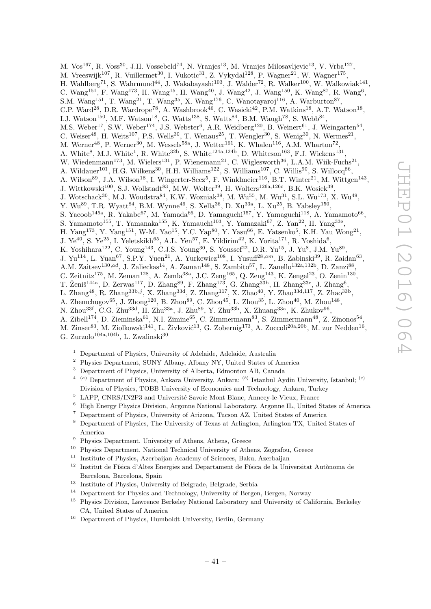M. Vos $^{167}$ , R. Voss<sup>30</sup>, J.H. Vossebeld<sup>74</sup>, N. Vranjes<sup>13</sup>, M. Vranjes Milosavljevic<sup>13</sup>, V. Vrba<sup>127</sup>, M. Vreeswijk<sup>107</sup>, R. Vuillermet<sup>30</sup>, I. Vukotic<sup>31</sup>, Z. Vykydal<sup>128</sup>, P. Wagner<sup>21</sup>, W. Wagner<sup>175</sup>, H. Wahlberg<sup>71</sup>, S. Wahrmund<sup>44</sup>, J. Wakabayashi<sup>103</sup>, J. Walder<sup>72</sup>, R. Walker<sup>100</sup>, W. Walkowiak<sup>141</sup>, C. Wang<sup>151</sup>, F. Wang<sup>173</sup>, H. Wang<sup>15</sup>, H. Wang<sup>40</sup>, J. Wang<sup>42</sup>, J. Wang<sup>150</sup>, K. Wang<sup>87</sup>, R. Wang<sup>6</sup>, S.M. Wang<sup>151</sup>, T. Wang<sup>21</sup>, T. Wang<sup>35</sup>, X. Wang<sup>176</sup>, C. Wanotayaroj<sup>116</sup>, A. Warburton<sup>87</sup>, C.P. Ward<sup>28</sup>, D.R. Wardrope<sup>78</sup>, A. Washbrook<sup>46</sup>, C. Wasicki<sup>42</sup>, P.M. Watkins<sup>18</sup>, A.T. Watson<sup>18</sup>, I.J. Watson<sup>150</sup>, M.F. Watson<sup>18</sup>, G. Watts<sup>138</sup>, S. Watts<sup>84</sup>, B.M. Waugh<sup>78</sup>, S. Webb<sup>84</sup>, M.S. Weber<sup>17</sup>, S.W. Weber<sup>174</sup>, J.S. Webster<sup>6</sup>, A.R. Weidberg<sup>120</sup>, B. Weinert<sup>61</sup>, J. Weingarten<sup>54</sup>, C. Weiser<sup>48</sup>, H. Weits<sup>107</sup>, P.S. Wells<sup>30</sup>, T. Wenaus<sup>25</sup>, T. Wengler<sup>30</sup>, S. Wenig<sup>30</sup>, N. Wermes<sup>21</sup>, M. Werner<sup>48</sup>, P. Werner<sup>30</sup>, M. Wessels<sup>58a</sup>, J. Wetter<sup>161</sup>, K. Whalen<sup>116</sup>, A.M. Wharton<sup>72</sup>, A. White<sup>8</sup>, M.J. White<sup>1</sup>, R. White<sup>32b</sup>, S. White<sup>124a,124b</sup>, D. Whiteson<sup>163</sup>, F.J. Wickens<sup>131</sup>, W. Wiedenmann<sup>173</sup>, M. Wielers<sup>131</sup>, P. Wienemann<sup>21</sup>, C. Wiglesworth<sup>36</sup>, L.A.M. Wiik-Fuchs<sup>21</sup>, A. Wildauer<sup>101</sup>, H.G. Wilkens<sup>30</sup>, H.H. Williams<sup>122</sup>, S. Williams<sup>107</sup>, C. Willis<sup>90</sup>, S. Willocq<sup>86</sup>, A. Wilson<sup>89</sup>, J.A. Wilson<sup>18</sup>, I. Wingerter-Seez<sup>5</sup>, F. Winklmeier<sup>116</sup>, B.T. Winter<sup>21</sup>, M. Wittgen<sup>143</sup>, J. Wittkowski<sup>100</sup>, S.J. Wollstadt<sup>83</sup>, M.W. Wolter<sup>39</sup>, H. Wolters<sup>126a,126c</sup>, B.K. Wosiek<sup>39</sup>, J. Wotschack<sup>30</sup>, M.J. Woudstra<sup>84</sup>, K.W. Wozniak<sup>39</sup>, M. Wu<sup>55</sup>, M. Wu<sup>31</sup>, S.L. Wu<sup>173</sup>, X. Wu<sup>49</sup>, Y. Wu<sup>89</sup>, T.R. Wyatt<sup>84</sup>, B.M. Wynne<sup>46</sup>, S. Xella<sup>36</sup>, D. Xu<sup>33a</sup>, L. Xu<sup>25</sup>, B. Yabsley<sup>150</sup>, S. Yacoob<sup>145a</sup>, R. Yakabe<sup>67</sup>, M. Yamada<sup>66</sup>, D. Yamaguchi<sup>157</sup>, Y. Yamaguchi<sup>118</sup>, A. Yamamoto<sup>66</sup>, S. Yamamoto<sup>155</sup>, T. Yamanaka<sup>155</sup>, K. Yamauchi<sup>103</sup>, Y. Yamazaki<sup>67</sup>, Z. Yan<sup>22</sup>, H. Yang<sup>33e</sup>, H. Yang<sup>173</sup>, Y. Yang<sup>151</sup>, W-M. Yao<sup>15</sup>, Y.C. Yap<sup>80</sup>, Y. Yasu<sup>66</sup>, E. Yatsenko<sup>5</sup>, K.H. Yau Wong<sup>21</sup>, J. Ye<sup>40</sup>, S. Ye<sup>25</sup>, I. Yeletskikh<sup>65</sup>, A.L. Yen<sup>57</sup>, E. Yildirim<sup>42</sup>, K. Yorita<sup>171</sup>, R. Yoshida<sup>6</sup>, K. Yoshihara<sup>122</sup>, C. Young<sup>143</sup>, C.J.S. Young<sup>30</sup>, S. Youssef<sup>22</sup>, D.R. Yu<sup>15</sup>, J. Yu<sup>8</sup>, J.M. Yu<sup>89</sup>, J. Yu<sup>114</sup>, L. Yuan<sup>67</sup>, S.P.Y. Yuen<sup>21</sup>, A. Yurkewicz<sup>108</sup>, I. Yusuff<sup>28,am</sup>, B. Zabinski<sup>39</sup>, R. Zaidan<sup>63</sup>, A.M. Zaitsev<sup>130,ad</sup>, J. Zalieckas<sup>14</sup>, A. Zaman<sup>148</sup>, S. Zambito<sup>57</sup>, L. Zanello<sup>132a,132b</sup>, D. Zanzi<sup>88</sup>, C. Zeitnitz<sup>175</sup>, M. Zeman<sup>128</sup>, A. Zemla<sup>38a</sup>, J.C. Zeng<sup>165</sup>, Q. Zeng<sup>143</sup>, K. Zengel<sup>23</sup>, O. Zenin<sup>130</sup>, T. Ženiš<sup>144a</sup>, D. Zerwas<sup>117</sup>, D. Zhang<sup>89</sup>, F. Zhang<sup>173</sup>, G. Zhang<sup>33b</sup>, H. Zhang<sup>33c</sup>, J. Zhang<sup>6</sup>, L. Zhang<sup>48</sup>, R. Zhang<sup>33b,j</sup>, X. Zhang<sup>33d</sup>, Z. Zhang<sup>117</sup>, X. Zhao<sup>40</sup>, Y. Zhao<sup>33d,117</sup>, Z. Zhao<sup>33b</sup>, A. Zhemchugov<sup>65</sup>, J. Zhong<sup>120</sup>, B. Zhou<sup>89</sup>, C. Zhou<sup>45</sup>, L. Zhou<sup>35</sup>, L. Zhou<sup>40</sup>, M. Zhou<sup>148</sup>, N. Zhou $^{33f}$ , C.G. Zhu $^{33d}$ , H. Zhu $^{33a}$ , J. Zhu $^{89}$ , Y. Zhu $^{33b}$ , X. Zhuang $^{33a}$ , K. Zhukov $^{96}$ , A. Zibell<sup>174</sup>, D. Zieminska<sup>61</sup>, N.I. Zimine<sup>65</sup>, C. Zimmermann<sup>83</sup>, S. Zimmermann<sup>48</sup>, Z. Zinonos<sup>54</sup>, M. Zinser<sup>83</sup>, M. Ziolkowski<sup>141</sup>, L. Živković<sup>13</sup>, G. Zobernig<sup>173</sup>, A. Zoccoli<sup>20a,20b</sup>, M. zur Nedden<sup>16</sup>, G. Zurzolo<sup>104a, 104b</sup>, L. Zwalinski<sup>30</sup>

- <sup>1</sup> Department of Physics, University of Adelaide, Adelaide, Australia
- <sup>2</sup> Physics Department, SUNY Albany, Albany NY, United States of America
- <sup>3</sup> Department of Physics, University of Alberta, Edmonton AB, Canada
- <sup>4 (a)</sup> Department of Physics, Ankara University, Ankara; <sup>(b)</sup> Istanbul Aydin University, Istanbul; <sup>(c)</sup> Division of Physics, TOBB University of Economics and Technology, Ankara, Turkey
- $^5\,$  LAPP, CNRS/IN2P3 and Université Savoie Mont Blanc, Annecy-le-Vieux, France
- <sup>6</sup> High Energy Physics Division, Argonne National Laboratory, Argonne IL, United States of America
- <sup>7</sup> Department of Physics, University of Arizona, Tucson AZ, United States of America
- <sup>8</sup> Department of Physics, The University of Texas at Arlington, Arlington TX, United States of America
- <sup>9</sup> Physics Department, University of Athens, Athens, Greece
- <sup>10</sup> Physics Department, National Technical University of Athens, Zografou, Greece
- <sup>11</sup> Institute of Physics, Azerbaijan Academy of Sciences, Baku, Azerbaijan
- $12$  Institut de Física d'Altes Energies and Departament de Física de la Universitat Autònoma de Barcelona, Barcelona, Spain
- $^{\rm 13}$  Institute of Physics, University of Belgrade, Belgrade, Serbia
- <sup>14</sup> Department for Physics and Technology, University of Bergen, Bergen, Norway
- <sup>15</sup> Physics Division, Lawrence Berkeley National Laboratory and University of California, Berkeley CA, United States of America
- <sup>16</sup> Department of Physics, Humboldt University, Berlin, Germany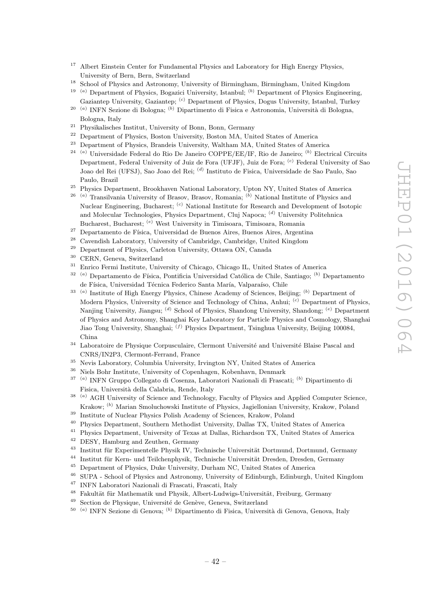- <sup>17</sup> Albert Einstein Center for Fundamental Physics and Laboratory for High Energy Physics, University of Bern, Bern, Switzerland
- <sup>18</sup> School of Physics and Astronomy, University of Birmingham, Birmingham, United Kingdom
- <sup>19</sup> <sup>(a)</sup> Department of Physics, Bogazici University, Istanbul; <sup>(b)</sup> Department of Physics Engineering, Gaziantep University, Gaziantep; <sup>(c)</sup> Department of Physics, Dogus University, Istanbul, Turkey
- <sup>20 (a)</sup> INFN Sezione di Bologna; <sup>(b)</sup> Dipartimento di Fisica e Astronomia, Università di Bologna, Bologna, Italy
- <sup>21</sup> Physikalisches Institut, University of Bonn, Bonn, Germany
- <sup>22</sup> Department of Physics, Boston University, Boston MA, United States of America
- <sup>23</sup> Department of Physics, Brandeis University, Waltham MA, United States of America
- <sup>24 (a)</sup> Universidade Federal do Rio De Janeiro COPPE/EE/IF, Rio de Janeiro; <sup>(b)</sup> Electrical Circuits Department, Federal University of Juiz de Fora (UFJF), Juiz de Fora; <sup>(c)</sup> Federal University of Sao Joao del Rei (UFSJ), Sao Joao del Rei; <sup>(d)</sup> Instituto de Fisica, Universidade de Sao Paulo, Sao Paulo, Brazil
- <sup>25</sup> Physics Department, Brookhaven National Laboratory, Upton NY, United States of America
- <sup>26 (a)</sup> Transilvania University of Brasov, Brasov, Romania; <sup>(b)</sup> National Institute of Physics and Nuclear Engineering, Bucharest; <sup>(c)</sup> National Institute for Research and Development of Isotopic and Molecular Technologies, Physics Department, Cluj Napoca; <sup>(d)</sup> University Politehnica Bucharest, Bucharest; <sup>(e)</sup> West University in Timisoara, Timisoara, Romania
- <sup>27</sup> Departamento de Física, Universidad de Buenos Aires, Buenos Aires, Argentina
- <sup>28</sup> Cavendish Laboratory, University of Cambridge, Cambridge, United Kingdom
- <sup>29</sup> Department of Physics, Carleton University, Ottawa ON, Canada
- <sup>30</sup> CERN, Geneva, Switzerland
- <sup>31</sup> Enrico Fermi Institute, University of Chicago, Chicago IL, United States of America
- <sup>32</sup> <sup>(a)</sup> Departamento de Física, Pontificia Universidad Católica de Chile, Santiago; <sup>(b)</sup> Departamento de Física, Universidad Técnica Federico Santa María, Valparaíso, Chile
- 33 ( <sup>a)</sup> Institute of High Energy Physics, Chinese Academy of Sciences, Beijing; <sup>(b)</sup> Department of Modern Physics, University of Science and Technology of China, Anhui; <sup>(c)</sup> Department of Physics, Nanjing University, Jiangsu; <sup>(d)</sup> School of Physics, Shandong University, Shandong; <sup>(e)</sup> Department of Physics and Astronomy, Shanghai Key Laboratory for Particle Physics and Cosmology, Shanghai Jiao Tong University, Shanghai; <sup>(f)</sup> Physics Department, Tsinghua University, Beijing 100084, China
- $^{34}\,$  Laboratoire de Physique Corpusculaire, Clermont Université and Université Blaise Pascal and CNRS/IN2P3, Clermont-Ferrand, France
- <sup>35</sup> Nevis Laboratory, Columbia University, Irvington NY, United States of America
- <sup>36</sup> Niels Bohr Institute, University of Copenhagen, Kobenhavn, Denmark
- <sup>37 (a)</sup> INFN Gruppo Collegato di Cosenza, Laboratori Nazionali di Frascati; <sup>(b)</sup> Dipartimento di Fisica, Universit`a della Calabria, Rende, Italy
- 38 ( <sup>a)</sup> AGH University of Science and Technology, Faculty of Physics and Applied Computer Science, Krakow; <sup>(b)</sup> Marian Smoluchowski Institute of Physics, Jagiellonian University, Krakow, Poland
- <sup>39</sup> Institute of Nuclear Physics Polish Academy of Sciences, Krakow, Poland<br><sup>40</sup> Physics Penertment, Southern Methodist University, Polleg TV, United S
- <sup>40</sup> Physics Department, Southern Methodist University, Dallas TX, United States of America<br><sup>41</sup> Physics Department, University of Tayes at Dallas, Bishardson TX, United States of Amer
- <sup>41</sup> Physics Department, University of Texas at Dallas, Richardson TX, United States of America
- <sup>42</sup> DESY, Hamburg and Zeuthen, Germany<br><sup>43</sup> Institut für Experimentalle Physik IV. T
- <sup>43</sup> Institut für Experimentelle Physik IV, Technische Universität Dortmund, Dortmund, Germany<br><sup>44</sup> Institut für Kern, und Teilehennbusik, Technische Universität Dreeden, Dreeden, Germany
- Institut für Kern- und Teilchenphysik, Technische Universität Dresden, Dresden, Germany
- <sup>45</sup> Department of Physics, Duke University, Durham NC, United States of America
- <sup>46</sup> SUPA School of Physics and Astronomy, University of Edinburgh, Edinburgh, United Kingdom
- <sup>47</sup> INFN Laboratori Nazionali di Frascati, Frascati, Italy
- $48$  Fakultät für Mathematik und Physik, Albert-Ludwigs-Universität, Freiburg, Germany
- <sup>49</sup> Section de Physique, Université de Genève, Geneva, Switzerland
- <sup>50 (a)</sup> INFN Sezione di Genova; <sup>(b)</sup> Dipartimento di Fisica, Università di Genova, Genova, Italy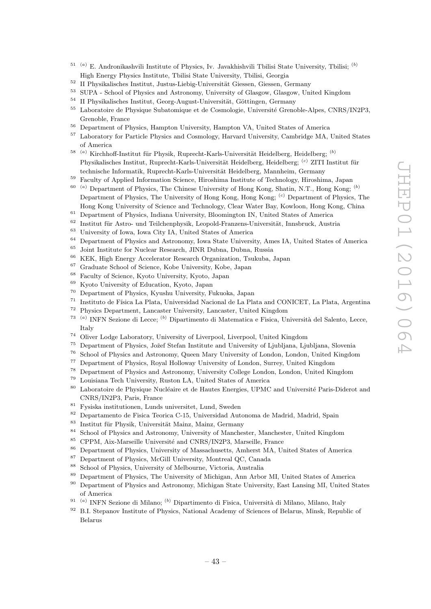- <sup>51 (a)</sup> E. Andronikashvili Institute of Physics, Iv. Javakhishvili Tbilisi State University, Tbilisi; <sup>(b)</sup> High Energy Physics Institute, Tbilisi State University, Tbilisi, Georgia
- $52$  II Physikalisches Institut, Justus-Liebig-Universität Giessen, Giessen, Germany
- <sup>53</sup> SUPA School of Physics and Astronomy, University of Glasgow, Glasgow, United Kingdom
- $^{54}\,$  II Physikalisches Institut, Georg-August-Universität, Göttingen, Germany
- <sup>55</sup> Laboratoire de Physique Subatomique et de Cosmologie, Université Grenoble-Alpes, CNRS/IN2P3, Grenoble, France
- $^{56}$  Department of Physics, Hampton University, Hampton VA, United States of America<br> $^{57}$  Laboratory for Portials Physics and Cosmology Harvard University, Cambridge MA
- <sup>57</sup> Laboratory for Particle Physics and Cosmology, Harvard University, Cambridge MA, United States of America
- <sup>58 (a)</sup> Kirchhoff-Institut für Physik, Ruprecht-Karls-Universität Heidelberg, Heidelberg; <sup>(b)</sup> Physikalisches Institut, Ruprecht-Karls-Universität Heidelberg, Heidelberg; <sup>(c)</sup> ZITI Institut für technische Informatik, Ruprecht-Karls-Universität Heidelberg, Mannheim, Germany
- <sup>59</sup> Faculty of Applied Information Science, Hiroshima Institute of Technology, Hiroshima, Japan
- $60$ <sup>(a)</sup> Department of Physics, The Chinese University of Hong Kong, Shatin, N.T., Hong Kong;  $(b)$ Department of Physics, The University of Hong Kong, Hong Kong; <sup>(c)</sup> Department of Physics, The Hong Kong University of Science and Technology, Clear Water Bay, Kowloon, Hong Kong, China
- <sup>61</sup> Department of Physics, Indiana University, Bloomington IN, United States of America
- Institut für Astro- und Teilchenphysik, Leopold-Franzens-Universität, Innsbruck, Austria
- <sup>63</sup> University of Iowa, Iowa City IA, United States of America
- <sup>64</sup> Department of Physics and Astronomy, Iowa State University, Ames IA, United States of America
- <sup>65</sup> Joint Institute for Nuclear Research, JINR Dubna, Dubna, Russia
- <sup>66</sup> KEK, High Energy Accelerator Research Organization, Tsukuba, Japan
- <sup>67</sup> Graduate School of Science, Kobe University, Kobe, Japan
- $^{68}$  Faculty of Science, Kyoto University, Kyoto, Japan<br> $^{69}$  Kyoto University of Education, Kyoto, Japan
- <sup>69</sup> Kyoto University of Education, Kyoto, Japan
- $^{70}$  Department of Physics, Kyushu University, Fukuoka, Japan  $^{71}$  Institute de Físice La Plate. Universided Nacional de La Pla
- Instituto de Física La Plata, Universidad Nacional de La Plata and CONICET, La Plata, Argentina
- <sup>72</sup> Physics Department, Lancaster University, Lancaster, United Kingdom
- 73 ( <sup>a)</sup> INFN Sezione di Lecce; <sup>(b)</sup> Dipartimento di Matematica e Fisica, Università del Salento, Lecce, Italy
- <sup>74</sup> Oliver Lodge Laboratory, University of Liverpool, Liverpool, United Kingdom<br><sup>75</sup> Department of Physics, Jožef Stefan Institute and University of Liubliana, Lit
- <sup>75</sup> Department of Physics, Jožef Stefan Institute and University of Ljubljana, Ljubljana, Slovenia<br><sup>76</sup> School of Physics and Astronomy Queen Mary University of London, London, United Kingdon
- <sup>76</sup> School of Physics and Astronomy, Queen Mary University of London, London, United Kingdom
- <sup>77</sup> Department of Physics, Royal Holloway University of London, Surrey, United Kingdom
- <sup>78</sup> Department of Physics and Astronomy, University College London, London, United Kingdom
- <sup>79</sup> Louisiana Tech University, Ruston LA, United States of America
- <sup>80</sup> Laboratoire de Physique Nucléaire et de Hautes Energies, UPMC and Université Paris-Diderot and CNRS/IN2P3, Paris, France
- <sup>81</sup> Fysiska institutionen, Lunds universitet, Lund, Sweden<br><sup>82</sup> Departamente de Fisica Teorica C 15, Universided Aut
- <sup>82</sup> Departamento de Fisica Teorica C-15, Universidad Autonoma de Madrid, Madrid, Spain<br><sup>83</sup> Institut für Physik Universität Mainz, Mainz, Cermany
- <sup>83</sup> Institut für Physik, Universität Mainz, Mainz, Germany
- <sup>84</sup> School of Physics and Astronomy, University of Manchester, Manchester, United Kingdom<br><sup>85</sup> CRPM Aiv Mancilla University and CNPS (IN2R2, Marcellla France
- <sup>85</sup> CPPM, Aix-Marseille Université and CNRS/IN2P3, Marseille, France<br><sup>86</sup> Department of Physics, University of Massachusetts, Amberst MA, U
- <sup>86</sup> Department of Physics, University of Massachusetts, Amherst MA, United States of America<br><sup>87</sup> Department of Physics, McCill University, Martner OC, Crossle
- <sup>87</sup> Department of Physics, McGill University, Montreal QC, Canada
- School of Physics, University of Melbourne, Victoria, Australia
- <sup>89</sup> Department of Physics, The University of Michigan, Ann Arbor MI, United States of America
- <sup>90</sup> Department of Physics and Astronomy, Michigan State University, East Lansing MI, United States of America
- 91 ( <sup>a)</sup> INFN Sezione di Milano; <sup>(b)</sup> Dipartimento di Fisica, Università di Milano, Milano, Italy
- <sup>92</sup> B.I. Stepanov Institute of Physics, National Academy of Sciences of Belarus, Minsk, Republic of Belarus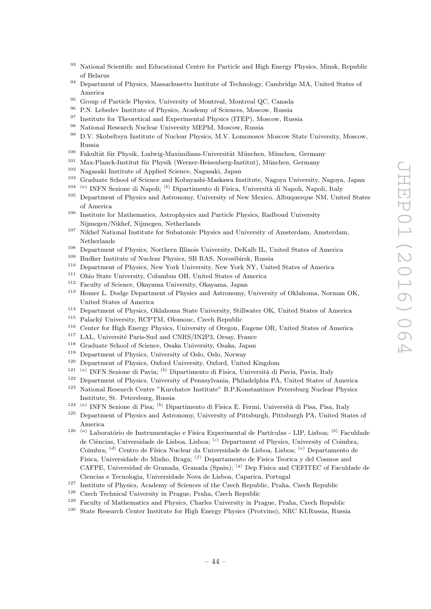- <sup>93</sup> National Scientific and Educational Centre for Particle and High Energy Physics, Minsk, Republic of Belarus
- <sup>94</sup> Department of Physics, Massachusetts Institute of Technology, Cambridge MA, United States of America
- <sup>95</sup> Group of Particle Physics, University of Montreal, Montreal QC, Canada<br><sup>96</sup> PN Lobelov Institute of Physics, Academy of Sciences, Moscow, Bussia
- <sup>96</sup> P.N. Lebedev Institute of Physics, Academy of Sciences, Moscow, Russia
- $97$  Institute for Theoretical and Experimental Physics (ITEP), Moscow, Russia
- <sup>98</sup> National Research Nuclear University MEPhI, Moscow, Russia
- <sup>99</sup> D.V. Skobeltsyn Institute of Nuclear Physics, M.V. Lomonosov Moscow State University, Moscow, Russia
- <sup>100</sup> Fakultät für Physik, Ludwig-Maximilians-Universität München, München, Germany
- Max-Planck-Institut für Physik (Werner-Heisenberg-Institut), München, Germany
- <sup>102</sup> Nagasaki Institute of Applied Science, Nagasaki, Japan
- <sup>103</sup> Graduate School of Science and Kobayashi-Maskawa Institute, Nagoya University, Nagoya, Japan
- <sup>104 (a)</sup> INFN Sezione di Napoli; <sup>(b)</sup> Dipartimento di Fisica, Università di Napoli, Napoli, Italy
- <sup>105</sup> Department of Physics and Astronomy, University of New Mexico, Albuquerque NM, United States of America
- <sup>106</sup> Institute for Mathematics, Astrophysics and Particle Physics, Radboud University Nijmegen/Nikhef, Nijmegen, Netherlands
- <sup>107</sup> Nikhef National Institute for Subatomic Physics and University of Amsterdam, Amsterdam, Netherlands
- <sup>108</sup> Department of Physics, Northern Illinois University, DeKalb IL, United States of America
- <sup>109</sup> Budker Institute of Nuclear Physics, SB RAS, Novosibirsk, Russia
- <sup>110</sup> Department of Physics, New York University, New York NY, United States of America<br><sup>111</sup> Okia States University, Columbus OU, United States of America
- <sup>111</sup> Ohio State University, Columbus OH, United States of America
- <sup>112</sup> Faculty of Science, Okayama University, Okayama, Japan
- <sup>113</sup> Homer L. Dodge Department of Physics and Astronomy, University of Oklahoma, Norman OK, United States of America
- <sup>114</sup> Department of Physics, Oklahoma State University, Stillwater OK, United States of America
- <sup>115</sup> Palacký University, RCPTM, Olomouc, Czech Republic
- <sup>116</sup> Center for High Energy Physics, University of Oregon, Eugene OR, United States of America<br><sup>117</sup> LAL Université Paris Sud and CNRS/IN2P3 Orsay France
- <sup>117</sup> LAL, Université Paris-Sud and CNRS/IN2P3, Orsay, France<br><sup>118</sup> Croduate School of Science, Osaka University, Osaka, Japan
- <sup>118</sup> Graduate School of Science, Osaka University, Osaka, Japan<br><sup>119</sup> Department of Physics University of Oslo, Oslo, Norway
- <sup>119</sup> Department of Physics, University of Oslo, Oslo, Norway<br><sup>120</sup> Department of Physics, Oxford University, Oxford Unite
- <sup>120</sup> Department of Physics, Oxford University, Oxford, United Kingdom
- 121 ( <sup>a)</sup> INFN Sezione di Pavia; <sup>(b)</sup> Dipartimento di Fisica, Università di Pavia, Pavia, Italy
- <sup>122</sup> Department of Physics, University of Pennsylvania, Philadelphia PA, United States of America
- <sup>123</sup> National Research Centre "Kurchatov Institute" B.P.Konstantinov Petersburg Nuclear Physics Institute, St. Petersburg, Russia
- <sup>124 (a)</sup> INFN Sezione di Pisa; <sup>(b)</sup> Dipartimento di Fisica E. Fermi, Università di Pisa, Pisa, Italy
- <sup>125</sup> Department of Physics and Astronomy, University of Pittsburgh, Pittsburgh PA, United States of America
- 126 ( <sup>a)</sup> Laboratório de Instrumentação e Física Experimental de Partículas - LIP, Lisboa; <sup>(b)</sup> Faculdade de Ciências, Universidade de Lisboa, Lisboa; <sup>(c)</sup> Department of Physics, University of Coimbra, Coimbra; <sup>(d)</sup> Centro de Física Nuclear da Universidade de Lisboa, Lisboa; <sup>(e)</sup> Departamento de Fisica, Universidade do Minho, Braga; <sup>(f)</sup> Departamento de Fisica Teorica y del Cosmos and CAFPE, Universidad de Granada, Granada (Spain); <sup>(g)</sup> Dep Fisica and CEFITEC of Faculdade de Ciencias e Tecnologia, Universidade Nova de Lisboa, Caparica, Portugal
- <sup>127</sup> Institute of Physics, Academy of Sciences of the Czech Republic, Praha, Czech Republic
- <sup>128</sup> Czech Technical University in Prague, Praha, Czech Republic
- <sup>129</sup> Faculty of Mathematics and Physics, Charles University in Prague, Praha, Czech Republic
- <sup>130</sup> State Research Center Institute for High Energy Physics (Protvino), NRC KI,Russia, Russia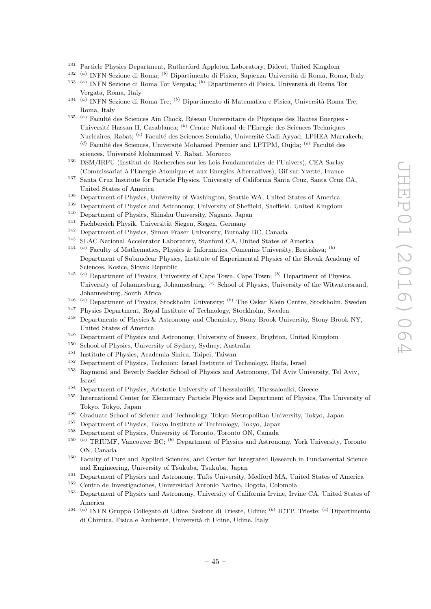- <sup>131</sup> Particle Physics Department, Rutherford Appleton Laboratory, Didcot, United Kingdom
- <sup>132 (a)</sup> INFN Sezione di Roma; <sup>(b)</sup> Dipartimento di Fisica, Sapienza Università di Roma, Roma, Italy
- <sup>133 (a)</sup> INFN Sezione di Roma Tor Vergata; <sup>(b)</sup> Dipartimento di Fisica, Università di Roma Tor Vergata, Roma, Italy
- <sup>134 (a)</sup> INFN Sezione di Roma Tre; <sup>(b)</sup> Dipartimento di Matematica e Fisica, Università Roma Tre, Roma, Italy
- <sup>135 (a)</sup> Faculté des Sciences Ain Chock, Réseau Universitaire de Physique des Hautes Energies -Université Hassan II, Casablanca; <sup>(b)</sup> Centre National de l'Energie des Sciences Techniques Nucleaires, Rabat; <sup>(c)</sup> Faculté des Sciences Semlalia, Université Cadi Ayyad, LPHEA-Marrakech; (d) Faculté des Sciences, Université Mohamed Premier and LPTPM, Oujda;  $^{(e)}$  Faculté des sciences, Université Mohammed V, Rabat, Morocco
- <sup>136</sup> DSM/IRFU (Institut de Recherches sur les Lois Fondamentales de l'Univers), CEA Saclay (Commissariat `a l'Energie Atomique et aux Energies Alternatives), Gif-sur-Yvette, France
- <sup>137</sup> Santa Cruz Institute for Particle Physics, University of California Santa Cruz, Santa Cruz CA, United States of America
- <sup>138</sup> Department of Physics, University of Washington, Seattle WA, United States of America<br><sup>139</sup> Department of Physics and Astronomy University of Sheffield, Sheffield, United Kingdon
- <sup>139</sup> Department of Physics and Astronomy, University of Sheffield, Sheffield, United Kingdom<br><sup>140</sup> Department of Physics Shingho University Names, January Lucas
- <sup>140</sup> Department of Physics, Shinshu University, Nagano, Japan<br><sup>141</sup> Eschkavith Physik University Sixteen Street, Company
- <sup>141</sup> Fachbereich Physik, Universität Siegen, Siegen, Germany<br><sup>142</sup> Department of Physics, Simon Fraser University, Burnah
- <sup>142</sup> Department of Physics, Simon Fraser University, Burnaby BC, Canada
- <sup>143</sup> SLAC National Accelerator Laboratory, Stanford CA, United States of America
- <sup>144 (a)</sup> Faculty of Mathematics, Physics & Informatics, Comenius University, Bratislava; <sup>(b)</sup> Department of Subnuclear Physics, Institute of Experimental Physics of the Slovak Academy of Sciences, Kosice, Slovak Republic
- <sup>145 (a)</sup> Department of Physics, University of Cape Town, Cape Town;  $(b)$  Department of Physics, University of Johannesburg, Johannesburg; <sup>(c)</sup> School of Physics, University of the Witwatersrand, Johannesburg, South Africa
- <sup>146 (a)</sup> Department of Physics, Stockholm University; <sup>(b)</sup> The Oskar Klein Centre, Stockholm, Sweden
- <sup>147</sup> Physics Department, Royal Institute of Technology, Stockholm, Sweden
- <sup>148</sup> Departments of Physics & Astronomy and Chemistry, Stony Brook University, Stony Brook NY, United States of America
- <sup>149</sup> Department of Physics and Astronomy, University of Sussex, Brighton, United Kingdom<br><sup>150</sup> School of Physics University of Sydney Sydney Australia
- $150$  School of Physics, University of Sydney, Sydney, Australia<br> $151$  Institute of Physics Academia Sinica Tainei Taiwan
- <sup>151</sup> Institute of Physics, Academia Sinica, Taipei, Taiwan
- <sup>152</sup> Department of Physics, Technion: Israel Institute of Technology, Haifa, Israel<br><sup>153</sup> Baymond and Beverly Sackler School of Physics and Astronomy. Tel Ayiy Un
- <sup>153</sup> Raymond and Beverly Sackler School of Physics and Astronomy, Tel Aviv University, Tel Aviv, Israel
- <sup>154</sup> Department of Physics, Aristotle University of Thessaloniki, Thessaloniki, Greece
- <sup>155</sup> International Center for Elementary Particle Physics and Department of Physics, The University of Tokyo, Tokyo, Japan
- <sup>156</sup> Graduate School of Science and Technology, Tokyo Metropolitan University, Tokyo, Japan<br><sup>157</sup> Department of Physics, Talum Institute of Tashnology, Talum Japan
- <sup>157</sup> Department of Physics, Tokyo Institute of Technology, Tokyo, Japan
- <sup>158</sup> Department of Physics, University of Toronto, Toronto ON, Canada
- 159 ( <sup>a)</sup> TRIUMF, Vancouver BC; <sup>(b)</sup> Department of Physics and Astronomy, York University, Toronto ON, Canada
- <sup>160</sup> Faculty of Pure and Applied Sciences, and Center for Integrated Research in Fundamental Science and Engineering, University of Tsukuba, Tsukuba, Japan
- <sup>161</sup> Department of Physics and Astronomy, Tufts University, Medford MA, United States of America
- <sup>162</sup> Centro de Investigaciones, Universidad Antonio Narino, Bogota, Colombia
- <sup>163</sup> Department of Physics and Astronomy, University of California Irvine, Irvine CA, United States of America
- <sup>164 (a)</sup> INFN Gruppo Collegato di Udine, Sezione di Trieste, Udine; <sup>(b)</sup> ICTP, Trieste; <sup>(c)</sup> Dipartimento di Chimica, Fisica e Ambiente, Universit`a di Udine, Udine, Italy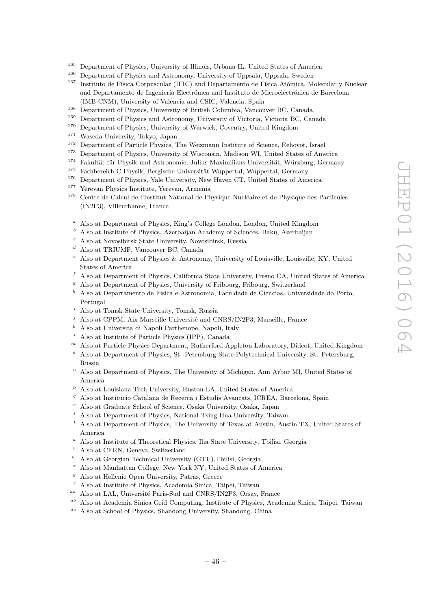- <sup>165</sup> Department of Physics, University of Illinois, Urbana IL, United States of America<br><sup>166</sup> Department of Physics and Astronomy University of Unnsala Unnable, Suredon
- <sup>166</sup> Department of Physics and Astronomy, University of Uppsala, Uppsala, Sweden<br><sup>167</sup> Institute de Eísics Corpuscular (IEIC) and Departmente de Eísics Atómics M
- Instituto de Física Corpuscular (IFIC) and Departamento de Física Atómica, Molecular y Nuclear and Departamento de Ingeniería Electrónica and Instituto de Microelectrónica de Barcelona (IMB-CNM), University of Valencia and CSIC, Valencia, Spain
- <sup>168</sup> Department of Physics, University of British Columbia, Vancouver BC, Canada
- <sup>169</sup> Department of Physics and Astronomy, University of Victoria, Victoria BC, Canada<br><sup>170</sup> Department of Physics University of Warnigh Country United Kingdom
- <sup>170</sup> Department of Physics, University of Warwick, Coventry, United Kingdom
- Waseda University, Tokyo, Japan
- <sup>172</sup> Department of Particle Physics, The Weizmann Institute of Science, Rehovot, Israel
- <sup>173</sup> Department of Physics, University of Wisconsin, Madison WI, United States of America<br><sup>174</sup> Eshutät für Physik und Astronomia Julius Maximilians Universität, Würchung Compact
- <sup>174</sup> Fakult¨at f¨ur Physik und Astronomie, Julius-Maximilians-Universit¨at, W¨urzburg, Germany
- $175$  Fachbereich C Physik, Bergische Universität Wuppertal, Wuppertal, Germany
- <sup>176</sup> Department of Physics, Yale University, New Haven CT, United States of America<br><sup>177</sup> Verouse Physics Institute Verouse Armonia
- Yerevan Physics Institute, Yerevan, Armenia
- <sup>178</sup> Centre de Calcul de l'Institut National de Physique Nucléaire et de Physique des Particules (IN2P3), Villeurbanne, France
	- <sup>a</sup> Also at Department of Physics, King's College London, London, United Kingdom
	- $<sup>b</sup>$  Also at Institute of Physics, Azerbaijan Academy of Sciences, Baku, Azerbaijan</sup>
	- <sup>c</sup> Also at Novosibirsk State University, Novosibirsk, Russia
	- $d$  Also at TRIUMF, Vancouver BC, Canada
	- <sup>e</sup> Also at Department of Physics & Astronomy, University of Louisville, Louisville, KY, United States of America
	- $f$  Also at Department of Physics, California State University, Fresno CA, United States of America
	- <sup>g</sup> Also at Department of Physics, University of Fribourg, Fribourg, Switzerland
	- <sup>h</sup> Also at Departamento de Fisica e Astronomia, Faculdade de Ciencias, Universidade do Porto, Portugal
	- <sup>i</sup> Also at Tomsk State University, Tomsk, Russia
	- $j$  Also at CPPM, Aix-Marseille Université and CNRS/IN2P3, Marseille, France
	- $\sp{k}$  Also at Universita di Napoli Parthenope, Napoli, Italy
	- <sup>l</sup> Also at Institute of Particle Physics (IPP), Canada
	- $<sup>m</sup>$  Also at Particle Physics Department, Rutherford Appleton Laboratory, Didcot, United Kingdom</sup>
	- <sup>n</sup> Also at Department of Physics, St. Petersburg State Polytechnical University, St. Petersburg, Russia
	- <sup>o</sup> Also at Department of Physics, The University of Michigan, Ann Arbor MI, United States of America
	- $P$  Also at Louisiana Tech University, Ruston LA, United States of America
	- <sup>q</sup> Also at Institucio Catalana de Recerca i Estudis Avancats, ICREA, Barcelona, Spain
	- <sup>r</sup> Also at Graduate School of Science, Osaka University, Osaka, Japan
	- Also at Department of Physics, National Tsing Hua University, Taiwan
	- <sup>t</sup> Also at Department of Physics, The University of Texas at Austin, Austin TX, United States of America
	- $^u$  Also at Institute of Theoretical Physics, Ilia State University, Tbilisi, Georgia
	- <sup>v</sup> Also at CERN, Geneva, Switzerland
	- Also at Georgian Technical University (GTU), Tbilisi, Georgia
	- <sup>x</sup> Also at Manhattan College, New York NY, United States of America
	- <sup>y</sup> Also at Hellenic Open University, Patras, Greece
	- <sup>z</sup> Also at Institute of Physics, Academia Sinica, Taipei, Taiwan
	- Also at LAL, Université Paris-Sud and CNRS/IN2P3, Orsay, France
- ab Also at Academia Sinica Grid Computing, Institute of Physics, Academia Sinica, Taipei, Taiwan
- ac Also at School of Physics, Shandong University, Shandong, China